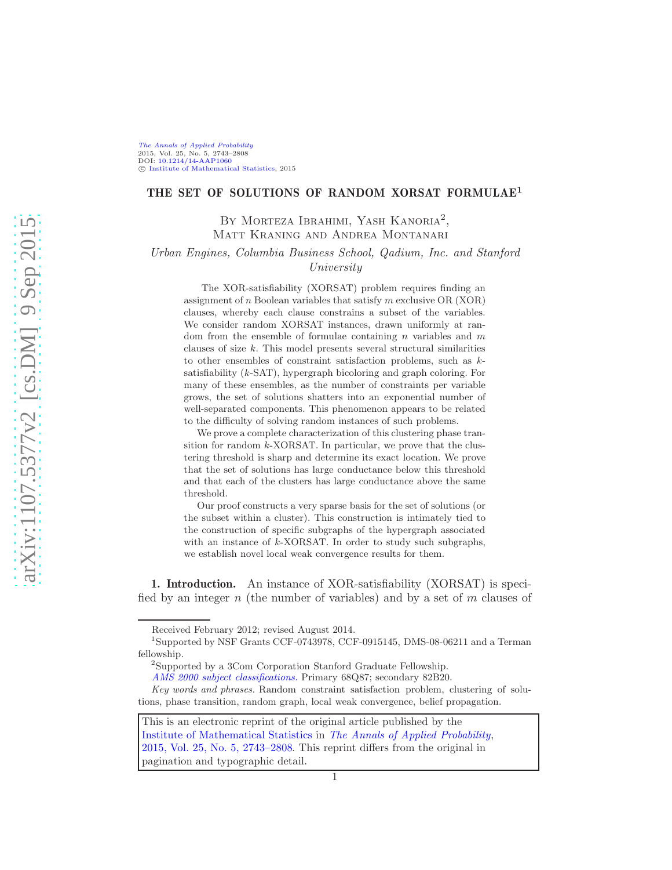## THE SET OF SOLUTIONS OF RANDOM XORSAT FORMULAE<sup>1</sup>

## BY MORTEZA IBRAHIMI, YASH KANORIA<sup>2</sup>, Matt Kraning and Andrea Montanari

Urban Engines, Columbia Business School, Qadium, Inc. and Stanford University

The XOR-satisfiability (XORSAT) problem requires finding an assignment of n Boolean variables that satisfy m exclusive  $OR(XOR)$ clauses, whereby each clause constrains a subset of the variables. We consider random XORSAT instances, drawn uniformly at random from the ensemble of formulae containing  $n$  variables and  $m$ clauses of size  $k$ . This model presents several structural similarities to other ensembles of constraint satisfaction problems, such as ksatisfiability (k-SAT), hypergraph bicoloring and graph coloring. For many of these ensembles, as the number of constraints per variable grows, the set of solutions shatters into an exponential number of well-separated components. This phenomenon appears to be related to the difficulty of solving random instances of such problems.

We prove a complete characterization of this clustering phase transition for random  $k$ -XORSAT. In particular, we prove that the clustering threshold is sharp and determine its exact location. We prove that the set of solutions has large conductance below this threshold and that each of the clusters has large conductance above the same threshold.

Our proof constructs a very sparse basis for the set of solutions (or the subset within a cluster). This construction is intimately tied to the construction of specific subgraphs of the hypergraph associated with an instance of k-XORSAT. In order to study such subgraphs, we establish novel local weak convergence results for them.

<span id="page-0-0"></span>1. Introduction. An instance of XOR-satisfiability (XORSAT) is specified by an integer  $n$  (the number of variables) and by a set of  $m$  clauses of

This is an electronic reprint of the original article published by the [Institute of Mathematical Statistics](http://www.imstat.org) in [The Annals of Applied Probability](http://www.imstat.org/aap/), [2015, Vol. 25, No. 5, 2743–2808.](http://dx.doi.org/10.1214/14-AAP1060) This reprint differs from the original in pagination and typographic detail.

Received February 2012; revised August 2014.

<sup>1</sup> Supported by NSF Grants CCF-0743978, CCF-0915145, DMS-08-06211 and a Terman fellowship.

<sup>2</sup> Supported by a 3Com Corporation Stanford Graduate Fellowship.

[AMS 2000 subject classifications.](http://www.ams.org/msc/) Primary 68Q87; secondary 82B20.

Key words and phrases. Random constraint satisfaction problem, clustering of solutions, phase transition, random graph, local weak convergence, belief propagation.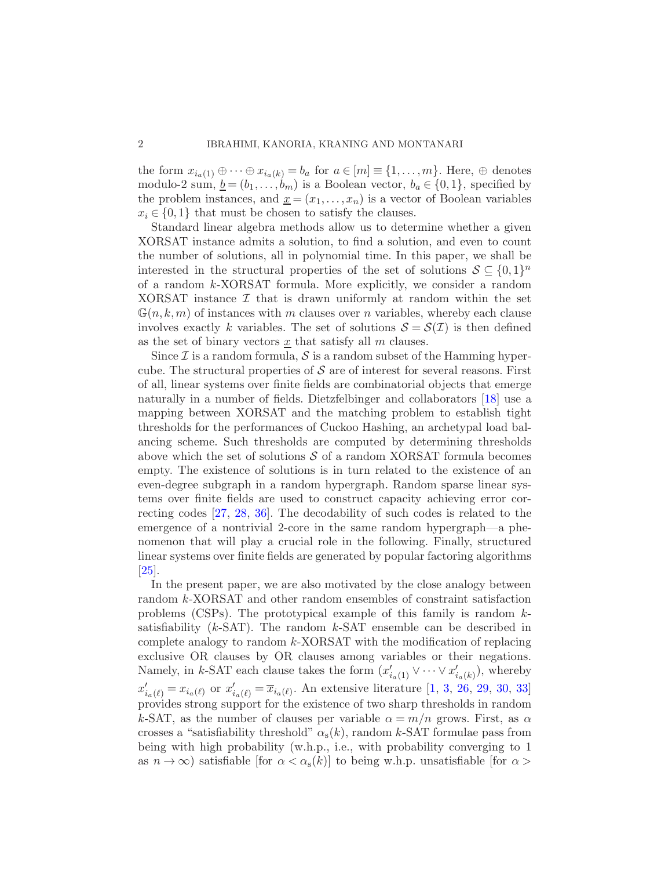the form  $x_{i_a(1)} \oplus \cdots \oplus x_{i_a(k)} = b_a$  for  $a \in [m] \equiv \{1, \ldots, m\}$ . Here,  $\oplus$  denotes modulo-2 sum,  $\underline{b} = (b_1, \ldots, b_m)$  is a Boolean vector,  $b_a \in \{0, 1\}$ , specified by the problem instances, and  $\underline{x} = (x_1, \ldots, x_n)$  is a vector of Boolean variables  $x_i \in \{0,1\}$  that must be chosen to satisfy the clauses.

Standard linear algebra methods allow us to determine whether a given XORSAT instance admits a solution, to find a solution, and even to count the number of solutions, all in polynomial time. In this paper, we shall be interested in the structural properties of the set of solutions  $S \subseteq \{0,1\}^n$ of a random k-XORSAT formula. More explicitly, we consider a random XORSAT instance  $\mathcal I$  that is drawn uniformly at random within the set  $\mathbb{G}(n, k, m)$  of instances with m clauses over n variables, whereby each clause involves exactly k variables. The set of solutions  $\mathcal{S} = \mathcal{S}(\mathcal{I})$  is then defined as the set of binary vectors  $x$  that satisfy all  $m$  clauses.

Since  $\mathcal I$  is a random formula,  $\mathcal S$  is a random subset of the Hamming hypercube. The structural properties of  $\mathcal S$  are of interest for several reasons. First of all, linear systems over finite fields are combinatorial objects that emerge naturally in a number of fields. Dietzfelbinger and collaborators [\[18](#page-68-0)] use a mapping between XORSAT and the matching problem to establish tight thresholds for the performances of Cuckoo Hashing, an archetypal load balancing scheme. Such thresholds are computed by determining thresholds above which the set of solutions  $\mathcal S$  of a random XORSAT formula becomes empty. The existence of solutions is in turn related to the existence of an even-degree subgraph in a random hypergraph. Random sparse linear systems over finite fields are used to construct capacity achieving error correcting codes [\[27,](#page-68-1) [28](#page-68-2), [36](#page-69-0)]. The decodability of such codes is related to the emergence of a nontrivial 2-core in the same random hypergraph—a phenomenon that will play a crucial role in the following. Finally, structured linear systems over finite fields are generated by popular factoring algorithms [\[25\]](#page-68-3).

In the present paper, we are also motivated by the close analogy between random k-XORSAT and other random ensembles of constraint satisfaction problems (CSPs). The prototypical example of this family is random  $k$ satisfiability  $(k-SAT)$ . The random  $k-SAT$  ensemble can be described in complete analogy to random  $k$ -XORSAT with the modification of replacing exclusive OR clauses by OR clauses among variables or their negations. Namely, in k-SAT each clause takes the form  $(x'_{i_a(1)} \vee \cdots \vee x'_{i_a(k)})$ , whereby  $x'_{i_a(\ell)} = x_{i_a(\ell)}$  or  $x'_{i_a(\ell)} = \overline{x}_{i_a(\ell)}$ . An extensive literature [\[1](#page-67-0), [3,](#page-67-1) [26](#page-68-4), [29](#page-68-5), [30](#page-68-6), [33](#page-68-7)] provides strong support for the existence of two sharp thresholds in random k-SAT, as the number of clauses per variable  $\alpha = m/n$  grows. First, as  $\alpha$ crosses a "satisfiability threshold"  $\alpha_s(k)$ , random k-SAT formulae pass from being with high probability (w.h.p., i.e., with probability converging to 1 as  $n \to \infty$ ) satisfiable [for  $\alpha < \alpha_{s}(k)$ ] to being w.h.p. unsatisfiable [for  $\alpha >$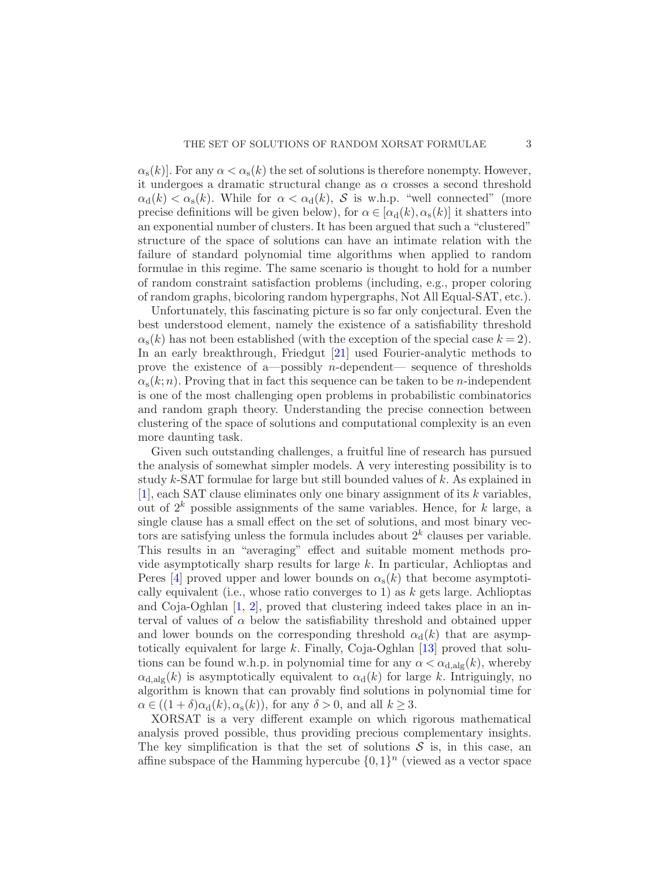$\alpha_{s}(k)$ . For any  $\alpha < \alpha_{s}(k)$  the set of solutions is therefore nonempty. However, it undergoes a dramatic structural change as  $\alpha$  crosses a second threshold  $\alpha_d(k) < \alpha_s(k)$ . While for  $\alpha < \alpha_d(k)$ , S is w.h.p. "well connected" (more precise definitions will be given below), for  $\alpha \in [\alpha_d(k), \alpha_s(k)]$  it shatters into an exponential number of clusters. It has been argued that such a "clustered" structure of the space of solutions can have an intimate relation with the failure of standard polynomial time algorithms when applied to random formulae in this regime. The same scenario is thought to hold for a number of random constraint satisfaction problems (including, e.g., proper coloring of random graphs, bicoloring random hypergraphs, Not All Equal-SAT, etc.).

Unfortunately, this fascinating picture is so far only conjectural. Even the best understood element, namely the existence of a satisfiability threshold  $\alpha_{s}(k)$  has not been established (with the exception of the special case  $k = 2$ ). In an early breakthrough, Friedgut [\[21](#page-68-8)] used Fourier-analytic methods to prove the existence of a—possibly *n*-dependent— sequence of thresholds  $\alpha_{s}(k;n)$ . Proving that in fact this sequence can be taken to be *n*-independent is one of the most challenging open problems in probabilistic combinatorics and random graph theory. Understanding the precise connection between clustering of the space of solutions and computational complexity is an even more daunting task.

Given such outstanding challenges, a fruitful line of research has pursued the analysis of somewhat simpler models. A very interesting possibility is to study k-SAT formulae for large but still bounded values of k. As explained in  $[1]$  $[1]$ , each SAT clause eliminates only one binary assignment of its k variables, out of  $2^k$  possible assignments of the same variables. Hence, for k large, a single clause has a small effect on the set of solutions, and most binary vectors are satisfying unless the formula includes about  $2<sup>k</sup>$  clauses per variable. This results in an "averaging" effect and suitable moment methods provide asymptotically sharp results for large  $k$ . In particular, Achlioptas and Peres [\[4](#page-67-2)] proved upper and lower bounds on  $\alpha_{s}(k)$  that become asymptotically equivalent (i.e., whose ratio converges to 1) as  $k$  gets large. Achlioptas and Coja-Oghlan  $[1, 2]$  $[1, 2]$ , proved that clustering indeed takes place in an interval of values of  $\alpha$  below the satisfiability threshold and obtained upper and lower bounds on the corresponding threshold  $\alpha_d(k)$  that are asymptotically equivalent for large k. Finally, Coja-Oghlan  $[13]$  proved that solutions can be found w.h.p. in polynomial time for any  $\alpha < \alpha_{d, \text{alg}}(k)$ , whereby  $\alpha_{\text{d},\text{alg}}(k)$  is asymptotically equivalent to  $\alpha_{\text{d}}(k)$  for large k. Intriguingly, no algorithm is known that can provably find solutions in polynomial time for  $\alpha \in ((1+\delta)\alpha_{\rm d}(k), \alpha_{\rm s}(k))$ , for any  $\delta > 0$ , and all  $k \geq 3$ .

XORSAT is a very different example on which rigorous mathematical analysis proved possible, thus providing precious complementary insights. The key simplification is that the set of solutions  $S$  is, in this case, an affine subspace of the Hamming hypercube  $\{0,1\}^n$  (viewed as a vector space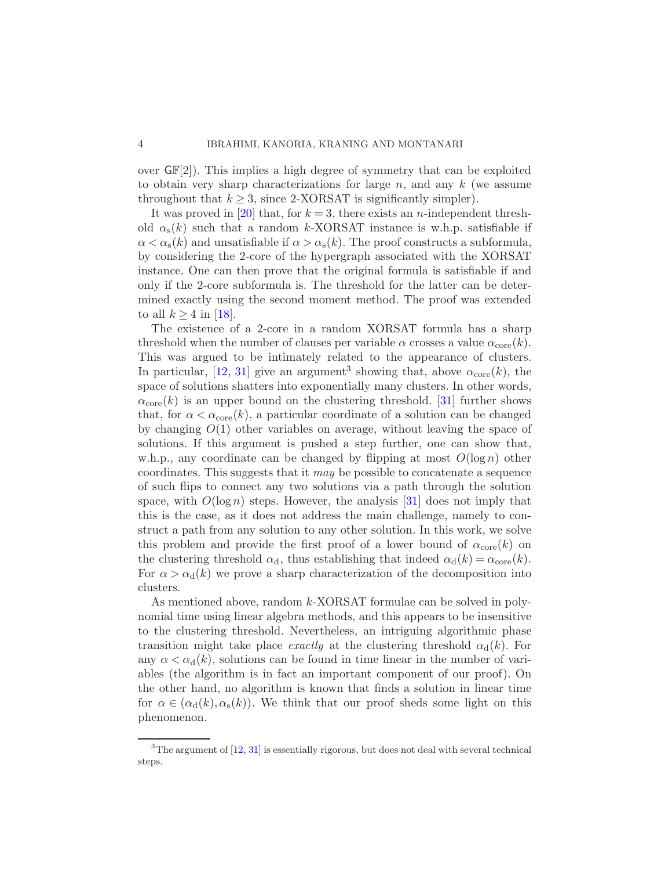over  $\mathbb{GF}[2]$ . This implies a high degree of symmetry that can be exploited to obtain very sharp characterizations for large n, and any  $k$  (we assume throughout that  $k \geq 3$ , since 2-XORSAT is significantly simpler).

It was proved in [\[20\]](#page-68-9) that, for  $k = 3$ , there exists an *n*-independent threshold  $\alpha_s(k)$  such that a random k-XORSAT instance is w.h.p. satisfiable if  $\alpha < \alpha_{s}(k)$  and unsatisfiable if  $\alpha > \alpha_{s}(k)$ . The proof constructs a subformula, by considering the 2-core of the hypergraph associated with the XORSAT instance. One can then prove that the original formula is satisfiable if and only if the 2-core subformula is. The threshold for the latter can be determined exactly using the second moment method. The proof was extended to all  $k \geq 4$  in [\[18](#page-68-0)].

The existence of a 2-core in a random XORSAT formula has a sharp threshold when the number of clauses per variable  $\alpha$  crosses a value  $\alpha_{\rm core}(k)$ . This was argued to be intimately related to the appearance of clusters. In particular, [\[12](#page-67-5), [31](#page-68-10)] give an argument<sup>[3](#page-3-0)</sup> showing that, above  $\alpha_{\text{core}}(k)$ , the space of solutions shatters into exponentially many clusters. In other words,  $\alpha_{\rm core}(k)$  is an upper bound on the clustering threshold. [\[31](#page-68-10)] further shows that, for  $\alpha < \alpha_{\rm core}(k)$ , a particular coordinate of a solution can be changed by changing  $O(1)$  other variables on average, without leaving the space of solutions. If this argument is pushed a step further, one can show that, w.h.p., any coordinate can be changed by flipping at most  $O(\log n)$  other coordinates. This suggests that it may be possible to concatenate a sequence of such flips to connect any two solutions via a path through the solution space, with  $O(\log n)$  steps. However, the analysis [\[31](#page-68-10)] does not imply that this is the case, as it does not address the main challenge, namely to construct a path from any solution to any other solution. In this work, we solve this problem and provide the first proof of a lower bound of  $\alpha_{\rm core}(k)$  on the clustering threshold  $\alpha_d$ , thus establishing that indeed  $\alpha_d(k) = \alpha_{\text{core}}(k)$ . For  $\alpha > \alpha_d(k)$  we prove a sharp characterization of the decomposition into clusters.

As mentioned above, random k-XORSAT formulae can be solved in polynomial time using linear algebra methods, and this appears to be insensitive to the clustering threshold. Nevertheless, an intriguing algorithmic phase transition might take place *exactly* at the clustering threshold  $\alpha_d(k)$ . For any  $\alpha < \alpha_d(k)$ , solutions can be found in time linear in the number of variables (the algorithm is in fact an important component of our proof). On the other hand, no algorithm is known that finds a solution in linear time for  $\alpha \in (\alpha_{\rm d}(k), \alpha_{\rm s}(k))$ . We think that our proof sheds some light on this phenomenon.

<span id="page-3-0"></span> $3$ The argument of  $[12, 31]$  $[12, 31]$  is essentially rigorous, but does not deal with several technical steps.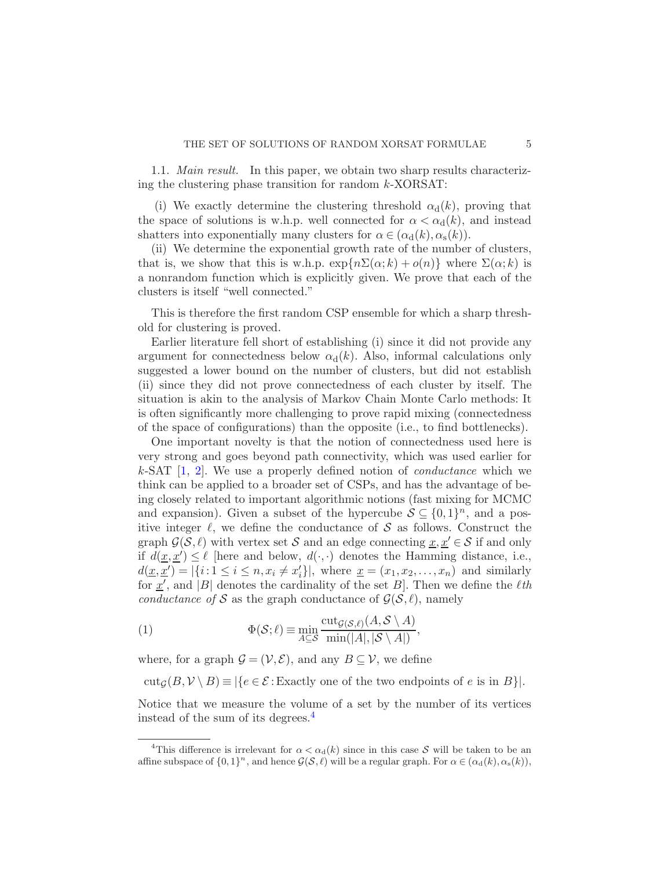1.1. Main result. In this paper, we obtain two sharp results characterizing the clustering phase transition for random k-XORSAT:

(i) We exactly determine the clustering threshold  $\alpha_d(k)$ , proving that the space of solutions is w.h.p. well connected for  $\alpha < \alpha_d(k)$ , and instead shatters into exponentially many clusters for  $\alpha \in (\alpha_d(k), \alpha_s(k)).$ 

(ii) We determine the exponential growth rate of the number of clusters, that is, we show that this is w.h.p.  $\exp{\{n\Sigma(\alpha;k) + o(n)\}}$  where  $\Sigma(\alpha;k)$  is a nonrandom function which is explicitly given. We prove that each of the clusters is itself "well connected."

This is therefore the first random CSP ensemble for which a sharp threshold for clustering is proved.

Earlier literature fell short of establishing (i) since it did not provide any argument for connectedness below  $\alpha_d(k)$ . Also, informal calculations only suggested a lower bound on the number of clusters, but did not establish (ii) since they did not prove connectedness of each cluster by itself. The situation is akin to the analysis of Markov Chain Monte Carlo methods: It is often significantly more challenging to prove rapid mixing (connectedness of the space of configurations) than the opposite (i.e., to find bottlenecks).

One important novelty is that the notion of connectedness used here is very strong and goes beyond path connectivity, which was used earlier for k-SAT  $[1, 2]$  $[1, 2]$  $[1, 2]$ . We use a properly defined notion of *conductance* which we think can be applied to a broader set of CSPs, and has the advantage of being closely related to important algorithmic notions (fast mixing for MCMC and expansion). Given a subset of the hypercube  $S \subseteq \{0,1\}^n$ , and a positive integer  $\ell$ , we define the conductance of S as follows. Construct the graph  $\mathcal{G}(\mathcal{S}, \ell)$  with vertex set S and an edge connecting  $\underline{x}, \underline{x}' \in \mathcal{S}$  if and only if  $d(\underline{x}, \underline{x}') \leq \ell$  [here and below,  $d(\cdot, \cdot)$  denotes the Hamming distance, i.e.,  $d(\underline{x}, \underline{x}') = |\{i: 1 \leq i \leq n, x_i \neq x'_i\}|$ , where  $\underline{x} = (x_1, x_2, \dots, x_n)$  and similarly for  $\underline{x}'$ , and |B| denotes the cardinality of the set B|. Then we define the  $\ell$ th conductance of S as the graph conductance of  $\mathcal{G}(\mathcal{S}, \ell)$ , namely

<span id="page-4-1"></span>(1) 
$$
\Phi(\mathcal{S}; \ell) \equiv \min_{A \subseteq \mathcal{S}} \frac{\mathrm{cut}_{\mathcal{G}(\mathcal{S}, \ell)}(A, \mathcal{S} \setminus A)}{\min(|A|, |\mathcal{S} \setminus A|)},
$$

where, for a graph  $\mathcal{G} = (\mathcal{V}, \mathcal{E})$ , and any  $B \subseteq \mathcal{V}$ , we define

 $\text{cut}_{\mathcal{G}}(B, \mathcal{V} \setminus B) \equiv |\{e \in \mathcal{E} : \text{Exactly one of the two endpoints of } e \text{ is in } B\}|.$ 

Notice that we measure the volume of a set by the number of its vertices instead of the sum of its degrees.[4](#page-4-0)

<span id="page-4-0"></span><sup>&</sup>lt;sup>4</sup>This difference is irrelevant for  $\alpha < \alpha_d(k)$  since in this case S will be taken to be an affine subspace of  $\{0,1\}^n$ , and hence  $\mathcal{G}(\mathcal{S},\ell)$  will be a regular graph. For  $\alpha \in (\alpha_{\rm d}(k),\alpha_{\rm s}(k)),$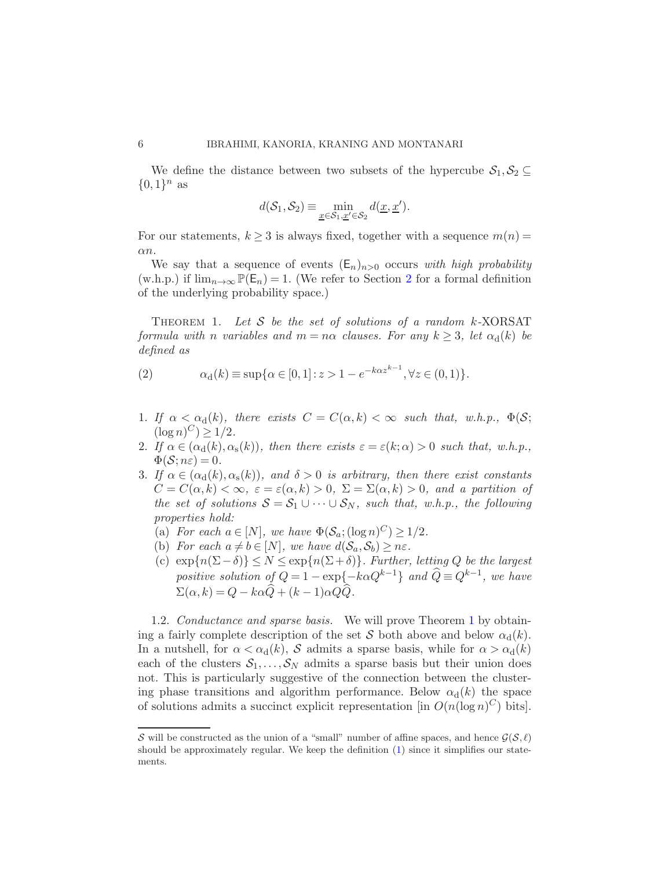We define the distance between two subsets of the hypercube  $S_1, S_2 \subseteq$  $\{0,1\}^n$  as

$$
d(\mathcal{S}_1, \mathcal{S}_2) \equiv \min_{\underline{x} \in \mathcal{S}_1, \underline{x}' \in \mathcal{S}_2} d(\underline{x}, \underline{x}').
$$

For our statements,  $k \geq 3$  is always fixed, together with a sequence  $m(n)$ αn.

We say that a sequence of events  $(\mathsf{E}_n)_{n>0}$  occurs with high probability (w.h.p.) if  $\lim_{n\to\infty} \mathbb{P}(\mathsf{E}_n) = 1$ . (We refer to Section [2](#page-11-0) for a formal definition of the underlying probability space.)

<span id="page-5-0"></span>THEOREM 1. Let S be the set of solutions of a random  $k$ -XORSAT formula with n variables and  $m = n\alpha$  clauses. For any  $k \geq 3$ , let  $\alpha_d(k)$  be defined as

<span id="page-5-1"></span>(2) 
$$
\alpha_d(k) \equiv \sup \{ \alpha \in [0,1] : z > 1 - e^{-k\alpha z^{k-1}}, \forall z \in (0,1) \}.
$$

- 1. If  $\alpha < \alpha_d(k)$ , there exists  $C = C(\alpha, k) < \infty$  such that, w.h.p.,  $\Phi(\mathcal{S};$  $(\log n)^C) \ge 1/2.$
- 2. If  $\alpha \in (\alpha_{d}(k), \alpha_{s}(k))$ , then there exists  $\varepsilon = \varepsilon(k; \alpha) > 0$  such that, w.h.p.,  $\Phi(\mathcal{S};n\varepsilon)=0.$
- 3. If  $\alpha \in (\alpha_{\rm d}(k), \alpha_{\rm s}(k))$ , and  $\delta > 0$  is arbitrary, then there exist constants  $C = C(\alpha, k) < \infty$ ,  $\varepsilon = \varepsilon(\alpha, k) > 0$ ,  $\Sigma = \Sigma(\alpha, k) > 0$ , and a partition of the set of solutions  $S = S_1 \cup \cdots \cup S_N$ , such that, w.h.p., the following properties hold:
	- (a) For each  $a \in [N]$ , we have  $\Phi(\mathcal{S}_a; (\log n)^C) \geq 1/2$ .
	- (b) For each  $a \neq b \in [N]$ , we have  $d(S_a, S_b) \geq n\varepsilon$ .
	- (c)  $\exp{n(\Sigma \delta)} \le N \le \exp{n(\Sigma + \delta)}$ . Further, letting Q be the largest positive solution of  $Q = 1 - \exp\{-k\alpha Q^{k-1}\}\$  and  $\widehat{Q} \equiv Q^{k-1}$ , we have  $\Sigma(\alpha, k) = Q - k\alpha \widehat{Q} + (k - 1)\alpha Q \widehat{Q}.$

[1](#page-5-0).2. *Conductance and sparse basis*. We will prove Theorem 1 by obtaining a fairly complete description of the set S both above and below  $\alpha_d(k)$ . In a nutshell, for  $\alpha < \alpha_d(k)$ , S admits a sparse basis, while for  $\alpha > \alpha_d(k)$ each of the clusters  $S_1, \ldots, S_N$  admits a sparse basis but their union does not. This is particularly suggestive of the connection between the clustering phase transitions and algorithm performance. Below  $\alpha_d(k)$  the space of solutions admits a succinct explicit representation [in  $O(n(\log n)^C)$  bits].

S will be constructed as the union of a "small" number of affine spaces, and hence  $\mathcal{G}(\mathcal{S}, \ell)$ should be approximately regular. We keep the definition [\(1\)](#page-4-1) since it simplifies our statements.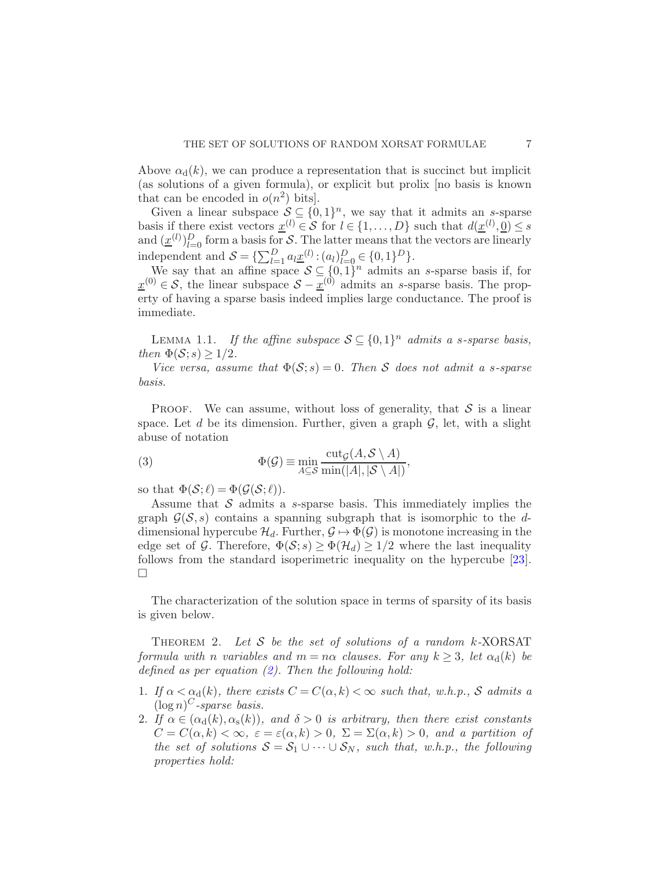Above  $\alpha_d(k)$ , we can produce a representation that is succinct but implicit (as solutions of a given formula), or explicit but prolix [no basis is known that can be encoded in  $o(n^2)$  bits].

Given a linear subspace  $S \subseteq \{0,1\}^n$ , we say that it admits an s-sparse basis if there exist vectors  $\underline{x}^{(l)} \in S$  for  $l \in \{1, ..., D\}$  such that  $d(\underline{x}^{(l)}, \underline{0}) \leq s$ and  $(\underline{x}^{(l)})_{l=0}^D$  form a basis for S. The latter means that the vectors are linearly independent and  $S = {\sum_{l=1}^{D} a_l \underline{x}^{(l)} : (a_l)_{l=0}^{D} \in \{0, 1\}^D}$ .

We say that an affine space  $S \subseteq \{0,1\}^n$  admits an s-sparse basis if, for  $\underline{x}^{(0)} \in S$ , the linear subspace  $S - \underline{x}^{(0)}$  admits an s-sparse basis. The property of having a sparse basis indeed implies large conductance. The proof is immediate.

<span id="page-6-0"></span>LEMMA 1.1. If the affine subspace  $S \subseteq \{0,1\}^n$  admits a s-sparse basis, then  $\Phi(S; s) \geq 1/2$ .

Vice versa, assume that  $\Phi(S; s) = 0$ . Then S does not admit a s-sparse basis.

PROOF. We can assume, without loss of generality, that  $S$  is a linear space. Let d be its dimension. Further, given a graph  $\mathcal{G}$ , let, with a slight abuse of notation

(3) 
$$
\Phi(\mathcal{G}) \equiv \min_{A \subseteq \mathcal{S}} \frac{\text{cut}_{\mathcal{G}}(A, \mathcal{S} \setminus A)}{\min(|A|, |\mathcal{S} \setminus A|)},
$$

so that  $\Phi(\mathcal{S}; \ell) = \Phi(\mathcal{G}(\mathcal{S}; \ell)).$ 

Assume that S admits a s-sparse basis. This immediately implies the graph  $\mathcal{G}(\mathcal{S}, s)$  contains a spanning subgraph that is isomorphic to the ddimensional hypercube  $\mathcal{H}_d$ . Further,  $\mathcal{G} \mapsto \Phi(\mathcal{G})$  is monotone increasing in the edge set of G. Therefore,  $\Phi(S; s) \geq \Phi(\mathcal{H}_d) \geq 1/2$  where the last inequality follows from the standard isoperimetric inequality on the hypercube [\[23](#page-68-11)].  $\Box$ 

<span id="page-6-1"></span>The characterization of the solution space in terms of sparsity of its basis is given below.

THEOREM 2. Let  $S$  be the set of solutions of a random  $k$ -XORSAT formula with n variables and  $m = n\alpha$  clauses. For any  $k \geq 3$ , let  $\alpha_d(k)$  be defined as per equation  $(2)$ . Then the following hold:

- 1. If  $\alpha < \alpha_d(k)$ , there exists  $C = C(\alpha, k) < \infty$  such that, w.h.p., S admits a  $(\log n)^C$ -sparse basis.
- 2. If  $\alpha \in (\alpha_d(k), \alpha_s(k))$ , and  $\delta > 0$  is arbitrary, then there exist constants  $C = C(\alpha, k) < \infty$ ,  $\varepsilon = \varepsilon(\alpha, k) > 0$ ,  $\Sigma = \Sigma(\alpha, k) > 0$ , and a partition of the set of solutions  $S = S_1 \cup \cdots \cup S_N$ , such that, w.h.p., the following properties hold: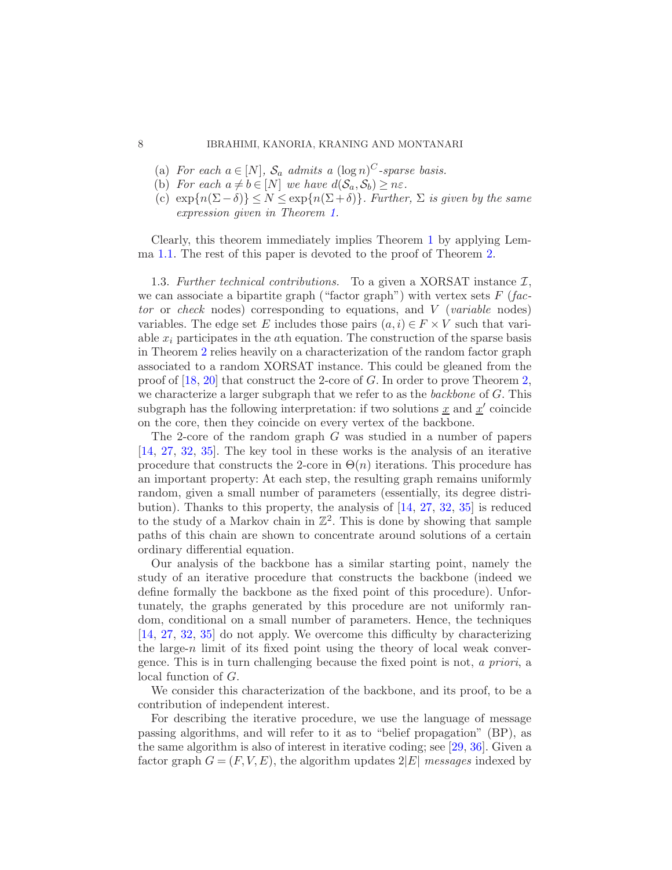### 8 IBRAHIMI, KANORIA, KRANING AND MONTANARI

- (a) For each  $a \in [N]$ ,  $S_a$  admits a  $(\log n)^C$ -sparse basis.
- (b) For each  $a \neq b \in [N]$  we have  $d(S_a, S_b) \geq n\varepsilon$ .
- (c)  $\exp{n(\Sigma \delta)} \le N \le \exp{n(\Sigma + \delta)}$ . Further,  $\Sigma$  is given by the same expression given in Theorem [1.](#page-5-0)

Clearly, this theorem immediately implies Theorem [1](#page-5-0) by applying Lem-ma [1.1.](#page-6-0) The rest of this paper is devoted to the proof of Theorem [2.](#page-6-1)

1.3. Further technical contributions. To a given a XORSAT instance  $\mathcal{I},$ we can associate a bipartite graph ("factor graph") with vertex sets  $F$  (factor or check nodes) corresponding to equations, and V (variable nodes) variables. The edge set E includes those pairs  $(a, i) \in F \times V$  such that variable  $x_i$  participates in the *ath* equation. The construction of the sparse basis in Theorem [2](#page-6-1) relies heavily on a characterization of the random factor graph associated to a random XORSAT instance. This could be gleaned from the proof of  $[18, 20]$  $[18, 20]$  $[18, 20]$  that construct the 2-core of G. In order to prove Theorem [2,](#page-6-1) we characterize a larger subgraph that we refer to as the backbone of  $G$ . This subgraph has the following interpretation: if two solutions  $\underline{x}$  and  $\underline{x}'$  coincide on the core, then they coincide on every vertex of the backbone.

The 2-core of the random graph G was studied in a number of papers [\[14,](#page-67-6) [27,](#page-68-1) [32](#page-68-12), [35](#page-69-1)]. The key tool in these works is the analysis of an iterative procedure that constructs the 2-core in  $\Theta(n)$  iterations. This procedure has an important property: At each step, the resulting graph remains uniformly random, given a small number of parameters (essentially, its degree distribution). Thanks to this property, the analysis of [\[14,](#page-67-6) [27,](#page-68-1) [32](#page-68-12), [35](#page-69-1)] is reduced to the study of a Markov chain in  $\mathbb{Z}^2$ . This is done by showing that sample paths of this chain are shown to concentrate around solutions of a certain ordinary differential equation.

Our analysis of the backbone has a similar starting point, namely the study of an iterative procedure that constructs the backbone (indeed we define formally the backbone as the fixed point of this procedure). Unfortunately, the graphs generated by this procedure are not uniformly random, conditional on a small number of parameters. Hence, the techniques [\[14,](#page-67-6) [27,](#page-68-1) [32](#page-68-12), [35](#page-69-1)] do not apply. We overcome this difficulty by characterizing the large-n limit of its fixed point using the theory of local weak convergence. This is in turn challenging because the fixed point is not, a priori, a local function of G.

We consider this characterization of the backbone, and its proof, to be a contribution of independent interest.

For describing the iterative procedure, we use the language of message passing algorithms, and will refer to it as to "belief propagation" (BP), as the same algorithm is also of interest in iterative coding; see [\[29](#page-68-5), [36](#page-69-0)]. Given a factor graph  $G = (F, V, E)$ , the algorithm updates  $2|E|$  messages indexed by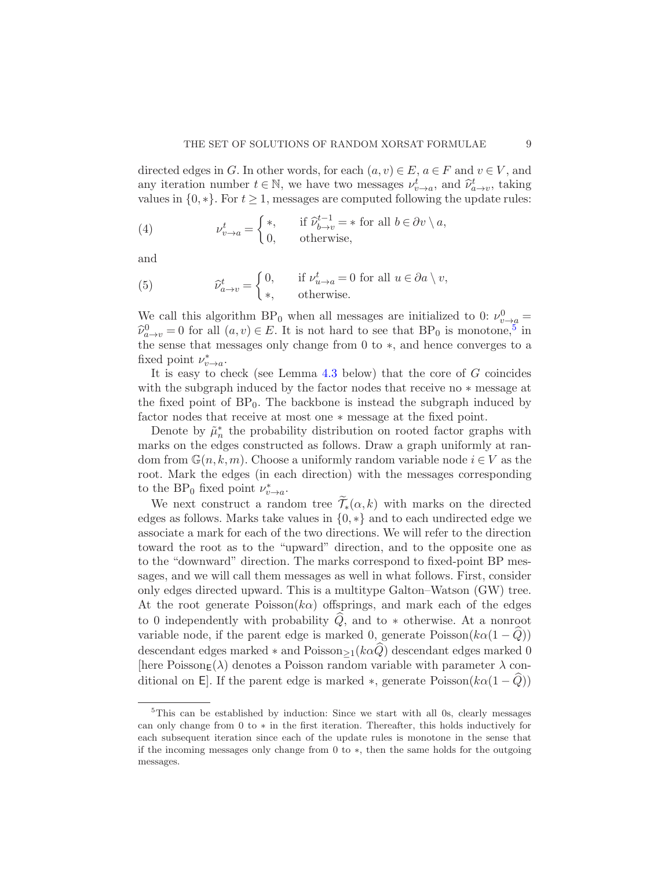directed edges in G. In other words, for each  $(a, v) \in E$ ,  $a \in F$  and  $v \in V$ , and any iteration number  $t \in \mathbb{N}$ , we have two messages  $\nu_{v \to a}^t$ , and  $\hat{\nu}_{a \to v}^t$ , taking values in  $\{0,*\}$ . For  $t \geq 1$ , messages are computed following the update rules:

<span id="page-8-1"></span>(4) 
$$
\nu_{v \to a}^t = \begin{cases} *, & \text{if } \widehat{\nu}_{b \to v}^{t-1} = * \text{ for all } b \in \partial v \setminus a, \\ 0, & \text{otherwise,} \end{cases}
$$

and

<span id="page-8-2"></span>(5) 
$$
\widehat{\nu}_{a \to v}^t = \begin{cases} 0, & \text{if } \nu_{u \to a}^t = 0 \text{ for all } u \in \partial a \setminus v, \\ *, & \text{otherwise.} \end{cases}
$$

We call this algorithm BP<sub>0</sub> when all messages are initialized to 0:  $\nu_{v\rightarrow a}^{0}$  =  $\widehat{\nu}_{a \to v}^0 = 0$  for all  $(a, v) \in E$ . It is not hard to see that  $BP_0$  is monotone,<sup>[5](#page-8-0)</sup> in the sense that messages only change from 0 to ∗, and hence converges to a fixed point  $\nu_{v\to a}^*$ .

It is easy to check (see Lemma [4.3](#page-25-0) below) that the core of G coincides with the subgraph induced by the factor nodes that receive no ∗ message at the fixed point of  $BP_0$ . The backbone is instead the subgraph induced by factor nodes that receive at most one ∗ message at the fixed point.

Denote by  $\tilde{\mu}_n^*$  the probability distribution on rooted factor graphs with marks on the edges constructed as follows. Draw a graph uniformly at random from  $\mathbb{G}(n,k,m)$ . Choose a uniformly random variable node  $i \in V$  as the root. Mark the edges (in each direction) with the messages corresponding to the BP<sub>0</sub> fixed point  $\nu_{v\to a}^*$ .

We next construct a random tree  $\widetilde{\mathcal{T}}_*(\alpha, k)$  with marks on the directed edges as follows. Marks take values in  $\{0,*\}$  and to each undirected edge we associate a mark for each of the two directions. We will refer to the direction toward the root as to the "upward" direction, and to the opposite one as to the "downward" direction. The marks correspond to fixed-point BP messages, and we will call them messages as well in what follows. First, consider only edges directed upward. This is a multitype Galton–Watson (GW) tree. At the root generate  $Poisson(ka)$  offsprings, and mark each of the edges to 0 independently with probability  $Q$ , and to  $*$  otherwise. At a nonroot variable node, if the parent edge is marked 0, generate  $Poisson(k\alpha(1-Q))$ descendant edges marked  $*$  and  $Poisson_{>1}(k\alpha Q)$  descendant edges marked 0 [here Poisson<sub>E</sub>( $\lambda$ ) denotes a Poisson random variable with parameter  $\lambda$  conditional on E. If the parent edge is marked  $\ast$ , generate Poisson( $k\alpha(1-\widehat{Q})$ )

<span id="page-8-0"></span><sup>&</sup>lt;sup>5</sup>This can be established by induction: Since we start with all 0s, clearly messages can only change from 0 to ∗ in the first iteration. Thereafter, this holds inductively for each subsequent iteration since each of the update rules is monotone in the sense that if the incoming messages only change from 0 to ∗, then the same holds for the outgoing messages.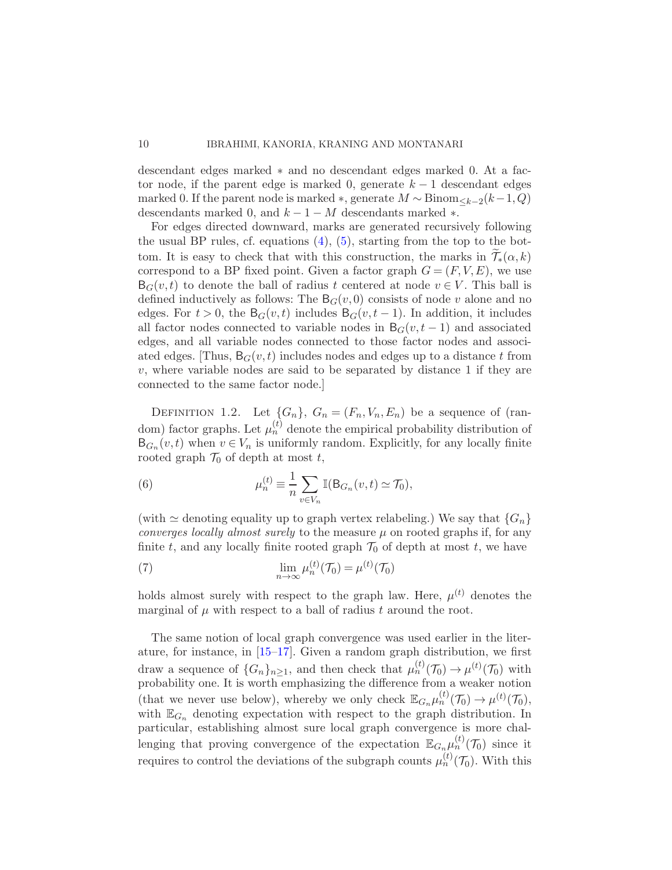descendant edges marked ∗ and no descendant edges marked 0. At a factor node, if the parent edge is marked 0, generate  $k-1$  descendant edges marked 0. If the parent node is marked  $\ast$ , generate  $M \sim Binom_{\leq k-2}(k-1, Q)$ descendants marked 0, and  $k - 1 - M$  descendants marked  $*$ .

For edges directed downward, marks are generated recursively following the usual BP rules, cf. equations [\(4\)](#page-8-1), [\(5\)](#page-8-2), starting from the top to the bottom. It is easy to check that with this construction, the marks in  $\mathcal{T}_{*}(\alpha, k)$ correspond to a BP fixed point. Given a factor graph  $G = (F, V, E)$ , we use  $B_G(v, t)$  to denote the ball of radius t centered at node  $v \in V$ . This ball is defined inductively as follows: The  $B_G(v, 0)$  consists of node v alone and no edges. For  $t > 0$ , the B<sub>G</sub> $(v, t)$  includes B<sub>G</sub> $(v, t - 1)$ . In addition, it includes all factor nodes connected to variable nodes in  $B_G(v, t-1)$  and associated edges, and all variable nodes connected to those factor nodes and associated edges. [Thus,  $B_G(v, t)$  includes nodes and edges up to a distance t from  $v$ , where variable nodes are said to be separated by distance 1 if they are connected to the same factor node.]

<span id="page-9-0"></span>DEFINITION 1.2. Let  $\{G_n\}$ ,  $G_n = (F_n, V_n, E_n)$  be a sequence of (random) factor graphs. Let  $\mu_n^{(t)}$  denote the empirical probability distribution of  $B_{G_n}(v,t)$  when  $v \in V_n$  is uniformly random. Explicitly, for any locally finite rooted graph  $\mathcal{T}_0$  of depth at most t,

(6) 
$$
\mu_n^{(t)} \equiv \frac{1}{n} \sum_{v \in V_n} \mathbb{I}(\mathsf{B}_{G_n}(v,t) \simeq \mathcal{T}_0),
$$

(with  $\simeq$  denoting equality up to graph vertex relabeling.) We say that  $\{G_n\}$ converges locally almost surely to the measure  $\mu$  on rooted graphs if, for any finite t, and any locally finite rooted graph  $\mathcal{T}_0$  of depth at most t, we have

(7) 
$$
\lim_{n \to \infty} \mu_n^{(t)}(\mathcal{T}_0) = \mu^{(t)}(\mathcal{T}_0)
$$

holds almost surely with respect to the graph law. Here,  $\mu^{(t)}$  denotes the marginal of  $\mu$  with respect to a ball of radius t around the root.

The same notion of local graph convergence was used earlier in the literature, for instance, in [\[15](#page-67-7)[–17\]](#page-68-13). Given a random graph distribution, we first draw a sequence of  $\{G_n\}_{n\geq 1}$ , and then check that  $\mu_n^{(t)}(\mathcal{T}_0) \to \mu^{(t)}(\mathcal{T}_0)$  with probability one. It is worth emphasizing the difference from a weaker notion (that we never use below), whereby we only check  $\mathbb{E}_{G_n} \mu_n^{(t)}(\mathcal{T}_0) \to \mu^{(t)}(\mathcal{T}_0)$ , with  $\mathbb{E}_{G_n}$  denoting expectation with respect to the graph distribution. In particular, establishing almost sure local graph convergence is more challenging that proving convergence of the expectation  $\mathbb{E}_{G_n,\mu_n^{(t)}}(\mathcal{T}_0)$  since it requires to control the deviations of the subgraph counts  $\mu_n^{(t)}(\mathcal{T}_0)$ . With this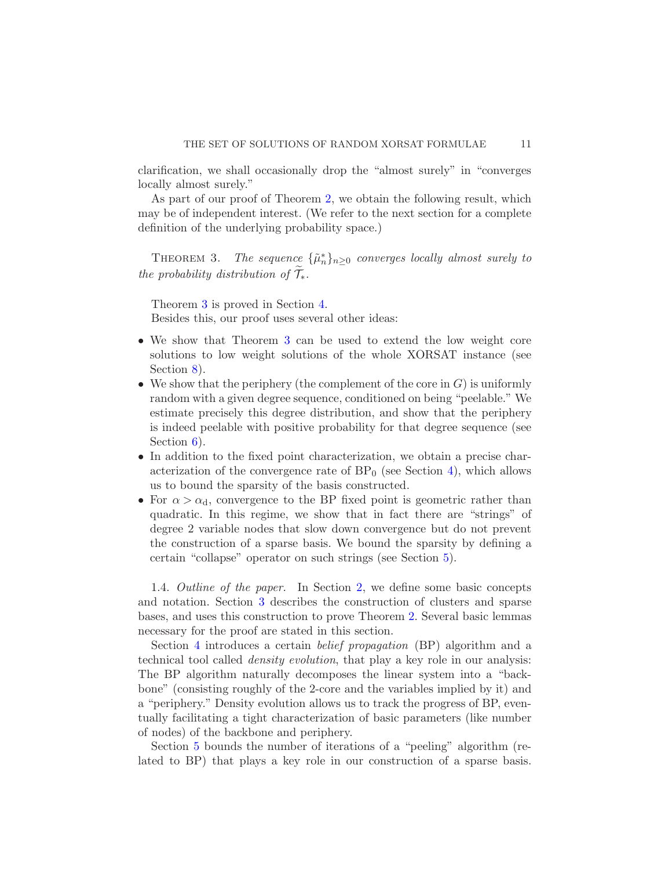clarification, we shall occasionally drop the "almost surely" in "converges locally almost surely."

<span id="page-10-0"></span>As part of our proof of Theorem [2,](#page-6-1) we obtain the following result, which may be of independent interest. (We refer to the next section for a complete definition of the underlying probability space.)

THEOREM 3. The sequence  $\{\tilde{\mu}_n^*\}_{n\geq 0}$  converges locally almost surely to the probability distribution of  $\mathcal{T}_{*}$ .

Theorem [3](#page-10-0) is proved in Section [4.](#page-24-0) Besides this, our proof uses several other ideas:

- We show that Theorem [3](#page-10-0) can be used to extend the low weight core solutions to low weight solutions of the whole XORSAT instance (see Section [8\)](#page-57-0).
- We show that the periphery (the complement of the core in  $G$ ) is uniformly random with a given degree sequence, conditioned on being "peelable." We estimate precisely this degree distribution, and show that the periphery is indeed peelable with positive probability for that degree sequence (see Section  $6$ ).
- In addition to the fixed point characterization, we obtain a precise characterization of the convergence rate of  $BP_0$  (see Section [4\)](#page-24-0), which allows us to bound the sparsity of the basis constructed.
- For  $\alpha > \alpha_d$ , convergence to the BP fixed point is geometric rather than quadratic. In this regime, we show that in fact there are "strings" of degree 2 variable nodes that slow down convergence but do not prevent the construction of a sparse basis. We bound the sparsity by defining a certain "collapse" operator on such strings (see Section [5\)](#page-39-0).

1.4. Outline of the paper. In Section [2,](#page-11-0) we define some basic concepts and notation. Section [3](#page-14-0) describes the construction of clusters and sparse bases, and uses this construction to prove Theorem [2.](#page-6-1) Several basic lemmas necessary for the proof are stated in this section.

Section [4](#page-24-0) introduces a certain belief propagation (BP) algorithm and a technical tool called density evolution, that play a key role in our analysis: The BP algorithm naturally decomposes the linear system into a "backbone" (consisting roughly of the 2-core and the variables implied by it) and a "periphery." Density evolution allows us to track the progress of BP, eventually facilitating a tight characterization of basic parameters (like number of nodes) of the backbone and periphery.

Section [5](#page-39-0) bounds the number of iterations of a "peeling" algorithm (related to BP) that plays a key role in our construction of a sparse basis.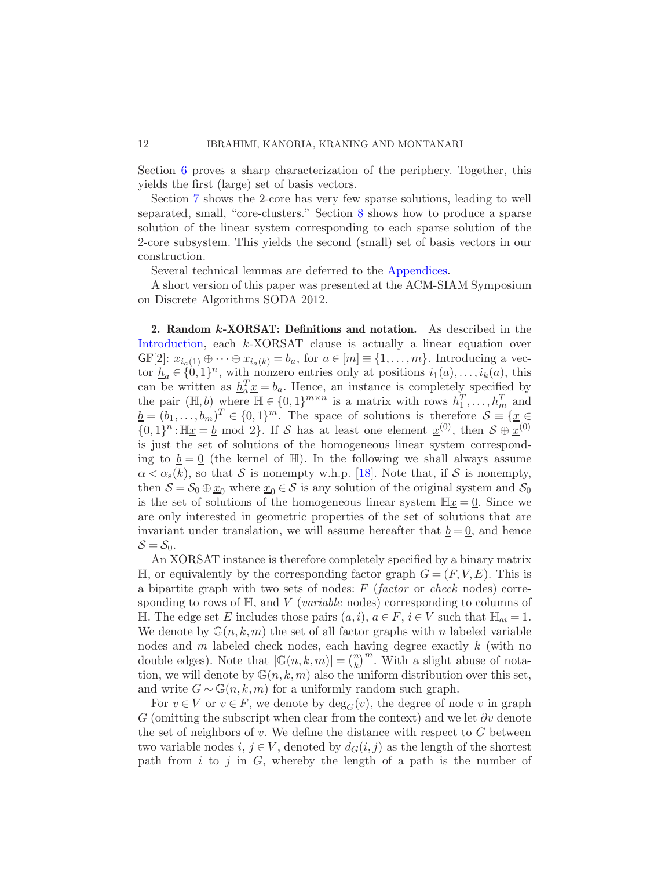Section [6](#page-44-0) proves a sharp characterization of the periphery. Together, this yields the first (large) set of basis vectors.

Section [7](#page-50-0) shows the 2-core has very few sparse solutions, leading to well separated, small, "core-clusters." Section [8](#page-57-0) shows how to produce a sparse solution of the linear system corresponding to each sparse solution of the 2-core subsystem. This yields the second (small) set of basis vectors in our construction.

Several technical lemmas are deferred to the [Appendices.](#page-60-0)

A short version of this paper was presented at the ACM-SIAM Symposium on Discrete Algorithms SODA 2012.

<span id="page-11-0"></span>2. Random k-XORSAT: Definitions and notation. As described in the [Introduction,](#page-0-0) each k-XORSAT clause is actually a linear equation over  $\mathbb{GF}[2]: x_{i_a(1)} \oplus \cdots \oplus x_{i_a(k)} = b_a$ , for  $a \in [m] \equiv \{1, \ldots, m\}$ . Introducing a vector  $\underline{h}_a \in \{0,1\}^n$ , with nonzero entries only at positions  $i_1(a), \ldots, i_k(a)$ , this can be written as  $h_a^T \underline{x} = b_a$ . Hence, an instance is completely specified by the pair  $(\mathbb{H}, \underline{b})$  where  $\mathbb{H} \in \{0, 1\}^{m \times n}$  is a matrix with rows  $\underline{h}_1^T, \dots, \underline{h}_m^T$  and  $\underline{b} = (b_1, \ldots, b_m)^T \in \{0, 1\}^m$ . The space of solutions is therefore  $S \equiv \{\underline{x} \in \underline{b_1}, \ldots, b_m\}$  $\{0,1\}^n : \mathbb{H}\underline{x} = \underline{b} \mod 2\}$ . If S has at least one element  $\underline{x}^{(0)}$ , then  $S \oplus \underline{x}^{(0)}$ is just the set of solutions of the homogeneous linear system corresponding to  $\underline{b} = \underline{0}$  (the kernel of H). In the following we shall always assume  $\alpha < \alpha_{s}(k)$ , so that S is nonempty w.h.p. [\[18\]](#page-68-0). Note that, if S is nonempty, then  $S = S_0 \oplus \underline{x}_0$  where  $\underline{x}_0 \in S$  is any solution of the original system and  $S_0$ is the set of solutions of the homogeneous linear system  $\mathbb{H}\underline{x} = 0$ . Since we are only interested in geometric properties of the set of solutions that are invariant under translation, we will assume hereafter that  $\underline{b} = \underline{0}$ , and hence  $S = S_0$ .

An XORSAT instance is therefore completely specified by a binary matrix  $\mathbb{H}$ , or equivalently by the corresponding factor graph  $G = (F, V, E)$ . This is a bipartite graph with two sets of nodes:  $F$  (factor or check nodes) corresponding to rows of  $H$ , and  $V$  (*variable* nodes) corresponding to columns of H. The edge set E includes those pairs  $(a, i)$ ,  $a \in F$ ,  $i \in V$  such that  $\mathbb{H}_{ai} = 1$ . We denote by  $\mathbb{G}(n,k,m)$  the set of all factor graphs with n labeled variable nodes and  $m$  labeled check nodes, each having degree exactly  $k$  (with no double edges). Note that  $|\mathbb{G}(n,k,m)| = \binom{n}{k}$  $\binom{n}{k}^m$ . With a slight abuse of notation, we will denote by  $\mathbb{G}(n,k,m)$  also the uniform distribution over this set, and write  $G \sim \mathbb{G}(n, k, m)$  for a uniformly random such graph.

For  $v \in V$  or  $v \in F$ , we denote by  $deg_G(v)$ , the degree of node v in graph G (omitting the subscript when clear from the context) and we let  $\partial v$  denote the set of neighbors of v. We define the distance with respect to  $G$  between two variable nodes  $i, j \in V$ , denoted by  $d_G(i, j)$  as the length of the shortest path from  $i$  to  $j$  in  $G$ , whereby the length of a path is the number of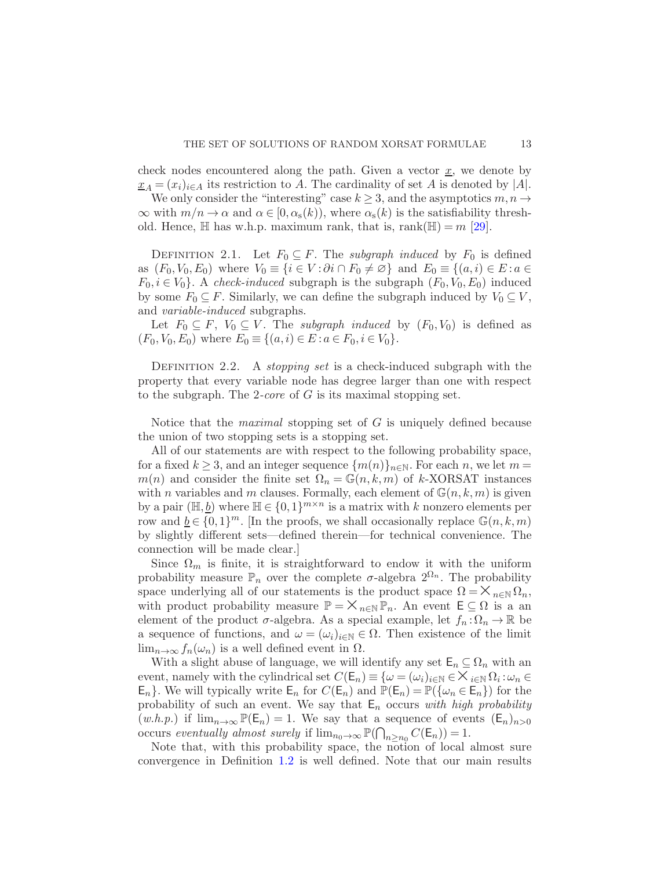check nodes encountered along the path. Given a vector  $\underline{x}$ , we denote by  $x_A = (x_i)_{i \in A}$  its restriction to A. The cardinality of set A is denoted by |A|.

We only consider the "interesting" case  $k \geq 3$ , and the asymptotics  $m, n \to \infty$  $\infty$  with  $m/n \to \alpha$  and  $\alpha \in [0, \alpha_{s}(k))$ , where  $\alpha_{s}(k)$  is the satisfiability threshold. Hence,  $\mathbb H$  has w.h.p. maximum rank, that is, rank $(\mathbb H) = m$  [\[29](#page-68-5)].

DEFINITION 2.1. Let  $F_0 \subseteq F$ . The *subgraph induced* by  $F_0$  is defined as  $(F_0, V_0, E_0)$  where  $V_0 \equiv \{i \in V : \partial i \cap F_0 \neq \emptyset\}$  and  $E_0 \equiv \{(a, i) \in E : a \in$  $F_0, i \in V_0$ . A check-induced subgraph is the subgraph  $(F_0, V_0, E_0)$  induced by some  $F_0 \subseteq F$ . Similarly, we can define the subgraph induced by  $V_0 \subseteq V$ , and *variable-induced* subgraphs.

Let  $F_0 \subseteq F$ ,  $V_0 \subseteq V$ . The *subgraph induced* by  $(F_0, V_0)$  is defined as  $(F_0, V_0, E_0)$  where  $E_0 \equiv \{(a, i) \in E : a \in F_0, i \in V_0\}.$ 

<span id="page-12-0"></span>DEFINITION 2.2. A *stopping set* is a check-induced subgraph with the property that every variable node has degree larger than one with respect to the subgraph. The 2-core of  $G$  is its maximal stopping set.

Notice that the *maximal* stopping set of  $G$  is uniquely defined because the union of two stopping sets is a stopping set.

All of our statements are with respect to the following probability space, for a fixed  $k \geq 3$ , and an integer sequence  $\{m(n)\}_{n\in\mathbb{N}}$ . For each n, we let  $m =$  $m(n)$  and consider the finite set  $\Omega_n = \mathbb{G}(n, k, m)$  of k-XORSAT instances with *n* variables and *m* clauses. Formally, each element of  $\mathbb{G}(n, k, m)$  is given by a pair  $(\mathbb{H}, \underline{b})$  where  $\mathbb{H} \in \{0, 1\}^{m \times n}$  is a matrix with k nonzero elements per row and  $\underline{b} \in \{0,1\}^m$ . [In the proofs, we shall occasionally replace  $\mathbb{G}(n,k,m)$ by slightly different sets—defined therein—for technical convenience. The connection will be made clear.]

Since  $\Omega_m$  is finite, it is straightforward to endow it with the uniform probability measure  $\mathbb{P}_n$  over the complete  $\sigma$ -algebra  $2^{\Omega_n}$ . The probability space underlying all of our statements is the product space  $\Omega = \mathsf{X}_{n \in \mathbb{N}} \Omega_n$ , with product probability measure  $\mathbb{P} = \mathsf{X}_{n \in \mathbb{N}} \mathbb{P}_n$ . An event  $\mathsf{E} \subseteq \Omega$  is a an element of the product  $\sigma$ -algebra. As a special example, let  $f_n : \Omega_n \to \mathbb{R}$  be a sequence of functions, and  $\omega = (\omega_i)_{i \in \mathbb{N}} \in \Omega$ . Then existence of the limit  $\lim_{n\to\infty} f_n(\omega_n)$  is a well defined event in  $\Omega$ .

With a slight abuse of language, we will identify any set  $\mathsf{E}_n \subseteq \Omega_n$  with an event, namely with the cylindrical set  $C(E_n) \equiv \{\omega = (\omega_i)_{i \in \mathbb{N}} \in \times_{i \in \mathbb{N}} \Omega_i : \omega_n \in E_1\}$ <br>E. L. Wo will typically write  $E$ , for  $C(E_n)$  and  $\mathbb{P}(E_n) = \mathbb{P}(L_n \subset E_n)$  for the  $\mathsf{E}_n$ . We will typically write  $\mathsf{E}_n$  for  $C(\mathsf{E}_n)$  and  $\mathbb{P}(\mathsf{E}_n) = \mathbb{P}(\{\omega_n \in \mathsf{E}_n\})$  for the probability of such an event. We say that  $E_n$  occurs with high probability  $(w.h.p.)$  if  $\lim_{n\to\infty} \mathbb{P}(\mathsf{E}_n) = 1$ . We say that a sequence of events  $(\mathsf{E}_n)_{n>0}$ occurs eventually almost surely if  $\lim_{n_0 \to \infty} \mathbb{P}(\bigcap_{n \geq n_0} C(\mathsf{E}_n)) = 1$ .

Note that, with this probability space, the notion of local almost sure convergence in Definition [1.2](#page-9-0) is well defined. Note that our main results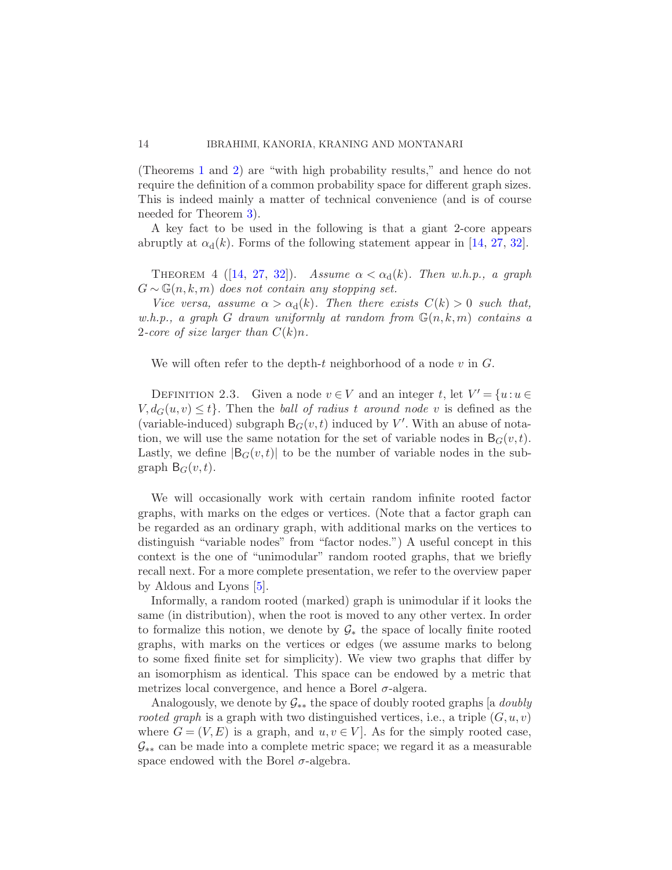(Theorems [1](#page-5-0) and [2\)](#page-6-1) are "with high probability results," and hence do not require the definition of a common probability space for different graph sizes. This is indeed mainly a matter of technical convenience (and is of course needed for Theorem [3\)](#page-10-0).

<span id="page-13-0"></span>A key fact to be used in the following is that a giant 2-core appears abruptly at  $\alpha_d(k)$ . Forms of the following statement appear in [\[14,](#page-67-6) [27](#page-68-1), [32](#page-68-12)].

THEOREM 4 ([\[14](#page-67-6), [27](#page-68-1), [32](#page-68-12)]). Assume  $\alpha < \alpha_d(k)$ . Then w.h.p., a graph  $G \sim \mathbb{G}(n, k, m)$  does not contain any stopping set.

Vice versa, assume  $\alpha > \alpha_d(k)$ . Then there exists  $C(k) > 0$  such that, w.h.p., a graph G drawn uniformly at random from  $\mathbb{G}(n, k, m)$  contains a 2-core of size larger than  $C(k)n$ .

We will often refer to the depth-t neighborhood of a node  $v$  in  $G$ .

DEFINITION 2.3. Given a node  $v \in V$  and an integer t, let  $V' = \{u : u \in V\}$  $V, d_G(u, v) \leq t$ . Then the ball of radius t around node v is defined as the (variable-induced) subgraph  $B_G(v, t)$  induced by V'. With an abuse of notation, we will use the same notation for the set of variable nodes in  $B_G(v,t)$ . Lastly, we define  $|B_G(v, t)|$  to be the number of variable nodes in the subgraph  $B_G(v, t)$ .

We will occasionally work with certain random infinite rooted factor graphs, with marks on the edges or vertices. (Note that a factor graph can be regarded as an ordinary graph, with additional marks on the vertices to distinguish "variable nodes" from "factor nodes.") A useful concept in this context is the one of "unimodular" random rooted graphs, that we briefly recall next. For a more complete presentation, we refer to the overview paper by Aldous and Lyons [\[5](#page-67-8)].

Informally, a random rooted (marked) graph is unimodular if it looks the same (in distribution), when the root is moved to any other vertex. In order to formalize this notion, we denote by  $\mathcal{G}_*$  the space of locally finite rooted graphs, with marks on the vertices or edges (we assume marks to belong to some fixed finite set for simplicity). We view two graphs that differ by an isomorphism as identical. This space can be endowed by a metric that metrizes local convergence, and hence a Borel  $\sigma$ -algera.

Analogously, we denote by  $G_{**}$  the space of doubly rooted graphs [a *doubly* rooted graph is a graph with two distinguished vertices, i.e., a triple  $(G, u, v)$ where  $G = (V, E)$  is a graph, and  $u, v \in V$ . As for the simply rooted case,  $\mathcal{G}_{**}$  can be made into a complete metric space; we regard it as a measurable space endowed with the Borel  $\sigma$ -algebra.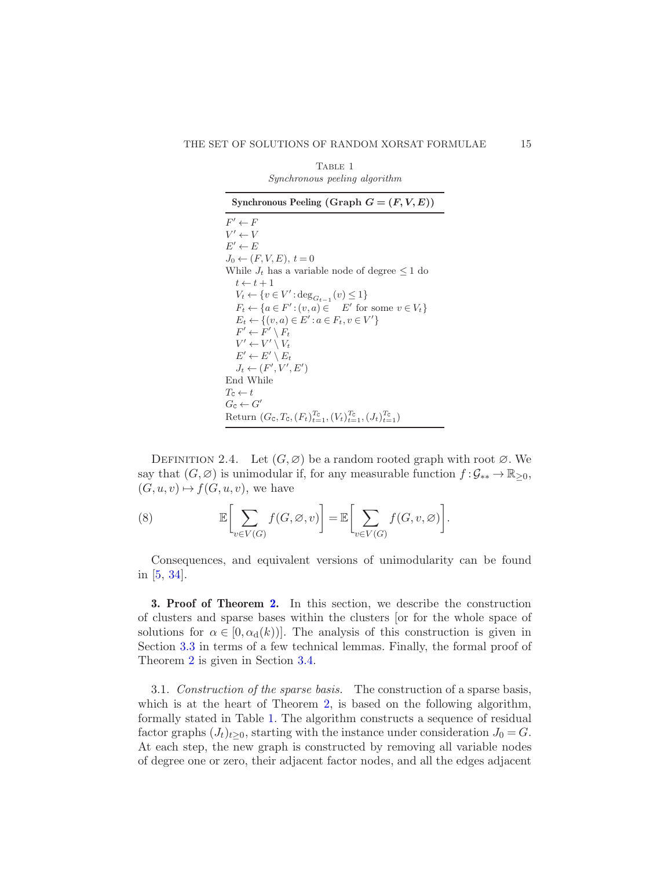| TABLE 1                              |  |  |
|--------------------------------------|--|--|
| <i>Synchronous peeling algorithm</i> |  |  |

<span id="page-14-1"></span>Synchronous Peeling (Graph  $G = (F, V, E)$ )  $F' \leftarrow F$  $V' \leftarrow V$  $E' \leftarrow E$  $J_0 \leftarrow (F, V, E), t = 0$ While  $J_t$  has a variable node of degree  $\leq 1$  do  $t \leftarrow t + 1$  $V_t \leftarrow \{v \in V': \deg_{G_{t-1}}(v) \leq 1\}$  $F_t \leftarrow \{a \in F': (v, a) \in E' \text{ for some } v \in V_t\}$  $E_t \leftarrow \{(v, a) \in E' : a \in F_t, v \in V'\}$  $F' \leftarrow F' \setminus F_t$  $V' \leftarrow V' \setminus V_t$  $E' \leftarrow E' \setminus E_t$  $J_t \leftarrow (F', V', E')$ End While  $T_\texttt{C} \leftarrow t$  $G_c \leftarrow G'$ Return  $(G_c, T_c, (F_t)_{t=1}^{T_c}, (V_t)_{t=1}^{T_c}, (J_t)_{t=1}^{T_c})$ 

DEFINITION 2.4. Let  $(G, \varnothing)$  be a random rooted graph with root  $\varnothing$ . We say that  $(G,\emptyset)$  is unimodular if, for any measurable function  $f : \mathcal{G}_{**} \to \mathbb{R}_{\geq 0}$ ,  $(G, u, v) \mapsto f(G, u, v)$ , we have

(8) 
$$
\mathbb{E}\bigg[\sum_{v\in V(G)} f(G,\varnothing,v)\bigg] = \mathbb{E}\bigg[\sum_{v\in V(G)} f(G,v,\varnothing)\bigg].
$$

Consequences, and equivalent versions of unimodularity can be found in [\[5](#page-67-8), [34\]](#page-69-2).

<span id="page-14-0"></span>3. Proof of Theorem [2.](#page-6-1) In this section, we describe the construction of clusters and sparse bases within the clusters [or for the whole space of solutions for  $\alpha \in [0, \alpha_d(k))]$ . The analysis of this construction is given in Section [3.3](#page-20-0) in terms of a few technical lemmas. Finally, the formal proof of Theorem [2](#page-6-1) is given in Section [3.4.](#page-22-0)

<span id="page-14-2"></span>3.1. Construction of the sparse basis. The construction of a sparse basis, which is at the heart of Theorem [2,](#page-6-1) is based on the following algorithm, formally stated in Table [1.](#page-14-1) The algorithm constructs a sequence of residual factor graphs  $(J_t)_{t>0}$ , starting with the instance under consideration  $J_0 = G$ . At each step, the new graph is constructed by removing all variable nodes of degree one or zero, their adjacent factor nodes, and all the edges adjacent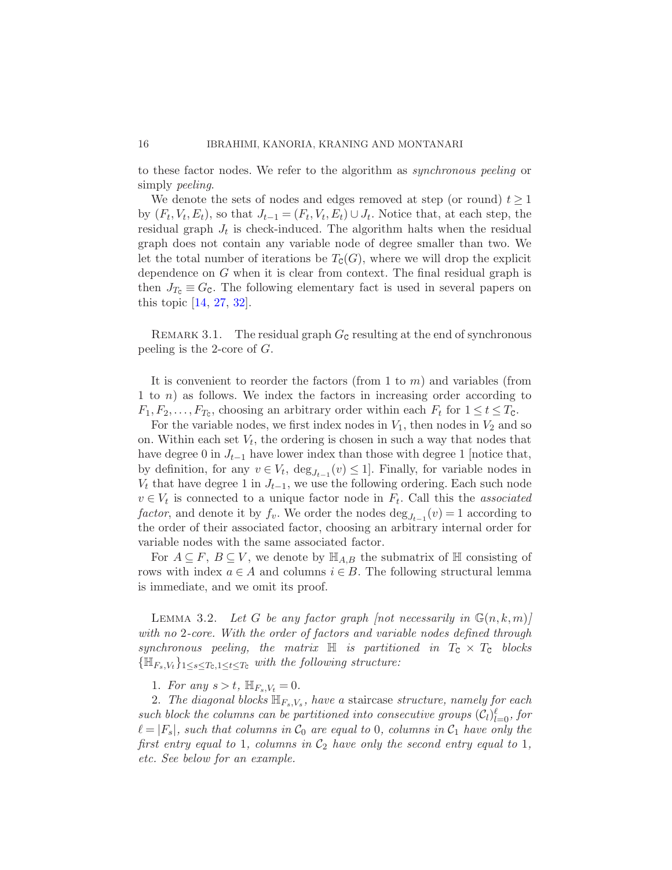to these factor nodes. We refer to the algorithm as synchronous peeling or simply *peeling*.

We denote the sets of nodes and edges removed at step (or round)  $t \geq 1$ by  $(F_t, V_t, E_t)$ , so that  $J_{t-1} = (F_t, V_t, E_t) \cup J_t$ . Notice that, at each step, the residual graph  $J_t$  is check-induced. The algorithm halts when the residual graph does not contain any variable node of degree smaller than two. We let the total number of iterations be  $T_{\text{C}}(G)$ , where we will drop the explicit dependence on G when it is clear from context. The final residual graph is then  $J_{T_c} \equiv G_c$ . The following elementary fact is used in several papers on this topic [\[14](#page-67-6), [27,](#page-68-1) [32](#page-68-12)].

<span id="page-15-0"></span>REMARK 3.1. The residual graph  $G<sub>c</sub>$  resulting at the end of synchronous peeling is the 2-core of G.

It is convenient to reorder the factors (from 1 to  $m$ ) and variables (from 1 to n) as follows. We index the factors in increasing order according to  $F_1, F_2, \ldots, F_{T_c}$ , choosing an arbitrary order within each  $F_t$  for  $1 \le t \le T_c$ .

For the variable nodes, we first index nodes in  $V_1$ , then nodes in  $V_2$  and so on. Within each set  $V_t$ , the ordering is chosen in such a way that nodes that have degree 0 in  $J_{t-1}$  have lower index than those with degree 1 [notice that, by definition, for any  $v \in V_t$ ,  $\deg_{J_{t-1}}(v) \leq 1$ . Finally, for variable nodes in  $V_t$  that have degree 1 in  $J_{t-1}$ , we use the following ordering. Each such node  $v \in V_t$  is connected to a unique factor node in  $F_t$ . Call this the associated factor, and denote it by  $f_v$ . We order the nodes  $\deg_{J_{t-1}}(v) = 1$  according to the order of their associated factor, choosing an arbitrary internal order for variable nodes with the same associated factor.

<span id="page-15-1"></span>For  $A \subseteq F$ ,  $B \subseteq V$ , we denote by  $\mathbb{H}_{A,B}$  the submatrix of  $\mathbb H$  consisting of rows with index  $a \in A$  and columns  $i \in B$ . The following structural lemma is immediate, and we omit its proof.

LEMMA 3.2. Let G be any factor graph [not necessarily in  $\mathbb{G}(n,k,m)$ ] with no 2-core. With the order of factors and variable nodes defined through synchronous peeling, the matrix  $\mathbb H$  is partitioned in  $T_c \times T_c$  blocks  ${\{\mathbb{H}_{F_s,V_t}\}}_{1\leq s\leq T_c,1\leq t\leq T_c}$  with the following structure:

1. For any  $s > t$ ,  $\mathbb{H}_{F_s,V_t} = 0$ .

2. The diagonal blocks  $\mathbb{H}_{F_s,V_s}$ , have a staircase structure, namely for each such block the columns can be partitioned into consecutive groups  $(C_l)_{l=0}^{\ell}$ , for  $\ell = |F_s|$ , such that columns in  $\mathcal{C}_0$  are equal to 0, columns in  $\mathcal{C}_1$  have only the first entry equal to 1, columns in  $C_2$  have only the second entry equal to 1, etc. See below for an example.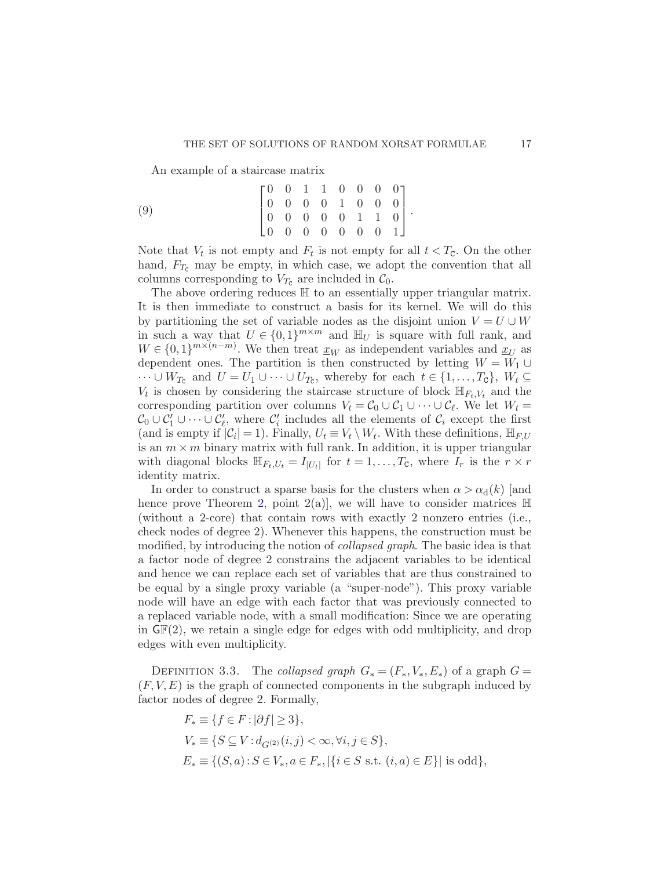An example of a staircase matrix

(9) 
$$
\begin{bmatrix} 0 & 0 & 1 & 1 & 0 & 0 & 0 & 0 \\ 0 & 0 & 0 & 0 & 1 & 0 & 0 & 0 \\ 0 & 0 & 0 & 0 & 0 & 1 & 1 & 0 \\ 0 & 0 & 0 & 0 & 0 & 0 & 0 & 1 \end{bmatrix}.
$$

Note that  $V_t$  is not empty and  $F_t$  is not empty for all  $t < T_c$ . On the other hand,  $F_{T_c}$  may be empty, in which case, we adopt the convention that all columns corresponding to  $V_{T_c}$  are included in  $\mathcal{C}_0$ .

The above ordering reduces  $\mathbb H$  to an essentially upper triangular matrix. It is then immediate to construct a basis for its kernel. We will do this by partitioning the set of variable nodes as the disjoint union  $V = U \cup W$ in such a way that  $U \in \{0,1\}^{m \times m}$  and  $\mathbb{H}_U$  is square with full rank, and  $W \in \{0,1\}^{m \times (n-m)}$ . We then treat  $\underline{x}_W$  as independent variables and  $\underline{x}_U$  as dependent ones. The partition is then constructed by letting  $W = W_1 \cup$  $\cdots \cup W_{T_c}$  and  $U = U_1 \cup \cdots \cup U_{T_c}$ , whereby for each  $t \in \{1, \ldots, T_c\}$ ,  $W_t \subseteq$  $V_t$  is chosen by considering the staircase structure of block  $\mathbb{H}_{F_t,V_t}$  and the corresponding partition over columns  $V_t = C_0 \cup C_1 \cup \cdots \cup C_{\ell}$ . We let  $W_t = C_1 \cup C_2$  $\mathcal{C}_0 \cup \mathcal{C}'_1 \cup \cdots \cup \mathcal{C}'_{\ell}$ , where  $\mathcal{C}'_i$  includes all the elements of  $\mathcal{C}_i$  except the first (and is empty if  $|\mathcal{C}_i| = 1$ ). Finally,  $U_t \equiv V_t \setminus W_t$ . With these definitions,  $\mathbb{H}_{F,U}$ is an  $m \times m$  binary matrix with full rank. In addition, it is upper triangular with diagonal blocks  $\mathbb{H}_{F_t,U_t} = I_{|U_t|}$  for  $t = 1,\ldots,T_c$ , where  $I_r$  is the  $r \times r$ identity matrix.

In order to construct a sparse basis for the clusters when  $\alpha > \alpha_d(k)$  [and hence prove Theorem [2,](#page-6-1) point  $2(a)$ , we will have to consider matrices  $\mathbb H$ (without a 2-core) that contain rows with exactly 2 nonzero entries (i.e., check nodes of degree 2). Whenever this happens, the construction must be modified, by introducing the notion of *collapsed graph*. The basic idea is that a factor node of degree 2 constrains the adjacent variables to be identical and hence we can replace each set of variables that are thus constrained to be equal by a single proxy variable (a "super-node"). This proxy variable node will have an edge with each factor that was previously connected to a replaced variable node, with a small modification: Since we are operating in  $GF(2)$ , we retain a single edge for edges with odd multiplicity, and drop edges with even multiplicity.

<span id="page-16-0"></span>DEFINITION 3.3. The collapsed graph  $G_*(F_*, V_*, E_*)$  of a graph  $G =$  $(F, V, E)$  is the graph of connected components in the subgraph induced by factor nodes of degree 2. Formally,

$$
\begin{aligned} & F_* \equiv \{ f \in F \colon & |\partial f| \geq 3 \}, \\ & V_* \equiv \{ S \subseteq V : & d_{G^{(2)}}(i,j) < \infty, \forall i,j \in S \}, \\ & E_* \equiv \{ (S,a) : S \in V_*, a \in F_*, | \{ i \in S \text{ s.t. } (i,a) \in E \} | \text{ is odd} \}, \end{aligned}
$$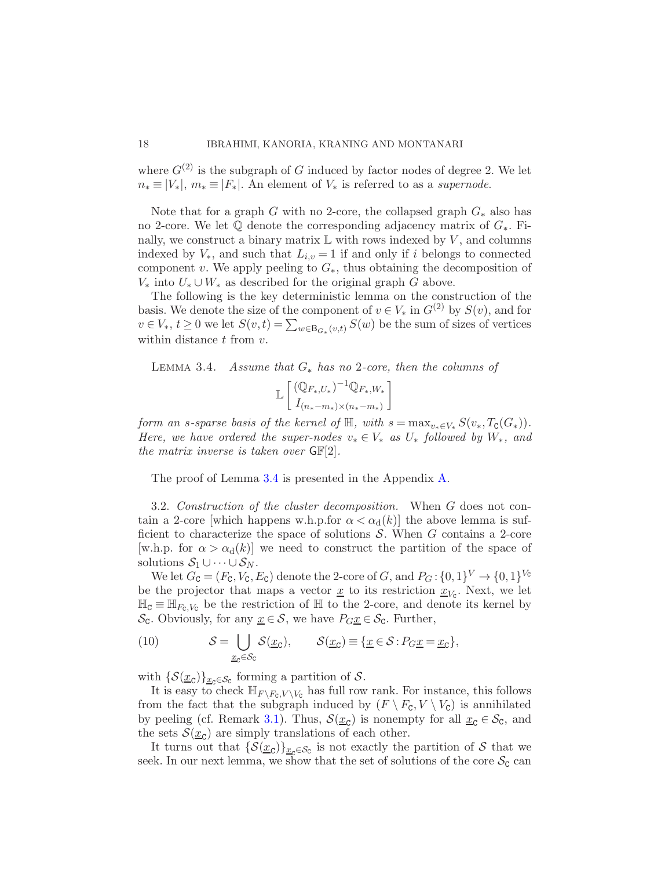where  $G^{(2)}$  is the subgraph of G induced by factor nodes of degree 2. We let  $n_* \equiv |V_*|, m_* \equiv |F_*|$ . An element of  $V_*$  is referred to as a supernode.

Note that for a graph G with no 2-core, the collapsed graph  $G_*$  also has no 2-core. We let  $\mathbb Q$  denote the corresponding adjacency matrix of  $G_*$ . Finally, we construct a binary matrix  $\mathbb L$  with rows indexed by V, and columns indexed by  $V_*$ , and such that  $L_{i,v} = 1$  if and only if i belongs to connected component v. We apply peeling to  $G_*$ , thus obtaining the decomposition of  $V_*$  into  $U_* \cup W_*$  as described for the original graph G above.

The following is the key deterministic lemma on the construction of the basis. We denote the size of the component of  $v \in V_*$  in  $G^{(2)}$  by  $S(v)$ , and for  $v \in V_*, t \geq 0$  we let  $S(v,t) = \sum_{w \in \mathsf{B}_{G_*}(v,t)} S(w)$  be the sum of sizes of vertices within distance  $t$  from  $v$ .

<span id="page-17-0"></span>LEMMA 3.4. Assume that  $G_*$  has no 2-core, then the columns of

$$
\mathbb{L}\left[\frac{(\mathbb{Q}_{F_*,U_*})^{-1}\mathbb{Q}_{F_*,W_*}}{I_{(n_*-m_*)\times(n_*-m_*)}}\right]
$$

form an s-sparse basis of the kernel of  $\mathbb{H}$ , with  $s = \max_{v_* \in V_*} S(v_*, T_{\mathcal{C}}(G_*)).$ Here, we have ordered the super-nodes  $v_* \in V_*$  as  $U_*$  followed by  $W_*$ , and the matrix inverse is taken over  $GF[2]$ .

The proof of Lemma [3.4](#page-17-0) is presented in the Appendix [A.](#page-60-1)

<span id="page-17-1"></span>3.2. Construction of the cluster decomposition. When G does not contain a 2-core [which happens w.h.p.for  $\alpha < \alpha_d(k)$ ] the above lemma is sufficient to characterize the space of solutions  $S$ . When G contains a 2-core [w.h.p. for  $\alpha > \alpha_d(k)$ ] we need to construct the partition of the space of solutions  $S_1 \cup \cdots \cup S_N$ .

We let  $G_{\mathbf{C}} = (F_{\mathbf{C}}, V_{\mathbf{C}}, E_{\mathbf{C}})$  denote the 2-core of  $G$ , and  $P_G: \{0,1\}^V \to \{0,1\}^{V_{\mathbf{C}}}$ be the projector that maps a vector  $\underline{x}$  to its restriction  $\underline{x}_{V_C}$ . Next, we let  $\mathbb{H}_{\mathsf{C}} \equiv \mathbb{H}_{F_{\mathsf{C}}\setminus V_{\mathsf{C}}}$  be the restriction of  $\mathbb{H}$  to the 2-core, and denote its kernel by  $\mathcal{S}_{\mathsf{C}}$ . Obviously, for any  $\underline{x} \in \mathcal{S}$ , we have  $P_{G}\underline{x} \in \mathcal{S}_{\mathsf{C}}$ . Further,

(10) 
$$
\mathcal{S} = \bigcup_{\underline{x}_{\mathsf{C}} \in \mathcal{S}_{\mathsf{C}}} \mathcal{S}(\underline{x}_{\mathsf{C}}), \qquad \mathcal{S}(\underline{x}_{\mathsf{C}}) \equiv \{\underline{x} \in \mathcal{S} : P_{G}\underline{x} = \underline{x}_{\mathsf{C}}\},
$$

with  $\{\mathcal{S}(\underline{x}_{\mathsf{C}})\}_{\underline{x}_{\mathsf{C}} \in \mathcal{S}_{\mathsf{C}}}$  forming a partition of  $\mathcal{S}$ .

It is easy to check  $\mathbb{H}_{F\setminus F_c,V\setminus V_c}$  has full row rank. For instance, this follows from the fact that the subgraph induced by  $(F \setminus F_c, V \setminus V_c)$  is annihilated by peeling (cf. Remark [3.1\)](#page-15-0). Thus,  $\mathcal{S}(\underline{x}_{\mathcal{C}})$  is nonempty for all  $\underline{x}_{\mathcal{C}} \in \mathcal{S}_{\mathcal{C}}$ , and the sets  $\mathcal{S}(\underline{x}_{\mathsf{C}})$  are simply translations of each other.

It turns out that  $\{\mathcal{S}(\underline{x}_{\mathcal{C}})\}_{\underline{x}_{\mathcal{C}}\in\mathcal{S}_{\mathcal{C}}}$  is not exactly the partition of S that we seek. In our next lemma, we show that the set of solutions of the core  $\mathcal{S}_{\mathbb{C}}$  can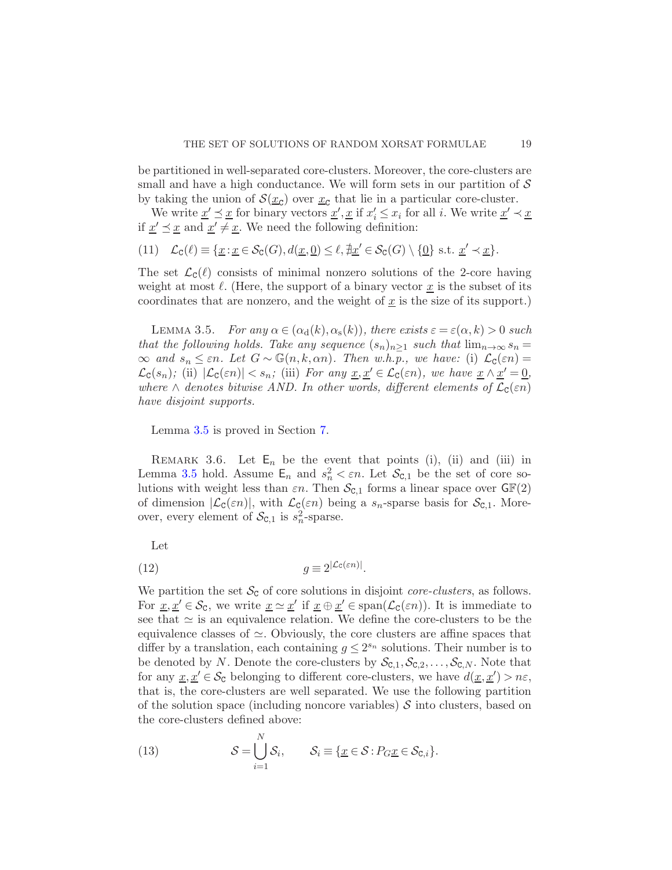be partitioned in well-separated core-clusters. Moreover, the core-clusters are small and have a high conductance. We will form sets in our partition of  $\mathcal S$ by taking the union of  $S(\underline{x}_{\mathcal{C}})$  over  $\underline{x}_{\mathcal{C}}$  that lie in a particular core-cluster.

We write  $\underline{x}' \preceq \underline{x}$  for binary vectors  $\underline{x}', \underline{x}$  if  $x'_i \leq x_i$  for all i. We write  $\underline{x}' \prec \underline{x}$ if  $\underline{x}' \preceq \underline{x}$  and  $\underline{x}' \neq \underline{x}$ . We need the following definition:

$$
(11) \quad \mathcal{L}_{\mathsf{C}}(\ell) \equiv \{ \underline{x} : \underline{x} \in \mathcal{S}_{\mathsf{C}}(G), d(\underline{x}, \underline{0}) \leq \ell, \nexists \underline{x}' \in \mathcal{S}_{\mathsf{C}}(G) \setminus \{ \underline{0} \} \text{ s.t. } \underline{x}' \prec \underline{x} \}.
$$

<span id="page-18-0"></span>The set  $\mathcal{L}_{\mathsf{C}}(\ell)$  consists of minimal nonzero solutions of the 2-core having weight at most  $\ell$ . (Here, the support of a binary vector  $\underline{x}$  is the subset of its coordinates that are nonzero, and the weight of  $\underline{x}$  is the size of its support.)

LEMMA 3.5. For any  $\alpha \in (\alpha_{d}(k), \alpha_{s}(k))$ , there exists  $\varepsilon = \varepsilon(\alpha, k) > 0$  such that the following holds. Take any sequence  $(s_n)_{n>1}$  such that  $\lim_{n\to\infty} s_n =$  $\infty$  and  $s_n \leq \varepsilon n$ . Let  $G \sim \mathbb{G}(n,k,\alpha n)$ . Then w.h.p., we have: (i)  $\mathcal{L}_c(\varepsilon n) =$  $\mathcal{L}_{\mathsf{C}}(s_n)$ ; (ii)  $|\mathcal{L}_{\mathsf{C}}(\varepsilon n)| < s_n$ ; (iii) For any  $\underline{x}, \underline{x}' \in \mathcal{L}_{\mathsf{C}}(\varepsilon n)$ , we have  $\underline{x} \wedge \underline{x}' = \underline{0}$ , where  $\wedge$  denotes bitwise AND. In other words, different elements of  $\mathcal{L}_{\mathsf{C}}(\varepsilon n)$ have disjoint supports.

Lemma [3.5](#page-18-0) is proved in Section [7.](#page-50-0)

REMARK 3.6. Let  $E_n$  be the event that points (i), (ii) and (iii) in Lemma [3.5](#page-18-0) hold. Assume  $\mathsf{E}_n$  and  $s_n^2 < \varepsilon n$ . Let  $\mathcal{S}_{\mathsf{C},1}$  be the set of core solutions with weight less than  $\varepsilon n$ . Then  $\mathcal{S}_{\text{C},1}$  forms a linear space over  $\mathsf{G}\mathbb{F}(2)$ of dimension  $|\mathcal{L}_{\mathsf{C}}(\varepsilon n)|$ , with  $\mathcal{L}_{\mathsf{C}}(\varepsilon n)$  being a  $s_n$ -sparse basis for  $\mathcal{S}_{\mathsf{C},1}$ . Moreover, every element of  $S_{\text{C},1}$  is  $s_n^2$ -sparse.

<span id="page-18-2"></span>Let

(12) 
$$
g \equiv 2^{|\mathcal{L}_{\mathcal{C}}(\varepsilon n)|}.
$$

We partition the set  $\mathcal{S}_{\mathsf{C}}$  of core solutions in disjoint *core-clusters*, as follows. For  $\underline{x}, \underline{x}' \in \mathcal{S}_c$ , we write  $\underline{x} \simeq \underline{x}'$  if  $\underline{x} \oplus \underline{x}' \in \text{span}(\mathcal{L}_c(\varepsilon n))$ . It is immediate to see that  $\simeq$  is an equivalence relation. We define the core-clusters to be the equivalence classes of  $\simeq$ . Obviously, the core clusters are affine spaces that differ by a translation, each containing  $g \leq 2^{s_n}$  solutions. Their number is to be denoted by N. Denote the core-clusters by  $\mathcal{S}_{\text{C},1},\mathcal{S}_{\text{C},2},\ldots,\mathcal{S}_{\text{C},N}$ . Note that for any  $\underline{x}, \underline{x}' \in \mathcal{S}_c$  belonging to different core-clusters, we have  $d(\underline{x}, \underline{x}') > n\varepsilon$ , that is, the core-clusters are well separated. We use the following partition of the solution space (including noncore variables)  $S$  into clusters, based on the core-clusters defined above:

<span id="page-18-1"></span>(13) 
$$
\mathcal{S} = \bigcup_{i=1}^{N} \mathcal{S}_i, \qquad \mathcal{S}_i \equiv \{ \underline{x} \in \mathcal{S} : P_G \underline{x} \in \mathcal{S}_{\text{C},i} \}.
$$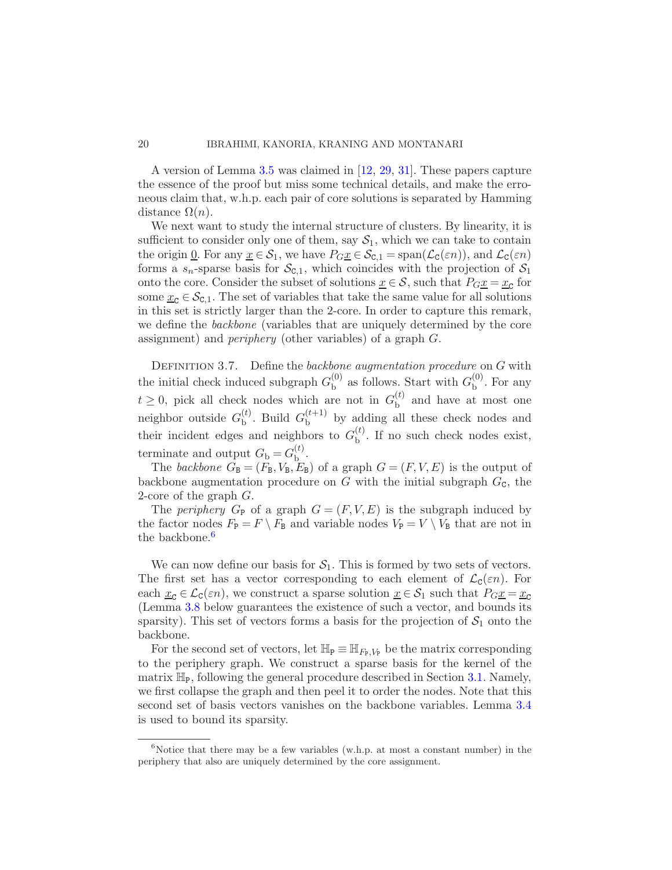A version of Lemma [3.5](#page-18-0) was claimed in [\[12](#page-67-5), [29,](#page-68-5) [31\]](#page-68-10). These papers capture the essence of the proof but miss some technical details, and make the erroneous claim that, w.h.p. each pair of core solutions is separated by Hamming distance  $\Omega(n)$ .

We next want to study the internal structure of clusters. By linearity, it is sufficient to consider only one of them, say  $S_1$ , which we can take to contain the origin <u>0</u>. For any  $\underline{x} \in \mathcal{S}_1$ , we have  $P_{G}\underline{x} \in \mathcal{S}_{C,1} = \text{span}(\mathcal{L}_{C}(\varepsilon n))$ , and  $\mathcal{L}_{C}(\varepsilon n)$ forms a  $s_n$ -sparse basis for  $\mathcal{S}_{c,1}$ , which coincides with the projection of  $\mathcal{S}_1$ onto the core. Consider the subset of solutions  $\underline{x} \in \mathcal{S}$ , such that  $P_{G}\underline{x} = \underline{x}_{\mathcal{C}}$  for some  $x_c \in \mathcal{S}_{c,1}$ . The set of variables that take the same value for all solutions in this set is strictly larger than the 2-core. In order to capture this remark, we define the *backbone* (variables that are uniquely determined by the core assignment) and periphery (other variables) of a graph G.

<span id="page-19-1"></span>DEFINITION 3.7. Define the backbone augmentation procedure on  $G$  with the initial check induced subgraph  $G_{\rm b}^{(0)}$  $_{{\rm b}}^{(0)}$  as follows. Start with  $G_{{\rm b}}^{(0)}$  $b^{\text{(U)}}$ . For any  $t \geq 0$ , pick all check nodes which are not in  $G_{\text{b}}^{(t)}$  $b^{(t)}$  and have at most one neighbor outside  $G_{\rm b}^{(t)}$  $_{\text{b}}^{(t)}$ . Build  $G_{\text{b}}^{(t+1)}$  $b^{\left(t+1\right)}$  by adding all these check nodes and their incident edges and neighbors to  $G_{\rm b}^{(t)}$  $b^{\left(\nu\right)}$ . If no such check nodes exist, terminate and output  $G_{\rm b} = G_{\rm b}^{(t)}$  $\stackrel{(t)}{\underline{\mathsf{b}}\,}$ 

The backbone  $G_{\text{B}} = (F_{\text{B}}, V_{\text{B}}, E_{\text{B}})$  of a graph  $G = (F, V, E)$  is the output of backbone augmentation procedure on  $G$  with the initial subgraph  $G_{\rm C}$ , the 2-core of the graph  $G$ .

The periphery  $G_P$  of a graph  $G = (F, V, E)$  is the subgraph induced by the factor nodes  $F_P = F \setminus F_B$  and variable nodes  $V_P = V \setminus V_B$  that are not in the backbone.<sup>[6](#page-19-0)</sup>

We can now define our basis for  $S_1$ . This is formed by two sets of vectors. The first set has a vector corresponding to each element of  $\mathcal{L}_{\mathcal{C}}(\varepsilon n)$ . For each  $\underline{x}_{\mathcal{C}} \in \mathcal{L}_{\mathcal{C}}(\varepsilon n)$ , we construct a sparse solution  $\underline{x} \in \mathcal{S}_1$  such that  $P_G \underline{x} = \underline{x}_{\mathcal{C}}$ (Lemma [3.8](#page-20-1) below guarantees the existence of such a vector, and bounds its sparsity). This set of vectors forms a basis for the projection of  $S_1$  onto the backbone.

For the second set of vectors, let  $\mathbb{H}_{\mathbb{P}} \equiv \mathbb{H}_{F_{\mathbb{P}}, V_{\mathbb{P}}}$  be the matrix corresponding to the periphery graph. We construct a sparse basis for the kernel of the matrix  $\mathbb{H}_{\mathbb{P}}$ , following the general procedure described in Section [3.1.](#page-14-2) Namely, we first collapse the graph and then peel it to order the nodes. Note that this second set of basis vectors vanishes on the backbone variables. Lemma [3.4](#page-17-0) is used to bound its sparsity.

<span id="page-19-0"></span> $6$ Notice that there may be a few variables (w.h.p. at most a constant number) in the periphery that also are uniquely determined by the core assignment.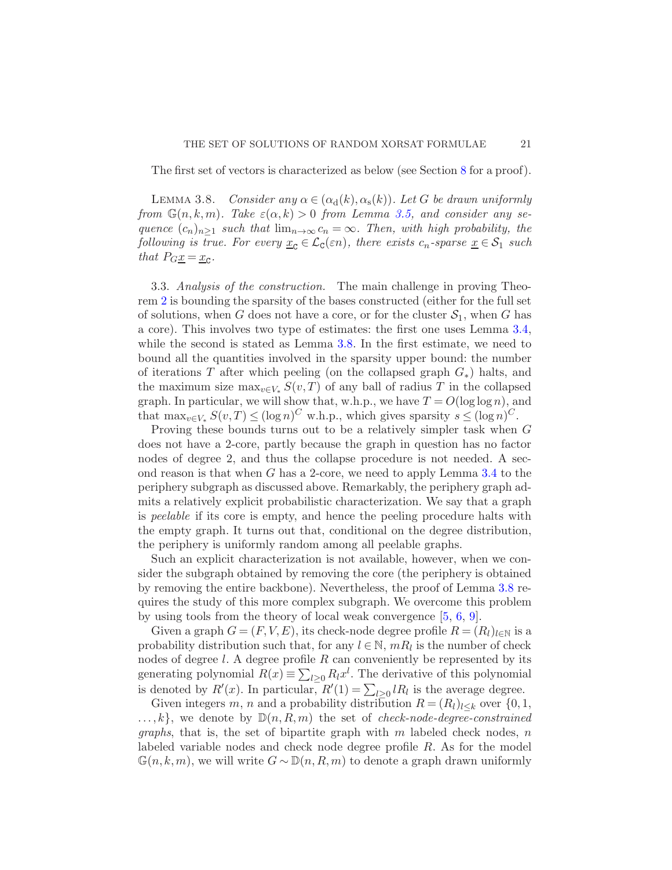<span id="page-20-1"></span>The first set of vectors is characterized as below (see Section [8](#page-57-0) for a proof).

LEMMA 3.8. Consider any  $\alpha \in (\alpha_{d}(k), \alpha_{s}(k))$ . Let G be drawn uniformly from  $\mathbb{G}(n, k, m)$ . Take  $\varepsilon(\alpha, k) > 0$  from Lemma [3.5,](#page-18-0) and consider any sequence  $(c_n)_{n\geq 1}$  such that  $\lim_{n\to\infty} c_n = \infty$ . Then, with high probability, the following is true. For every  $\underline{x}_{\mathsf{C}} \in \mathcal{L}_{\mathsf{C}}(\varepsilon n)$ , there exists  $c_n$ -sparse  $\underline{x} \in \mathcal{S}_1$  such that  $P_G \underline{x} = \underline{x}_C$ .

<span id="page-20-0"></span>3.3. Analysis of the construction. The main challenge in proving Theorem [2](#page-6-1) is bounding the sparsity of the bases constructed (either for the full set of solutions, when G does not have a core, or for the cluster  $S_1$ , when G has a core). This involves two type of estimates: the first one uses Lemma [3.4,](#page-17-0) while the second is stated as Lemma [3.8.](#page-20-1) In the first estimate, we need to bound all the quantities involved in the sparsity upper bound: the number of iterations T after which peeling (on the collapsed graph  $G_*$ ) halts, and the maximum size max<sub>v∈V∗</sub>  $S(v,T)$  of any ball of radius T in the collapsed graph. In particular, we will show that, w.h.p., we have  $T = O(\log \log n)$ , and that  $\max_{v \in V_*} S(v,T) \leq (\log n)^C$  w.h.p., which gives sparsity  $s \leq (\log n)^C$ .

Proving these bounds turns out to be a relatively simpler task when G does not have a 2-core, partly because the graph in question has no factor nodes of degree 2, and thus the collapse procedure is not needed. A second reason is that when  $G$  has a 2-core, we need to apply Lemma [3.4](#page-17-0) to the periphery subgraph as discussed above. Remarkably, the periphery graph admits a relatively explicit probabilistic characterization. We say that a graph is peelable if its core is empty, and hence the peeling procedure halts with the empty graph. It turns out that, conditional on the degree distribution, the periphery is uniformly random among all peelable graphs.

Such an explicit characterization is not available, however, when we consider the subgraph obtained by removing the core (the periphery is obtained by removing the entire backbone). Nevertheless, the proof of Lemma [3.8](#page-20-1) requires the study of this more complex subgraph. We overcome this problem by using tools from the theory of local weak convergence [\[5](#page-67-8), [6](#page-67-9), [9](#page-67-10)].

Given a graph  $G = (F, V, E)$ , its check-node degree profile  $R = (R_l)_{l \in \mathbb{N}}$  is a probability distribution such that, for any  $l \in \mathbb{N}$ ,  $mR_l$  is the number of check nodes of degree  $l$ . A degree profile R can conveniently be represented by its generating polynomial  $R(x) \equiv \sum_{l\geq 0} R_l x^l$ . The derivative of this polynomial is denoted by  $R'(x)$ . In particular,  $R'(1) = \sum_{l \geq 0} lR_l$  is the average degree.

Given integers m, n and a probability distribution  $R = (R_l)_{l \leq k}$  over  $\{0, 1, \}$  $..., k$ , we denote by  $\mathbb{D}(n, R, m)$  the set of *check-node-degree-constrained graphs*, that is, the set of bipartite graph with m labeled check nodes, n labeled variable nodes and check node degree profile R. As for the model  $\mathbb{G}(n, k, m)$ , we will write  $G \sim \mathbb{D}(n, R, m)$  to denote a graph drawn uniformly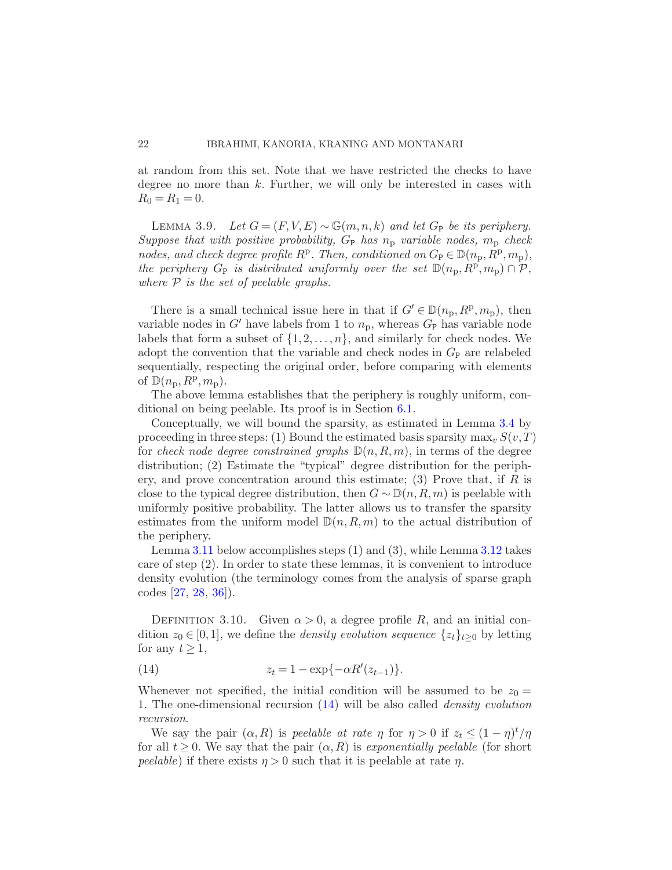<span id="page-21-1"></span>at random from this set. Note that we have restricted the checks to have degree no more than  $k$ . Further, we will only be interested in cases with  $R_0 = R_1 = 0.$ 

LEMMA 3.9. Let  $G = (F, V, E) \sim \mathbb{G}(m, n, k)$  and let  $G_P$  be its periphery. Suppose that with positive probability,  $G_P$  has  $n_p$  variable nodes,  $m_p$  check nodes, and check degree profile  $R^p$ . Then, conditioned on  $G_P \in \mathbb{D}(n_p, R^p, m_p)$ , the periphery  $G_P$  is distributed uniformly over the set  $\mathbb{D}(n_p, R^p, m_p) \cap \mathcal{P}$ , where  $P$  is the set of peelable graphs.

There is a small technical issue here in that if  $G' \in \mathbb{D}(n_p, R^p, m_p)$ , then variable nodes in G' have labels from 1 to  $n_p$ , whereas  $G_P$  has variable node labels that form a subset of  $\{1, 2, \ldots, n\}$ , and similarly for check nodes. We adopt the convention that the variable and check nodes in  $G_{\rm P}$  are relabeled sequentially, respecting the original order, before comparing with elements of  $\mathbb{D}(n_{\rm p}, R^{\rm p}, m_{\rm p}).$ 

The above lemma establishes that the periphery is roughly uniform, conditional on being peelable. Its proof is in Section [6.1.](#page-44-1)

Conceptually, we will bound the sparsity, as estimated in Lemma [3.4](#page-17-0) by proceeding in three steps: (1) Bound the estimated basis sparsity  $\max_{v} S(v, T)$ for check node degree constrained graphs  $\mathbb{D}(n, R, m)$ , in terms of the degree distribution; (2) Estimate the "typical" degree distribution for the periphery, and prove concentration around this estimate; (3) Prove that, if  $R$  is close to the typical degree distribution, then  $G \sim \mathbb{D}(n, R, m)$  is peelable with uniformly positive probability. The latter allows us to transfer the sparsity estimates from the uniform model  $\mathbb{D}(n, R, m)$  to the actual distribution of the periphery.

Lemma [3.11](#page-22-1) below accomplishes steps (1) and (3), while Lemma [3.12](#page-22-2) takes care of step (2). In order to state these lemmas, it is convenient to introduce density evolution (the terminology comes from the analysis of sparse graph codes [\[27](#page-68-1), [28,](#page-68-2) [36](#page-69-0)]).

DEFINITION 3.10. Given  $\alpha > 0$ , a degree profile R, and an initial condition  $z_0 \in [0, 1]$ , we define the *density evolution sequence*  $\{z_t\}_{t>0}$  by letting for any  $t \geq 1$ ,

<span id="page-21-0"></span>(14) 
$$
z_t = 1 - \exp\{-\alpha R'(z_{t-1})\}.
$$

Whenever not specified, the initial condition will be assumed to be  $z_0 =$ 1. The one-dimensional recursion [\(14\)](#page-21-0) will be also called density evolution recursion.

We say the pair  $(\alpha, R)$  is peelable at rate  $\eta$  for  $\eta > 0$  if  $z_t \leq (1 - \eta)^t / \eta$ for all  $t \geq 0$ . We say that the pair  $(\alpha, R)$  is exponentially peelable (for short *peelable*) if there exists  $\eta > 0$  such that it is peelable at rate  $\eta$ .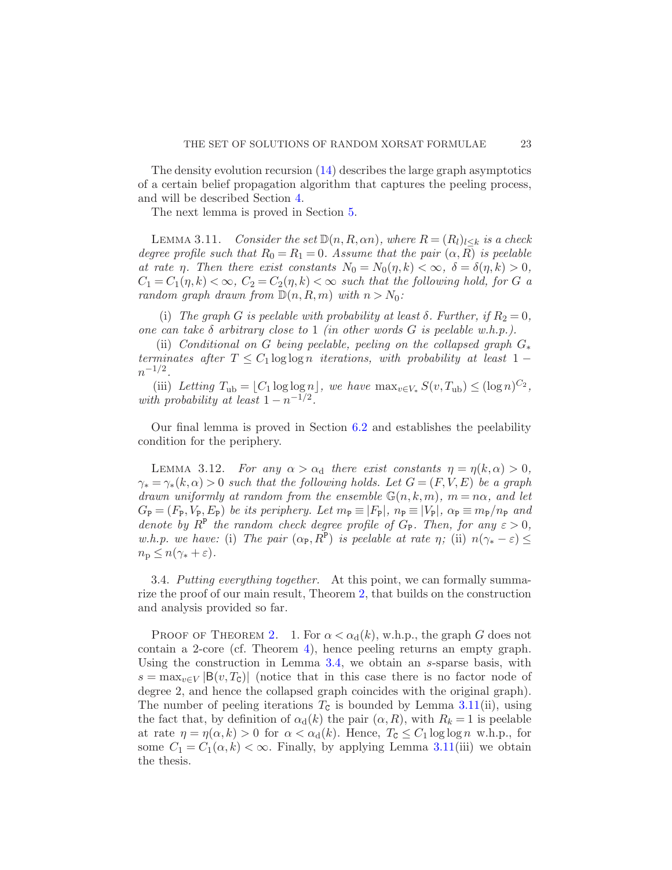The density evolution recursion  $(14)$  describes the large graph asymptotics of a certain belief propagation algorithm that captures the peeling process, and will be described Section [4.](#page-24-0)

<span id="page-22-1"></span>The next lemma is proved in Section [5.](#page-39-0)

LEMMA 3.11. Consider the set  $\mathbb{D}(n, R, \alpha n)$ , where  $R = (R_l)_{l \leq k}$  is a check degree profile such that  $R_0 = R_1 = 0$ . Assume that the pair  $(\alpha, R)$  is peelable at rate *η*. Then there exist constants  $N_0 = N_0(\eta, k) < \infty$ ,  $\delta = \delta(\eta, k) > 0$ ,  $C_1 = C_1(\eta, k) < \infty$ ,  $C_2 = C_2(\eta, k) < \infty$  such that the following hold, for G a random graph drawn from  $\mathbb{D}(n, R, m)$  with  $n > N_0$ :

(i) The graph G is peelable with probability at least  $\delta$ . Further, if  $R_2 = 0$ , one can take  $\delta$  arbitrary close to 1 (in other words G is peelable w.h.p.).

(ii) Conditional on G being peelable, peeling on the collapsed graph  $G_*$ terminates after  $T \leq C_1 \log \log n$  iterations, with probability at least 1 −  $n^{-1/2}$ .

(iii) Letting  $T_{\text{ub}} = \lfloor C_1 \log \log n \rfloor$ , we have  $\max_{v \in V_*} S(v, T_{\text{ub}}) \leq (\log n)^{C_2}$ , with probability at least  $1 - n^{-1/2}$ .

<span id="page-22-2"></span>Our final lemma is proved in Section [6.2](#page-48-0) and establishes the peelability condition for the periphery.

LEMMA 3.12. For any  $\alpha > \alpha_d$  there exist constants  $\eta = \eta(k, \alpha) > 0$ ,  $\gamma_* = \gamma_*(k, \alpha) > 0$  such that the following holds. Let  $G = (F, V, E)$  be a graph drawn uniformly at random from the ensemble  $\mathbb{G}(n,k,m)$ ,  $m = n\alpha$ , and let  $G_P = (F_P, V_P, E_P)$  be its periphery. Let  $m_P \equiv |F_P|$ ,  $n_P \equiv |V_P|$ ,  $\alpha_P \equiv m_P/n_P$  and denote by  $R^{\text{P}}$  the random check degree profile of  $G_{\text{P}}$ . Then, for any  $\varepsilon > 0$ , w.h.p. we have: (i) The pair  $(\alpha_{\mathbb{P}}, R^{\mathbb{P}})$  is peelable at rate  $\eta$ ; (ii)  $n(\gamma_* - \varepsilon) \leq$  $n_{\rm p} \leq n(\gamma_* + \varepsilon).$ 

<span id="page-22-0"></span>3.4. Putting everything together. At this point, we can formally summarize the proof of our main result, Theorem [2,](#page-6-1) that builds on the construction and analysis provided so far.

PROOF OF THEOREM [2.](#page-6-1) 1. For  $\alpha < \alpha_d(k)$ , w.h.p., the graph G does not contain a 2-core (cf. Theorem [4\)](#page-13-0), hence peeling returns an empty graph. Using the construction in Lemma [3.4,](#page-17-0) we obtain an  $s$ -sparse basis, with  $s = \max_{v \in V} |B(v, T_{c})|$  (notice that in this case there is no factor node of degree 2, and hence the collapsed graph coincides with the original graph). The number of peeling iterations  $T_c$  is bounded by Lemma [3.11\(](#page-22-1)ii), using the fact that, by definition of  $\alpha_d(k)$  the pair  $(\alpha, R)$ , with  $R_k = 1$  is peelable at rate  $\eta = \eta(\alpha, k) > 0$  for  $\alpha < \alpha_d(k)$ . Hence,  $T_c \leq C_1 \log \log n$  w.h.p., for some  $C_1 = C_1(\alpha, k) < \infty$ . Finally, by applying Lemma [3.11\(](#page-22-1)iii) we obtain the thesis.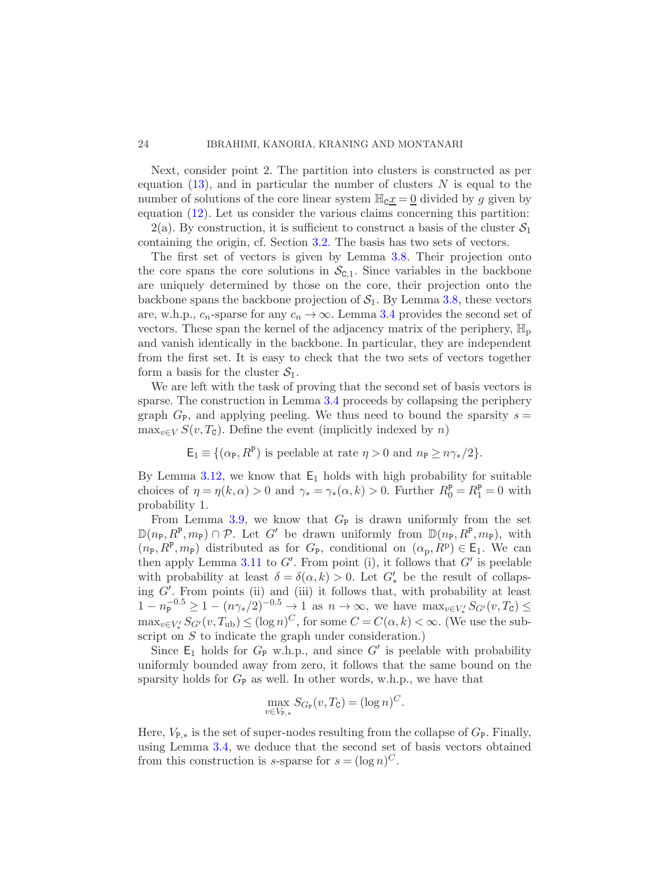Next, consider point 2. The partition into clusters is constructed as per equation  $(13)$ , and in particular the number of clusters N is equal to the number of solutions of the core linear system  $\mathbb{H}_{\mathbb{C}} x = 0$  divided by g given by equation [\(12\)](#page-18-2). Let us consider the various claims concerning this partition:

2(a). By construction, it is sufficient to construct a basis of the cluster  $S_1$ containing the origin, cf. Section [3.2.](#page-17-1) The basis has two sets of vectors.

The first set of vectors is given by Lemma [3.8.](#page-20-1) Their projection onto the core spans the core solutions in  $\mathcal{S}_{c,1}$ . Since variables in the backbone are uniquely determined by those on the core, their projection onto the backbone spans the backbone projection of  $S_1$ . By Lemma [3.8,](#page-20-1) these vectors are, w.h.p.,  $c_n$ -sparse for any  $c_n \to \infty$ . Lemma [3.4](#page-17-0) provides the second set of vectors. These span the kernel of the adjacency matrix of the periphery,  $\mathbb{H}_{\text{p}}$ and vanish identically in the backbone. In particular, they are independent from the first set. It is easy to check that the two sets of vectors together form a basis for the cluster  $S_1$ .

We are left with the task of proving that the second set of basis vectors is sparse. The construction in Lemma [3.4](#page-17-0) proceeds by collapsing the periphery graph  $G_{\rm P}$ , and applying peeling. We thus need to bound the sparsity  $s =$  $\max_{v \in V} S(v, T_c)$ . Define the event (implicitly indexed by n)

 $\mathsf{E}_1 \equiv \{(\alpha_{\mathsf{P}}, \mathbb{R}^{\mathsf{P}}) \text{ is peelable at rate } \eta > 0 \text{ and } n_{\mathsf{P}} \geq n\gamma_*/2\}.$ 

By Lemma [3.12,](#page-22-2) we know that  $E_1$  holds with high probability for suitable choices of  $\eta = \eta(k, \alpha) > 0$  and  $\gamma_* = \gamma_*(\alpha, k) > 0$ . Further  $R_0^{\mathbf{p}} = R_1^{\mathbf{p}} = 0$  with probability 1.

From Lemma [3.9,](#page-21-1) we know that  $G_P$  is drawn uniformly from the set  $\mathbb{D}(n_{\text{P}}, R^{\text{P}}, m_{\text{P}}) \cap \mathcal{P}$ . Let G' be drawn uniformly from  $\mathbb{D}(n_{\text{P}}, R^{\text{P}}, m_{\text{P}})$ , with  $(n_P, R^P, m_P)$  distributed as for  $G_P$ , conditional on  $(\alpha_P, R^P) \in \mathsf{E}_1$ . We can then apply Lemma [3.11](#page-22-1) to  $G'$ . From point (i), it follows that  $G'$  is peelable with probability at least  $\delta = \delta(\alpha, k) > 0$ . Let  $G'_{*}$  be the result of collapsing G′ . From points (ii) and (iii) it follows that, with probability at least  $1 - n_{\rm P}^{-0.5} \geq 1 - (n_{\gamma*}/2)^{-0.5} \to 1$  as  $n \to \infty$ , we have  $\max_{v \in V'_*} S_{G'}(v, T_{\rm C}) \leq$  $\max_{v \in V'_*} S_{G'}(v, T_{ub}) \leq (\log n)^C$ , for some  $C = C(\alpha, k) < \infty$ . (We use the subscript on S to indicate the graph under consideration.)

Since  $E_1$  holds for  $G_P$  w.h.p., and since  $G'$  is peelable with probability uniformly bounded away from zero, it follows that the same bound on the sparsity holds for  $G_P$  as well. In other words, w.h.p., we have that

$$
\max_{v \in V_{\mathsf{P},*}} S_{G_{\mathsf{P}}}(v, T_{\mathsf{C}}) = (\log n)^C.
$$

Here,  $V_{\mathbb{P},*}$  is the set of super-nodes resulting from the collapse of  $G_{\mathbb{P}}$ . Finally, using Lemma [3.4,](#page-17-0) we deduce that the second set of basis vectors obtained from this construction is *s*-sparse for  $s = (\log n)^C$ .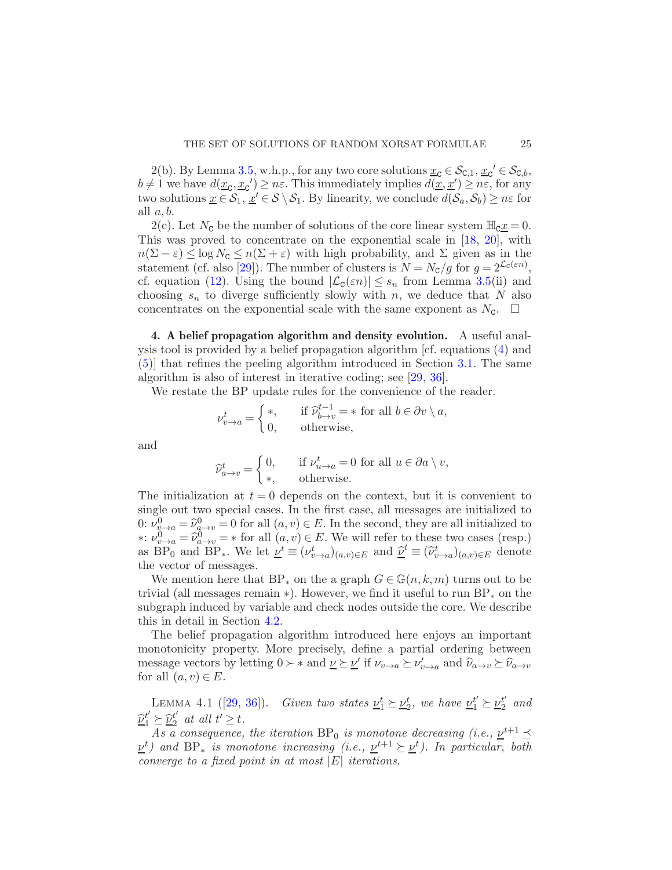2(b). By Lemma [3.5,](#page-18-0) w.h.p., for any two core solutions  $\underline{x}_{\mathcal{C}} \in \mathcal{S}_{\mathcal{C},1}, \underline{x}_{\mathcal{C}}' \in \mathcal{S}_{\mathcal{C},b}$ ,  $b \neq 1$  we have  $d(\underline{x}_c, \underline{x}_c') \geq n\varepsilon$ . This immediately implies  $d(\underline{x}, \underline{x}') \geq n\varepsilon$ , for any two solutions  $\underline{x} \in \mathcal{S}_1$ ,  $\underline{x}' \in \mathcal{S} \setminus \mathcal{S}_1$ . By linearity, we conclude  $d(\mathcal{S}_a, \mathcal{S}_b) \ge n\varepsilon$  for all  $a, b$ .

2(c). Let  $N_c$  be the number of solutions of the core linear system  $\mathbb{H}_c \underline{x} = 0$ . This was proved to concentrate on the exponential scale in [\[18](#page-68-0), [20](#page-68-9)], with  $n(\Sigma - \varepsilon) \leq \log N_c \leq n(\Sigma + \varepsilon)$  with high probability, and  $\Sigma$  given as in the statement (cf. also [\[29](#page-68-5)]). The number of clusters is  $N = N_c/g$  for  $g = 2^{\mathcal{L}_c(\varepsilon n)}$ , cf. equation [\(12\)](#page-18-2). Using the bound  $|\mathcal{L}_{\mathsf{C}}(\varepsilon n)| \leq s_n$  from Lemma [3.5\(](#page-18-0)ii) and choosing  $s_n$  to diverge sufficiently slowly with n, we deduce that N also concentrates on the exponential scale with the same exponent as  $N_c$ .  $\Box$ 

<span id="page-24-0"></span>4. A belief propagation algorithm and density evolution. A useful analysis tool is provided by a belief propagation algorithm [cf. equations [\(4\)](#page-8-1) and [\(5\)](#page-8-2)] that refines the peeling algorithm introduced in Section [3.1.](#page-14-2) The same algorithm is also of interest in iterative coding; see [\[29](#page-68-5), [36\]](#page-69-0).

We restate the BP update rules for the convenience of the reader.

$$
\nu^t_{v \to a} = \begin{cases} *, & \text{if } \widehat{\nu}^{t-1}_{b \to v} = * \text{ for all } b \in \partial v \setminus a, \\ 0, & \text{otherwise,} \end{cases}
$$

and

$$
\widehat{\nu}_{a \to v}^t = \begin{cases} 0, & \text{if } \nu_{u \to a}^t = 0 \text{ for all } u \in \partial a \setminus v, \\ \ast, & \text{otherwise.} \end{cases}
$$

The initialization at  $t = 0$  depends on the context, but it is convenient to single out two special cases. In the first case, all messages are initialized to  $0: \nu_{\omega \to a}^0 = \widehat{\nu}_{a \to v}^0 = 0$  for all  $(a, v) \in E$ . In the second, they are all initialized to \*:  $\nu_{v\to a}^0 = \hat{\nu}_{a\to v}^0 = *$  for all  $(a, v) \in E$ . We will refer to these two cases (resp.) as  $\overline{BP}_0$  and  $\overline{BP}_*$ . We let  $\underline{\nu}^t \equiv (\nu^t_{v \to a})_{(a,v) \in E}$  and  $\underline{\hat{\nu}}^t \equiv (\hat{\nu}^t_{v \to a})_{(a,v) \in E}$  denote the vector of messages.

We mention here that  $BP_*$  on the a graph  $G \in \mathbb{G}(n,k,m)$  turns out to be trivial (all messages remain  $\ast$ ). However, we find it useful to run BP<sub>\*</sub> on the subgraph induced by variable and check nodes outside the core. We describe this in detail in Section [4.2.](#page-28-0)

The belief propagation algorithm introduced here enjoys an important monotonicity property. More precisely, define a partial ordering between message vectors by letting  $0 \succ *$  and  $\underline{\nu} \succeq \underline{\nu}'$  if  $\nu_{v \to a} \succeq \nu'_{v \to a}$  and  $\widehat{\nu}_{a \to v} \succeq \widehat{\nu}_{a \to v}$ for all  $(a, v) \in E$ .

<span id="page-24-1"></span>LEMMA 4.1 ([\[29,](#page-68-5) [36\]](#page-69-0)). Given two states  $\underline{\nu}_1^t \succeq \underline{\nu}_2^t$ , we have  $\underline{\nu}_1^{t'} \succeq \underline{\nu}_2^{t'}$  $_2^t$  and  $\mathcal{D}_1^{t'} \succeq \mathcal{D}_2^{t'}$  at all  $t' \geq t$ .

As a consequence, the iteration BP<sub>0</sub> is monotone decreasing (i.e.,  $\underline{\nu}^{t+1} \preceq$  $\underline{\nu}^t$ ) and BP<sub>\*</sub> is monotone increasing (i.e.,  $\underline{\nu}^{t+1} \succeq \underline{\nu}^t$ ). In particular, both converge to a fixed point in at most  $|E|$  iterations.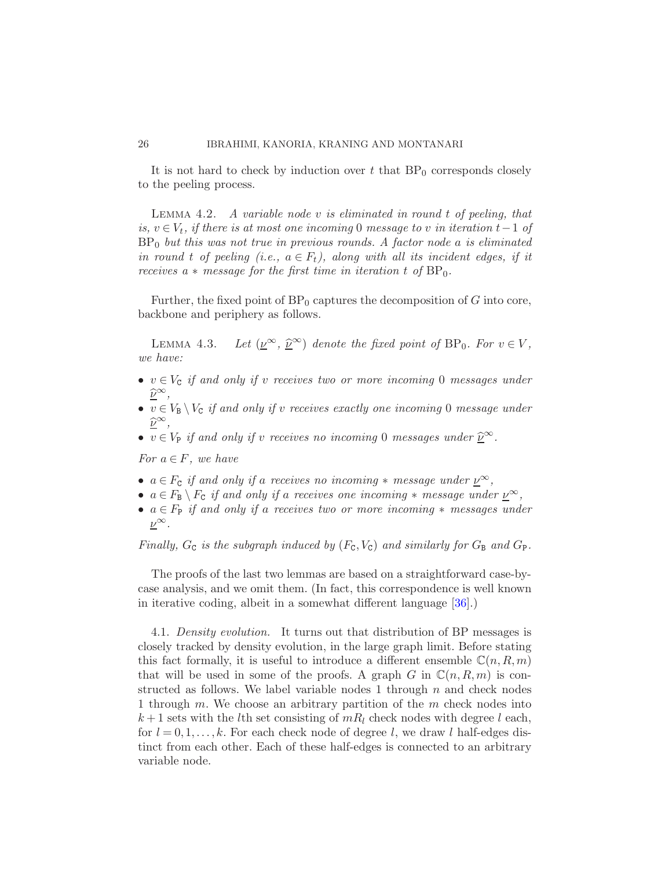<span id="page-25-1"></span>It is not hard to check by induction over t that  $BP_0$  corresponds closely to the peeling process.

LEMMA  $4.2.$  A variable node v is eliminated in round t of peeling, that is,  $v \in V_t$ , if there is at most one incoming 0 message to v in iteration  $t-1$  of  $BP_0$  but this was not true in previous rounds. A factor node a is eliminated in round t of peeling (i.e.,  $a \in F_t$ ), along with all its incident edges, if it receives a  $*$  message for the first time in iteration t of  $BP_0$ .

<span id="page-25-0"></span>Further, the fixed point of  $BP_0$  captures the decomposition of G into core, backbone and periphery as follows.

LEMMA 4.3. Let  $(\underline{\nu}^{\infty}, \underline{\widehat{\nu}}^{\infty})$  denote the fixed point of BP<sub>0</sub>. For  $v \in V$ , we have:

- $v \in V_c$  if and only if v receives two or more incoming 0 messages under  $\frac{\widehat{\nu}^{\infty}}{\nu}$
- $v \in V_B \setminus V_C$  if and only if v receives exactly one incoming 0 message under  $\hat{\nu}$ ∞,
- $v \in V_P$  if and only if v receives no incoming 0 messages under  $\underline{\hat{\nu}}^{\infty}$ .

For  $a \in F$ , we have

- $a \in F_c$  if and only if a receives no incoming  $*$  message under  $\underline{\nu}^{\infty}$ ,
- $a \in F_B \setminus F_C$  if and only if a receives one incoming  $*$  message under  $\underline{\nu}^{\infty}$ ,
- $a \in F_P$  if and only if a receives two or more incoming  $*$  messages under  $\nu^{\infty}$ .

Finally,  $G_c$  is the subgraph induced by  $(F_c, V_c)$  and similarly for  $G_B$  and  $G_P$ .

The proofs of the last two lemmas are based on a straightforward case-bycase analysis, and we omit them. (In fact, this correspondence is well known in iterative coding, albeit in a somewhat different language [\[36](#page-69-0)].)

<span id="page-25-2"></span>4.1. Density evolution. It turns out that distribution of BP messages is closely tracked by density evolution, in the large graph limit. Before stating this fact formally, it is useful to introduce a different ensemble  $\mathbb{C}(n, R, m)$ that will be used in some of the proofs. A graph G in  $\mathbb{C}(n, R, m)$  is constructed as follows. We label variable nodes 1 through  $n$  and check nodes 1 through  $m$ . We choose an arbitrary partition of the  $m$  check nodes into  $k+1$  sets with the *l*th set consisting of  $mR_l$  check nodes with degree *l* each, for  $l = 0, 1, \ldots, k$ . For each check node of degree l, we draw l half-edges distinct from each other. Each of these half-edges is connected to an arbitrary variable node.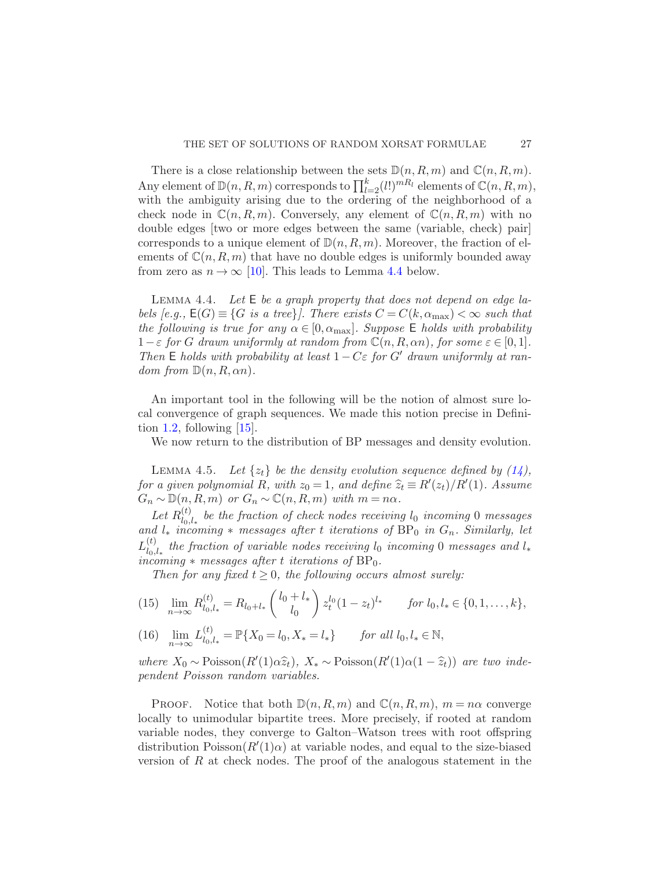There is a close relationship between the sets  $\mathbb{D}(n, R, m)$  and  $\mathbb{C}(n, R, m)$ . Any element of  $\mathbb{D}(n, R, m)$  corresponds to  $\prod_{l=2}^{k} (l!)^{mR_l}$  elements of  $\mathbb{C}(n, R, m)$ , with the ambiguity arising due to the ordering of the neighborhood of a check node in  $\mathbb{C}(n, R, m)$ . Conversely, any element of  $\mathbb{C}(n, R, m)$  with no double edges [two or more edges between the same (variable, check) pair] corresponds to a unique element of  $\mathbb{D}(n, R, m)$ . Moreover, the fraction of elements of  $\mathbb{C}(n, R, m)$  that have no double edges is uniformly bounded away from zero as  $n \to \infty$  [\[10\]](#page-67-11). This leads to Lemma [4.4](#page-26-0) below.

<span id="page-26-0"></span>LEMMA 4.4. Let  $E$  be a graph property that does not depend on edge labels  $[e.g., \mathsf{E}(G) \equiv \{G \text{ is a tree}\}\}\$ . There exists  $C = C(k, \alpha_{\text{max}}) < \infty$  such that the following is true for any  $\alpha \in [0, \alpha_{\text{max}}]$ . Suppose E holds with probability  $1-\varepsilon$  for G drawn uniformly at random from  $\mathbb{C}(n, R, \alpha n)$ , for some  $\varepsilon \in [0,1]$ . Then E holds with probability at least  $1-C\varepsilon$  for G' drawn uniformly at random from  $\mathbb{D}(n, R, \alpha n)$ .

An important tool in the following will be the notion of almost sure local convergence of graph sequences. We made this notion precise in Defini-tion [1.2,](#page-9-0) following  $[15]$ .

<span id="page-26-1"></span>We now return to the distribution of BP messages and density evolution.

LEMMA 4.5. Let  $\{z_t\}$  be the density evolution sequence defined by  $(14)$ , for a given polynomial R, with  $z_0 = 1$ , and define  $\hat{z}_t \equiv R'(z_t)/R'(1)$ . Assume  $G_n \sim \mathbb{D}(n, R, m)$  or  $G_n \sim \mathbb{C}(n, R, m)$  with  $m = n\alpha$ .

Let  $R_{l_0}^{(t)}$  $\int_{l_0,l_*}^{l_0}$  be the fraction of check nodes receiving  $l_0$  incoming 0 messages and  $l_*$  incoming  $*$  messages after t iterations of  $BP_0$  in  $G_n$ . Similarly, let  $L^{(t)}_{l_0}$  $\int_{l_0,l_*}^{l_0}$  the fraction of variable nodes receiving  $l_0$  incoming 0 messages and  $l_*$ incoming  $*$  messages after t iterations of  $BP_0$ .

Then for any fixed  $t \geq 0$ , the following occurs almost surely:

<span id="page-26-2"></span>(15) 
$$
\lim_{n \to \infty} R_{l_0, l_*}^{(t)} = R_{l_0 + l_*} \left( \frac{l_0 + l_*}{l_0} \right) z_t^{l_0} (1 - z_t)^{l_*} \quad \text{for } l_0, l_* \in \{0, 1, \dots, k\},
$$

 $\lim_{n\to\infty} L_{l_0}^{(t)}$  $l(16)$   $\lim_{n\to\infty} L_{l_0,l_*}^{(t)} = \mathbb{P}\{X_0 = l_0, X_* = l_*\}$  for all  $l_0, l_* \in \mathbb{N}$ ,

where  $X_0 \sim \text{Poisson}(R'(1)\alpha \hat{z}_t), X_* \sim \text{Poisson}(R'(1)\alpha(1-\hat{z}_t))$  are two independent Poisson random variables.

**PROOF.** Notice that both  $\mathbb{D}(n, R, m)$  and  $\mathbb{C}(n, R, m)$ ,  $m = n\alpha$  converge locally to unimodular bipartite trees. More precisely, if rooted at random variable nodes, they converge to Galton–Watson trees with root offspring distribution  $Poisson(R'(1)\alpha)$  at variable nodes, and equal to the size-biased version of  $R$  at check nodes. The proof of the analogous statement in the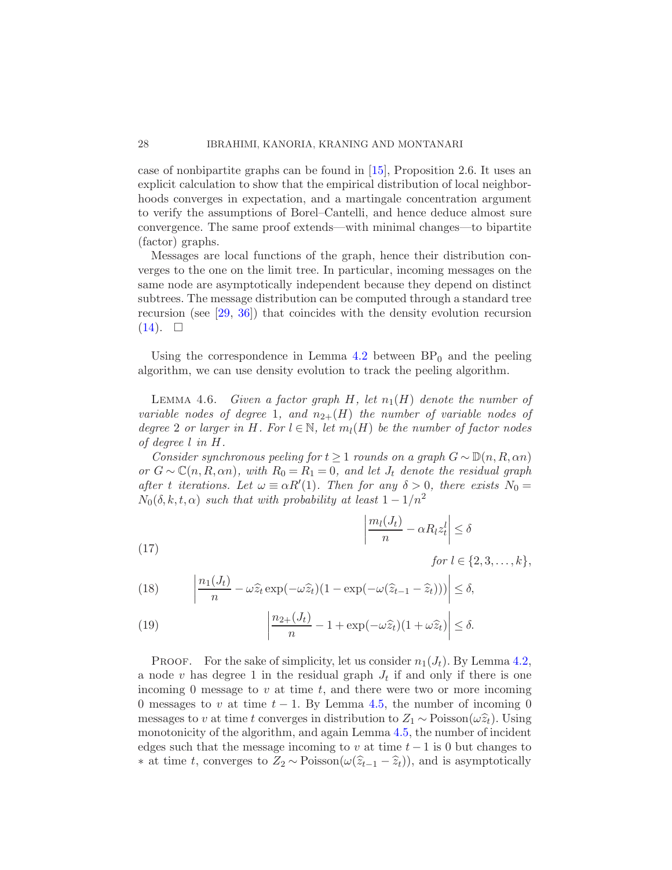case of nonbipartite graphs can be found in [\[15\]](#page-67-7), Proposition 2.6. It uses an explicit calculation to show that the empirical distribution of local neighborhoods converges in expectation, and a martingale concentration argument to verify the assumptions of Borel–Cantelli, and hence deduce almost sure convergence. The same proof extends—with minimal changes—to bipartite (factor) graphs.

Messages are local functions of the graph, hence their distribution converges to the one on the limit tree. In particular, incoming messages on the same node are asymptotically independent because they depend on distinct subtrees. The message distribution can be computed through a standard tree recursion (see [\[29,](#page-68-5) [36\]](#page-69-0)) that coincides with the density evolution recursion  $(14)$ .  $\Box$ 

<span id="page-27-1"></span>Using the correspondence in Lemma  $4.2$  between  $BP_0$  and the peeling algorithm, we can use density evolution to track the peeling algorithm.

LEMMA 4.6. Given a factor graph H, let  $n_1(H)$  denote the number of variable nodes of degree 1, and  $n_{2+}(H)$  the number of variable nodes of degree 2 or larger in H. For  $l \in \mathbb{N}$ , let  $m_l(H)$  be the number of factor nodes of degree l in H.

Consider synchronous peeling for  $t \geq 1$  rounds on a graph  $G \sim \mathbb{D}(n, R, \alpha n)$ or  $G \sim \mathbb{C}(n, R, \alpha n)$ , with  $R_0 = R_1 = 0$ , and let  $J_t$  denote the residual graph after t iterations. Let  $\omega \equiv \alpha R'(1)$ . Then for any  $\delta > 0$ , there exists  $N_0 =$  $N_0(\delta, k, t, \alpha)$  such that with probability at least  $1 - 1/n^2$ 

(17) 
$$
\left| \frac{m_l(J_t)}{n} - \alpha R_l z_t^l \right| \le \delta
$$

<span id="page-27-0"></span>for  $l \in \{2, 3, ..., k\},\$ 

(18) 
$$
\left| \frac{n_1(J_t)}{n} - \omega \widehat{z}_t \exp(-\omega \widehat{z}_t)(1 - \exp(-\omega(\widehat{z}_{t-1} - \widehat{z}_t))) \right| \le \delta,
$$

(19) 
$$
\left| \frac{n_{2+}(J_t)}{n} - 1 + \exp(-\omega \widehat{z}_t)(1 + \omega \widehat{z}_t) \right| \le \delta.
$$

**PROOF.** For the sake of simplicity, let us consider  $n_1(J_t)$ . By Lemma [4.2,](#page-25-1) a node v has degree 1 in the residual graph  $J_t$  if and only if there is one incoming 0 message to  $v$  at time  $t$ , and there were two or more incoming 0 messages to v at time  $t - 1$ . By Lemma [4.5,](#page-26-1) the number of incoming 0 messages to v at time t converges in distribution to  $Z_1 \sim \text{Poisson}(\omega \hat{z}_t)$ . Using monotonicity of the algorithm, and again Lemma [4.5,](#page-26-1) the number of incident edges such that the message incoming to v at time  $t-1$  is 0 but changes to ∗ at time t, converges to  $Z_2 \sim \text{Poisson}(\omega(\hat{z}_{t-1} - \hat{z}_t))$ , and is asymptotically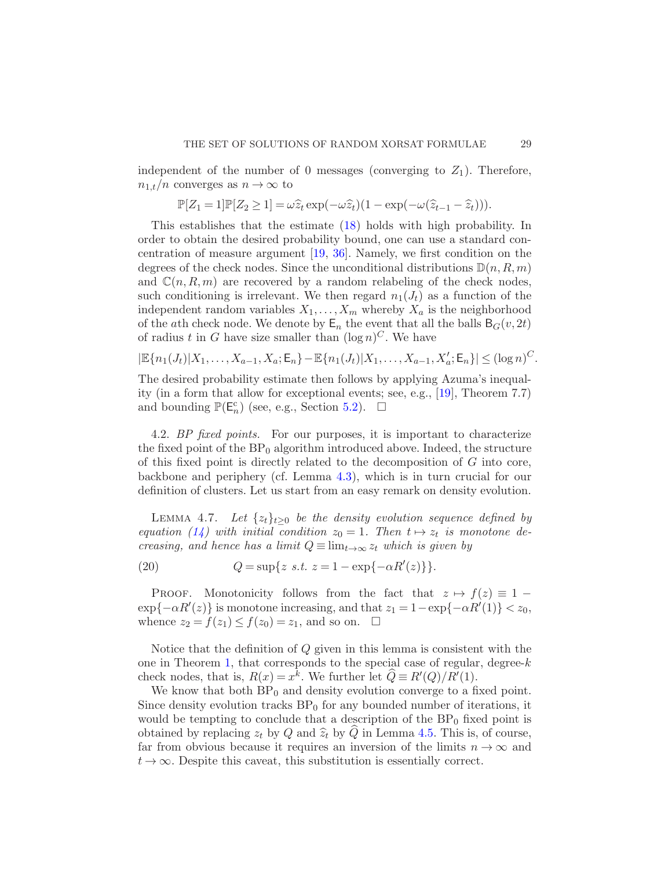independent of the number of 0 messages (converging to  $Z_1$ ). Therefore,  $n_{1,t}/n$  converges as  $n \to \infty$  to

$$
\mathbb{P}[Z_1=1]\mathbb{P}[Z_2\geq 1]=\omega\widehat{z}_t\exp(-\omega\widehat{z}_t)(1-\exp(-\omega(\widehat{z}_{t-1}-\widehat{z}_t))).
$$

This establishes that the estimate [\(18\)](#page-27-0) holds with high probability. In order to obtain the desired probability bound, one can use a standard concentration of measure argument [\[19](#page-68-14), [36](#page-69-0)]. Namely, we first condition on the degrees of the check nodes. Since the unconditional distributions  $\mathbb{D}(n, R, m)$ and  $\mathbb{C}(n, R, m)$  are recovered by a random relabeling of the check nodes, such conditioning is irrelevant. We then regard  $n_1(J_t)$  as a function of the independent random variables  $X_1, \ldots, X_m$  whereby  $X_a$  is the neighborhood of the ath check node. We denote by  $\mathsf{E}_n$  the event that all the balls  $\mathsf{B}_G(v, 2t)$ of radius t in G have size smaller than  $(\log n)^C$ . We have

$$
|\mathbb{E}\{n_1(J_t)|X_1,\ldots,X_{a-1},X_a;\mathsf{E}_n\}-\mathbb{E}\{n_1(J_t)|X_1,\ldots,X_{a-1},X'_a;\mathsf{E}_n\}|\leq (\log n)^C.
$$

The desired probability estimate then follows by applying Azuma's inequality (in a form that allow for exceptional events; see, e.g., [\[19](#page-68-14)], Theorem 7.7) and bounding  $\mathbb{P}(\mathsf{E}_n^c)$  (see, e.g., Section [5.2\)](#page-42-0).  $\Box$ 

<span id="page-28-0"></span>4.2. BP fixed points. For our purposes, it is important to characterize the fixed point of the  $BP_0$  algorithm introduced above. Indeed, the structure of this fixed point is directly related to the decomposition of G into core, backbone and periphery (cf. Lemma [4.3\)](#page-25-0), which is in turn crucial for our definition of clusters. Let us start from an easy remark on density evolution.

<span id="page-28-2"></span>LEMMA 4.7. Let  $\{z_t\}_{t\geq 0}$  be the density evolution sequence defined by equation [\(14\)](#page-21-0) with initial condition  $z_0 = 1$ . Then  $t \mapsto z_t$  is monotone decreasing, and hence has a limit  $Q \equiv \lim_{t\to\infty} z_t$  which is given by

(20) 
$$
Q = \sup\{z \ s.t. \ z = 1 - \exp\{-\alpha R'(z)\}\}.
$$

PROOF. Monotonicity follows from the fact that  $z \mapsto f(z) \equiv 1 \exp\{-\alpha R'(z)\}\$ is monotone increasing, and that  $z_1 = 1 - \exp\{-\alpha R'(1)\} < z_0$ , whence  $z_2 = f(z_1) \le f(z_0) = z_1$ , and so on.  $\Box$ 

Notice that the definition of Q given in this lemma is consistent with the one in Theorem [1,](#page-5-0) that corresponds to the special case of regular, degree- $k$ check nodes, that is,  $R(x) = x^k$ . We further let  $\widehat{Q} \equiv R'(Q)/R'(1)$ .

<span id="page-28-1"></span>We know that both  $BP_0$  and density evolution converge to a fixed point. Since density evolution tracks  $BP_0$  for any bounded number of iterations, it would be tempting to conclude that a description of the  $BP_0$  fixed point is obtained by replacing  $z_t$  by Q and  $\hat{z}_t$  by Q in Lemma [4.5.](#page-26-1) This is, of course, far from obvious because it requires an inversion of the limits  $n \to \infty$  and  $t \to \infty$ . Despite this caveat, this substitution is essentially correct.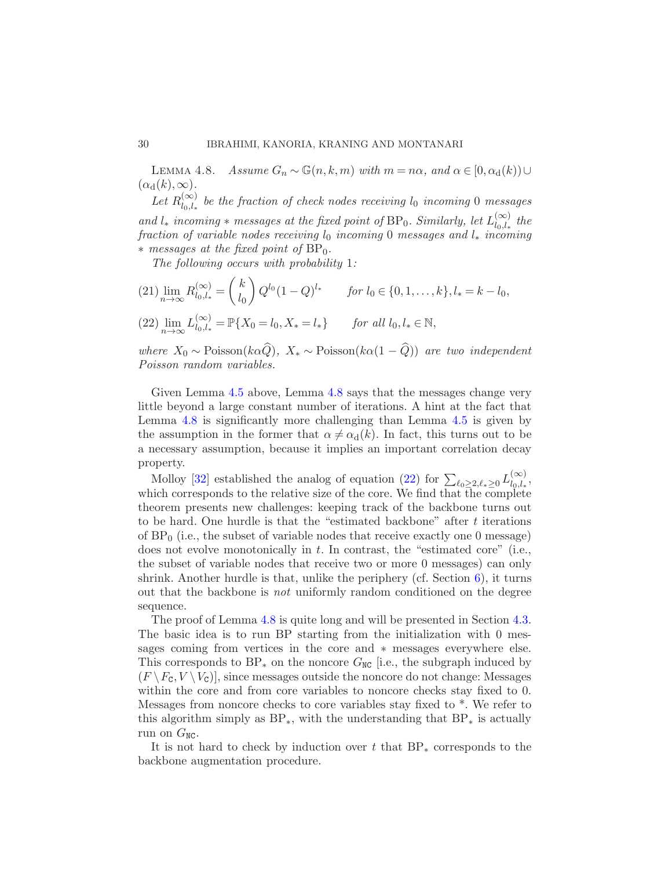LEMMA 4.8. Assume  $G_n \sim \mathbb{G}(n, k, m)$  with  $m = n\alpha$ , and  $\alpha \in [0, \alpha_d(k)) \cup$  $(\alpha_d(k),\infty).$ 

Let  $R_{l_0 l}^{(\infty)}$  $\sum_{l_0,l_*}^{\infty}$  be the fraction of check nodes receiving  $l_0$  incoming 0 messages and  $l_*$  incoming  $*$  messages at the fixed point of BP<sub>0</sub>. Similarly, let  $L_{l_0,l_*}^{(\infty)}$  $\sum_{l_0,l_*}^{(\infty)}$  the fraction of variable nodes receiving  $l_0$  incoming 0 messages and  $l_*$  incoming  $*$  messages at the fixed point of  $BP_0$ .

The following occurs with probability 1:

<span id="page-29-0"></span>
$$
(21) \lim_{n \to \infty} R_{l_0, l_*}^{(\infty)} = {k \choose l_0} Q^{l_0} (1 - Q)^{l_*} \quad \text{for } l_0 \in \{0, 1, \dots, k\}, l_* = k - l_0,
$$
\n
$$
(22) \lim_{n \to \infty} L_{l_0, l_*}^{(\infty)} = \mathbb{P}\{X_0 = l_0, X_* = l_*\} \quad \text{for all } l_0, l_* \in \mathbb{N},
$$

where  $X_0 \sim \text{Poisson}(k\alpha \widehat{Q}), X_* \sim \text{Poisson}(k\alpha(1-\widehat{Q}))$  are two independent Poisson random variables.

Given Lemma [4.5](#page-26-1) above, Lemma [4.8](#page-28-1) says that the messages change very little beyond a large constant number of iterations. A hint at the fact that Lemma [4.8](#page-28-1) is significantly more challenging than Lemma [4.5](#page-26-1) is given by the assumption in the former that  $\alpha \neq \alpha_d(k)$ . In fact, this turns out to be a necessary assumption, because it implies an important correlation decay property.

Molloy [\[32](#page-68-12)] established the analog of equation [\(22\)](#page-29-0) for  $\sum_{\ell_0 \geq 2, \ell_* \geq 0} L_{l_0, l_*}^{(\infty)}$  $\sum_{l_0,l_*}$ which corresponds to the relative size of the core. We find that  $\overline{t}$  he complete theorem presents new challenges: keeping track of the backbone turns out to be hard. One hurdle is that the "estimated backbone" after t iterations of  $BP_0$  (i.e., the subset of variable nodes that receive exactly one 0 message) does not evolve monotonically in t. In contrast, the "estimated core" (i.e., the subset of variable nodes that receive two or more 0 messages) can only shrink. Another hurdle is that, unlike the periphery (cf. Section  $6$ ), it turns out that the backbone is not uniformly random conditioned on the degree sequence.

The proof of Lemma [4.8](#page-28-1) is quite long and will be presented in Section [4.3.](#page-31-0) The basic idea is to run BP starting from the initialization with 0 messages coming from vertices in the core and ∗ messages everywhere else. This corresponds to BP<sub>\*</sub> on the noncore  $G_{\text{NC}}$  [i.e., the subgraph induced by  $(F \setminus F_c, V \setminus V_c)$ , since messages outside the noncore do not change: Messages within the core and from core variables to noncore checks stay fixed to 0. Messages from noncore checks to core variables stay fixed to \*. We refer to this algorithm simply as  $BP_*$ , with the understanding that  $BP_*$  is actually run on  $G_{NC}$ .

It is not hard to check by induction over t that  $BP_*$  corresponds to the backbone augmentation procedure.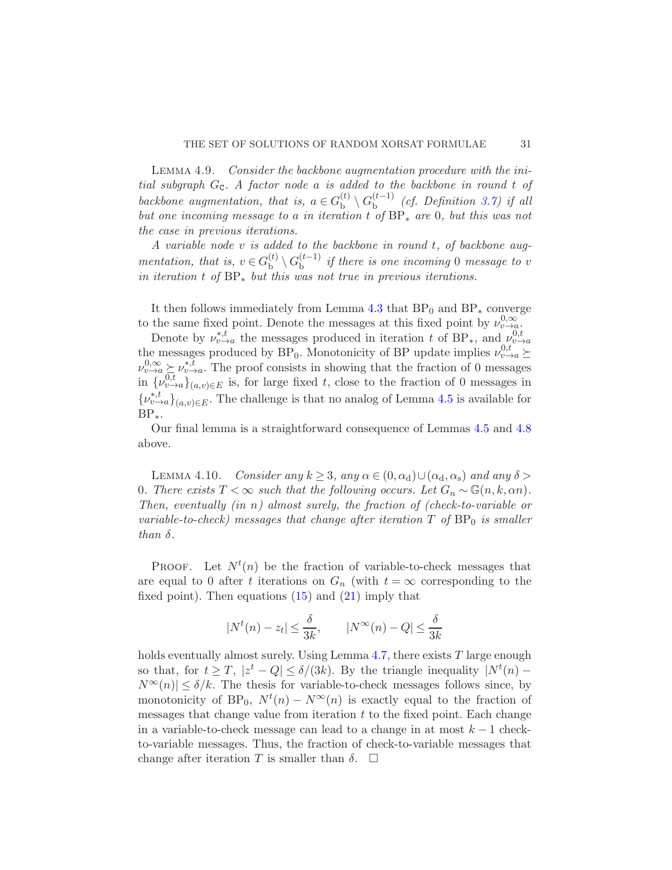Lemma 4.9. Consider the backbone augmentation procedure with the initial subgraph  $G_c$ . A factor node a is added to the backbone in round t of backbone augmentation, that is,  $a \in G_b^{(t)}$  $\mathfrak{b}^{(t)}\setminus G_{\rm b}^{(t-1)}$  $_{\text{b}}^{(t-1)}$  (cf. Definition [3.7\)](#page-19-1) if all but one incoming message to a in iteration t of  $BP_*$  are 0, but this was not the case in previous iterations.

A variable node v is added to the backbone in round t, of backbone augmentation, that is,  $v \in G_b^{(t)}$  $\mathcal{G}_{\text{b}}^{(t)} \setminus G_{\text{b}}^{(t-1)}$  $\int_{b}^{(t-1)}$  if there is one incoming 0 message to v in iteration t of  $BP_*$  but this was not true in previous iterations.

It then follows immediately from Lemma [4.3](#page-25-0) that  $BP_0$  and  $BP_*$  converge to the same fixed point. Denote the messages at this fixed point by  $\nu_{v\to a}^{0,\infty}$ .

Denote by  $\nu_{v\to a}^{*,t}$  the messages produced in iteration t of BP<sub>\*</sub>, and  $\nu_{v\to a}^{0,t}$ the messages produced by  $BP_0$ . Monotonicity of BP update implies  $\nu_{v\to a}^{0,t} \succeq$  $\nu_{v\to a}^{0,\infty} \succeq \nu_{v\to a}^{*,\overline{t}}$ . The proof consists in showing that the fraction of 0 messages<br>in  $\{\nu_{v\to a}^{0,\overline{t}}\}$ , is for large fixed to describe the fraction of 0 messages in  $\{\nu_{v\to a}^{0,t}\}_{(a,v)\in E}$  is, for large fixed t, close to the fraction of 0 messages in  $\{\nu_{v\to a}^{*,t}\}_{(a,v)\in E}$ . The challenge is that no analog of Lemma [4.5](#page-26-1) is available for  $BP_*$ .

<span id="page-30-0"></span>Our final lemma is a straightforward consequence of Lemmas [4.5](#page-26-1) and [4.8](#page-28-1) above.

LEMMA 4.10. Consider any  $k \geq 3$ , any  $\alpha \in (0, \alpha_d) \cup (\alpha_d, \alpha_s)$  and any  $\delta >$ 0. There exists  $T < \infty$  such that the following occurs. Let  $G_n \sim \mathbb{G}(n, k, \alpha n)$ . Then, eventually  $(in n)$  almost surely, the fraction of (check-to-variable or variable-to-check) messages that change after iteration  $T$  of  $BP_0$  is smaller than  $\delta$ .

**PROOF.** Let  $N^t(n)$  be the fraction of variable-to-check messages that are equal to 0 after t iterations on  $G_n$  (with  $t = \infty$  corresponding to the fixed point). Then equations  $(15)$  and  $(21)$  imply that

$$
|N^{t}(n) - z_t| \le \frac{\delta}{3k}, \qquad |N^{\infty}(n) - Q| \le \frac{\delta}{3k}
$$

holds eventually almost surely. Using Lemma  $4.7$ , there exists T large enough so that, for  $t \geq T$ ,  $|z^t - Q| \leq \delta/(3k)$ . By the triangle inequality  $|N^t(n) N^{\infty}(n)| \leq \delta/k$ . The thesis for variable-to-check messages follows since, by monotonicity of BP<sub>0</sub>,  $N^t(n) - N^{\infty}(n)$  is exactly equal to the fraction of messages that change value from iteration  $t$  to the fixed point. Each change in a variable-to-check message can lead to a change in at most  $k - 1$  checkto-variable messages. Thus, the fraction of check-to-variable messages that change after iteration T is smaller than  $\delta$ .  $\Box$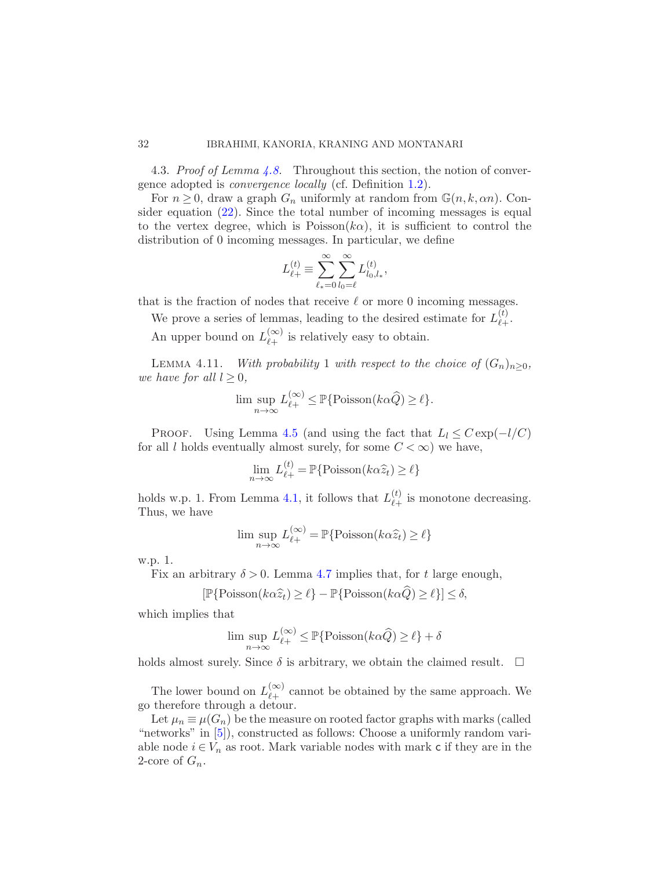#### 32 IBRAHIMI, KANORIA, KRANING AND MONTANARI

4.3. Proof of Lemma [4.8.](#page-28-1) Throughout this section, the notion of convergence adopted is convergence locally (cf. Definition [1.2\)](#page-9-0).

For  $n \geq 0$ , draw a graph  $G_n$  uniformly at random from  $\mathbb{G}(n, k, \alpha n)$ . Consider equation [\(22\)](#page-29-0). Since the total number of incoming messages is equal to the vertex degree, which is Poisson( $k\alpha$ ), it is sufficient to control the distribution of 0 incoming messages. In particular, we define

$$
L_{\ell+}^{(t)} \equiv \sum_{\ell_{*}=0}^{\infty} \sum_{l_{0}=\ell}^{\infty} L_{l_{0},l_{*}}^{(t)},
$$

that is the fraction of nodes that receive  $\ell$  or more 0 incoming messages.

We prove a series of lemmas, leading to the desired estimate for  $L_{\ell}^{(t)}$ ℓ+ .

<span id="page-31-2"></span>An upper bound on  $L_{\ell_{+}}^{(\infty)}$  $\begin{bmatrix} \infty \\ \ell_+ \end{bmatrix}$  is relatively easy to obtain.

LEMMA 4.11. With probability 1 with respect to the choice of  $(G_n)_{n>0}$ , we have for all  $l \geq 0$ ,

$$
\limsup_{n \to \infty} L_{\ell+}^{(\infty)} \leq \mathbb{P} \{ \text{Poisson}(k\alpha \widehat{Q}) \geq \ell \}.
$$

PROOF. Using Lemma [4.5](#page-26-1) (and using the fact that  $L_l \leq C \exp(-l/C)$ for all l holds eventually almost surely, for some  $C < \infty$ ) we have,

$$
\lim_{n \to \infty} L_{\ell+}^{(t)} = \mathbb{P}\{\text{Poisson}(k\alpha \hat{z}_t) \ge \ell\}
$$

holds w.p. 1. From Lemma [4.1,](#page-24-1) it follows that  $L_{\ell_{+}}^{(t)}$  $\stackrel{(t)}{\ell}_{+}$  is monotone decreasing. Thus, we have

$$
\limsup_{n \to \infty} L_{\ell+}^{(\infty)} = \mathbb{P} \{ \text{Poisson}(k\alpha \widehat{z}_t) \ge \ell \}
$$

w.p. 1.

Fix an arbitrary  $\delta > 0$ . Lemma [4.7](#page-28-2) implies that, for t large enough,

$$
[\mathbb{P}\{\text{Poisson}(k\alpha \widehat{z}_t) \ge \ell\} - \mathbb{P}\{\text{Poisson}(k\alpha \widehat{Q}) \ge \ell\}] \le \delta,
$$

which implies that

$$
\limsup_{n \to \infty} L_{\ell+}^{(\infty)} \le \mathbb{P}\{\text{Poisson}(k\alpha \widehat{Q}) \ge \ell\} + \delta
$$

holds almost surely. Since  $\delta$  is arbitrary, we obtain the claimed result.  $\Box$ 

The lower bound on  $L_{\ell+}^{(\infty)}$  $\begin{bmatrix} \infty \\ \ell + \end{bmatrix}$  cannot be obtained by the same approach. We go therefore through a detour.

<span id="page-31-1"></span>Let  $\mu_n \equiv \mu(G_n)$  be the measure on rooted factor graphs with marks (called "networks" in [\[5](#page-67-8)]), constructed as follows: Choose a uniformly random variable node  $i \in V_n$  as root. Mark variable nodes with mark c if they are in the 2-core of  $G_n$ .

<span id="page-31-0"></span>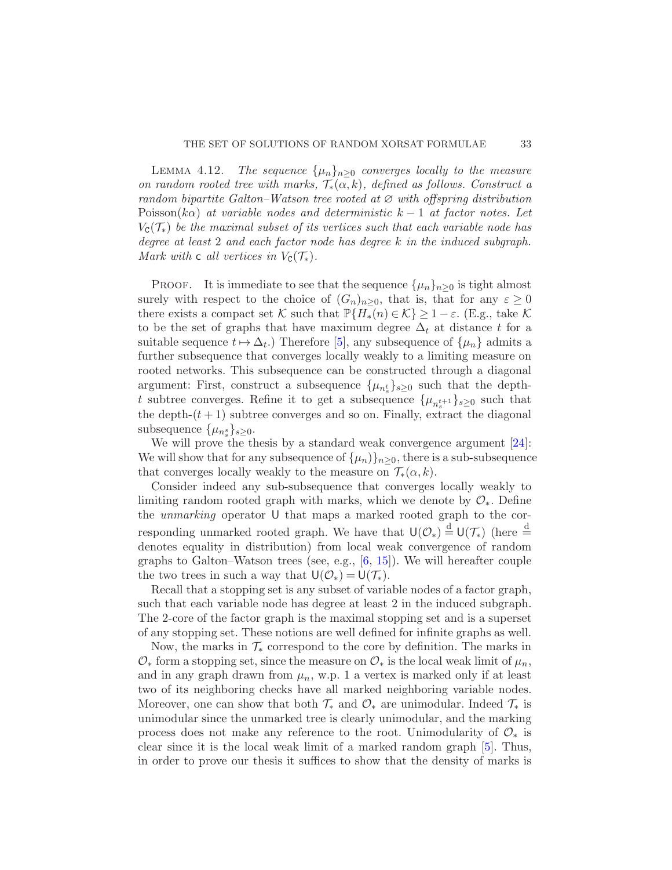LEMMA 4.12. The sequence  $\{\mu_n\}_{n>0}$  converges locally to the measure on random rooted tree with marks,  $\mathcal{T}_*(\alpha, k)$ , defined as follows. Construct a random bipartite Galton–Watson tree rooted at  $\varnothing$  with offspring distribution Poisson(k $\alpha$ ) at variable nodes and deterministic k – 1 at factor notes. Let  $V_{\mathcal{C}}(\mathcal{T}_{*})$  be the maximal subset of its vertices such that each variable node has degree at least 2 and each factor node has degree k in the induced subgraph. Mark with c all vertices in  $V_{\rm C}(\mathcal{T}_{*})$ .

PROOF. It is immediate to see that the sequence  $\{\mu_n\}_{n\geq 0}$  is tight almost surely with respect to the choice of  $(G_n)_{n>0}$ , that is, that for any  $\varepsilon \geq 0$ there exists a compact set K such that  $\mathbb{P}\{H_*(n) \in \mathcal{K}\} \geq 1-\varepsilon$ . (E.g., take K to be the set of graphs that have maximum degree  $\Delta_t$  at distance t for a suitable sequence  $t \mapsto \Delta_t$ .) Therefore [\[5](#page-67-8)], any subsequence of  $\{\mu_n\}$  admits a further subsequence that converges locally weakly to a limiting measure on rooted networks. This subsequence can be constructed through a diagonal argument: First, construct a subsequence  $\{\mu_{n_s^t}\}_{s\geq 0}$  such that the deptht subtree converges. Refine it to get a subsequence  $\{\mu_{n_s^{t+1}}\}_{s\geq 0}$  such that the depth- $(t+1)$  subtree converges and so on. Finally, extract the diagonal subsequence  $\{\mu_{n_s}^s\}_{s\geq 0}$ .

We will prove the thesis by a standard weak convergence argument [\[24](#page-68-15)]: We will show that for any subsequence of  $\{\mu_n\}_{n>0}$ , there is a sub-subsequence that converges locally weakly to the measure on  $\mathcal{T}_*(\alpha, k)$ .

Consider indeed any sub-subsequence that converges locally weakly to limiting random rooted graph with marks, which we denote by  $\mathcal{O}_*$ . Define the unmarking operator U that maps a marked rooted graph to the corresponding unmarked rooted graph. We have that  $\mathsf{U}(\mathcal{O}_*) \stackrel{d}{=} \mathsf{U}(\mathcal{T}_*)$  (here  $\stackrel{d}{=}$ denotes equality in distribution) from local weak convergence of random graphs to Galton–Watson trees (see, e.g., [\[6](#page-67-9), [15\]](#page-67-7)). We will hereafter couple the two trees in such a way that  $U(\mathcal{O}_*) = U(\mathcal{T}_*)$ .

Recall that a stopping set is any subset of variable nodes of a factor graph, such that each variable node has degree at least 2 in the induced subgraph. The 2-core of the factor graph is the maximal stopping set and is a superset of any stopping set. These notions are well defined for infinite graphs as well.

Now, the marks in  $\mathcal{T}_{*}$  correspond to the core by definition. The marks in  $\mathcal{O}_*$  form a stopping set, since the measure on  $\mathcal{O}_*$  is the local weak limit of  $\mu_n$ , and in any graph drawn from  $\mu_n$ , w.p. 1 a vertex is marked only if at least two of its neighboring checks have all marked neighboring variable nodes. Moreover, one can show that both  $\mathcal{T}_{*}$  and  $\mathcal{O}_{*}$  are unimodular. Indeed  $\mathcal{T}_{*}$  is unimodular since the unmarked tree is clearly unimodular, and the marking process does not make any reference to the root. Unimodularity of  $\mathcal{O}_*$  is clear since it is the local weak limit of a marked random graph [\[5](#page-67-8)]. Thus, in order to prove our thesis it suffices to show that the density of marks is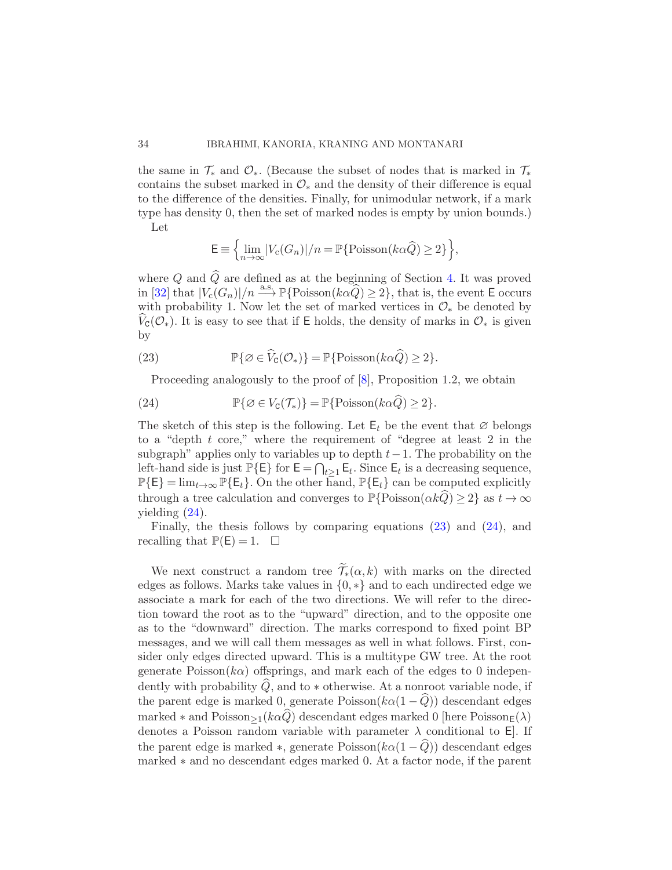the same in  $\mathcal{T}_*$  and  $\mathcal{O}_*$ . (Because the subset of nodes that is marked in  $\mathcal{T}_*$ contains the subset marked in  $\mathcal{O}_*$  and the density of their difference is equal to the difference of the densities. Finally, for unimodular network, if a mark type has density 0, then the set of marked nodes is empty by union bounds.) Let

$$
\mathsf{E} \equiv \left\{ \lim_{n \to \infty} |V_c(G_n)|/n = \mathbb{P}\{\text{Poisson}(k\alpha \widehat{Q}) \ge 2\} \right\},\
$$

where  $Q$  and  $\widehat{Q}$  are defined as at the beginning of Section [4.](#page-24-0) It was proved in [\[32\]](#page-68-12) that  $|V_c(G_n)|/n \stackrel{\text{a.s.}}{\longrightarrow} \mathbb{P}\{\text{Poisson}(k\alpha \widehat{Q}) \geq 2\}$ , that is, the event E occurs with probability 1. Now let the set of marked vertices in  $\mathcal{O}_*$  be denoted by  $V_{\mathcal{C}}(\mathcal{O}_*)$ . It is easy to see that if E holds, the density of marks in  $\mathcal{O}_*$  is given by

(23) 
$$
\mathbb{P}\{\varnothing \in \widehat{V}_{\mathsf{C}}(\mathcal{O}_*)\} = \mathbb{P}\{\text{Poisson}(k\alpha \widehat{Q}) \geq 2\}.
$$

<span id="page-33-1"></span><span id="page-33-0"></span>Proceeding analogously to the proof of  $[8]$ , Proposition 1.2, we obtain

(24) 
$$
\mathbb{P}\{\varnothing \in V_{\mathsf{C}}(\mathcal{T}_{*})\} = \mathbb{P}\{\text{Poisson}(k\alpha \widehat{Q}) \geq 2\}.
$$

The sketch of this step is the following. Let  $E_t$  be the event that  $\varnothing$  belongs to a "depth t core," where the requirement of "degree at least 2 in the subgraph" applies only to variables up to depth  $t-1$ . The probability on the left-hand side is just  $\mathbb{P}\{\mathsf{E}\}\$  for  $\mathsf{E} = \bigcap_{t \geq 1} \mathsf{E}_t$ . Since  $\mathsf{E}_t$  is a decreasing sequence,  $\mathbb{P}\{\mathsf{E}\} = \lim_{t\to\infty} \mathbb{P}\{\mathsf{E}_t\}.$  On the other hand,  $\mathbb{P}\{\mathsf{E}_t\}$  can be computed explicitly through a tree calculation and converges to  $\mathbb{P}\{\text{Poisson}(\alpha k\hat{Q}) \geq 2\}$  as  $t \to \infty$ yielding [\(24\)](#page-33-0).

Finally, the thesis follows by comparing equations [\(23\)](#page-33-1) and [\(24\)](#page-33-0), and recalling that  $\mathbb{P}(\mathsf{E}) = 1$ .  $\Box$ 

We next construct a random tree  $\widetilde{\mathcal{T}}_*(\alpha, k)$  with marks on the directed edges as follows. Marks take values in {0, ∗} and to each undirected edge we associate a mark for each of the two directions. We will refer to the direction toward the root as to the "upward" direction, and to the opposite one as to the "downward" direction. The marks correspond to fixed point BP messages, and we will call them messages as well in what follows. First, consider only edges directed upward. This is a multitype GW tree. At the root generate  $Poisson(ka)$  offsprings, and mark each of the edges to 0 independently with probability  $\widehat{Q}$ , and to  $*$  otherwise. At a nonroot variable node, if the parent edge is marked 0, generate Poisson( $k\alpha(1-\widehat{Q})$ ) descendant edges marked  $*$  and Poisson $>1(k\alpha Q)$  descendant edges marked 0 [here Poisson $E(\lambda)$ denotes a Poisson random variable with parameter  $\lambda$  conditional to E. If the parent edge is marked  $\ast$ , generate Poisson( $k\alpha(1-\widehat{Q})$ ) descendant edges marked ∗ and no descendant edges marked 0. At a factor node, if the parent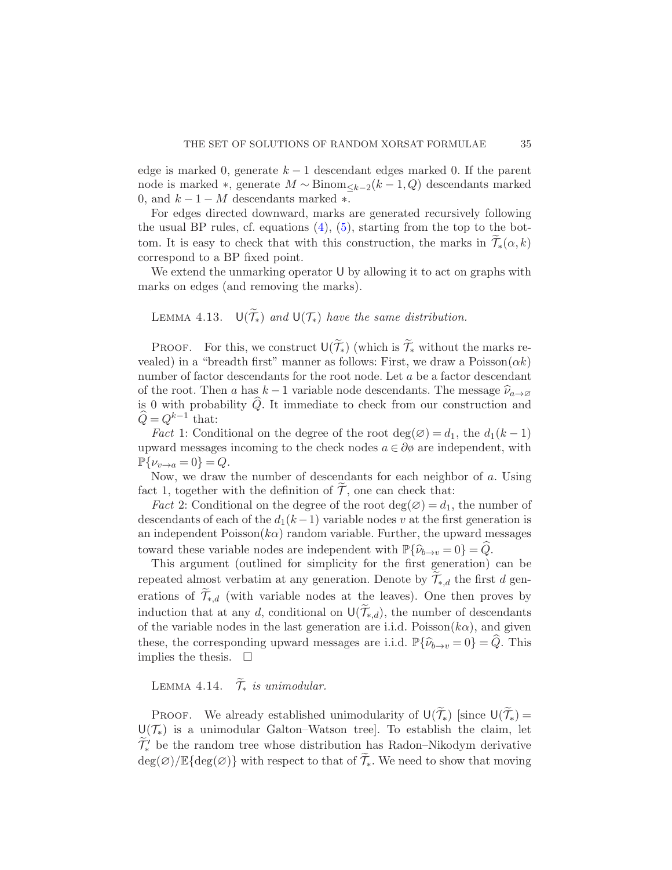edge is marked 0, generate  $k-1$  descendant edges marked 0. If the parent node is marked  $\ast$ , generate  $M \sim Binom_{\leq k-2}(k-1, Q)$  descendants marked 0, and  $k - 1 - M$  descendants marked  $*$ .

For edges directed downward, marks are generated recursively following the usual BP rules, cf. equations  $(4)$ ,  $(5)$ , starting from the top to the bottom. It is easy to check that with this construction, the marks in  $\widetilde{\mathcal{T}}_*(\alpha, k)$ correspond to a BP fixed point.

We extend the unmarking operator U by allowing it to act on graphs with marks on edges (and removing the marks).

# LEMMA 4.13.  $U(T_*)$  and  $U(T_*)$  have the same distribution.

PROOF. For this, we construct  $\mathsf{U}(\widetilde{\mathcal{T}}_*)$  (which is  $\widetilde{\mathcal{T}}_*$  without the marks revealed) in a "breadth first" manner as follows: First, we draw a  $Poisson(\alpha k)$ number of factor descendants for the root node. Let a be a factor descendant of the root. Then a has  $k-1$  variable node descendants. The message  $\widehat{\nu}_{a\to\emptyset}$ is 0 with probability  $\hat{Q}$ . It immediate to check from our construction and  $\widehat{Q} = Q^{k-1}$  that:

*Fact* 1: Conditional on the degree of the root deg( $\varnothing$ ) = d<sub>1</sub>, the d<sub>1</sub>(k-1) upward messages incoming to the check nodes  $a \in \partial \phi$  are independent, with  $\mathbb{P}\{\nu_{v\to a}=0\}=Q.$ 

Now, we draw the number of descendants for each neighbor of a. Using fact 1, together with the definition of  $\tilde{\mathcal{T}}$ , one can check that:

*Fact* 2: Conditional on the degree of the root  $deg(\emptyset) = d_1$ , the number of descendants of each of the  $d_1(k-1)$  variable nodes v at the first generation is an independent  $Poisson(k\alpha)$  random variable. Further, the upward messages toward these variable nodes are independent with  $\mathbb{P}\{\hat{\nu}_{b\to v} = 0\} = \hat{Q}$ .

This argument (outlined for simplicity for the first generation) can be repeated almost verbatim at any generation. Denote by  $\mathcal{T}_{*,d}$  the first d generations of  $\mathcal{T}_{*,d}$  (with variable nodes at the leaves). One then proves by induction that at any d, conditional on  $\mathsf{U}(\widetilde{\mathcal{T}}_{*,d})$ , the number of descendants of the variable nodes in the last generation are i.i.d.  $Poisson(k\alpha)$ , and given these, the corresponding upward messages are i.i.d.  $\mathbb{P}\{\hat{\nu}_{b\to v} = 0\} = \hat{Q}$ . This implies the thesis.  $\square$ 

LEMMA 4.14.  $\widetilde{\mathcal{T}}_*$  is unimodular.

PROOF. We already established unimodularity of  $\mathsf{U}(\widetilde{\mathcal{T}}_{*})$  [since  $\mathsf{U}(\widetilde{\mathcal{T}}_{*})$ ]  $U(\mathcal{T}_{*})$  is a unimodular Galton–Watson tree]. To establish the claim, let  $\widetilde{\mathcal{T}}'_{*}$  be the random tree whose distribution has Radon–Nikodym derivative  $deg(\emptyset)/\mathbb{E}\{deg(\emptyset)\}\$  with respect to that of  $\widetilde{\mathcal{T}}_*$ . We need to show that moving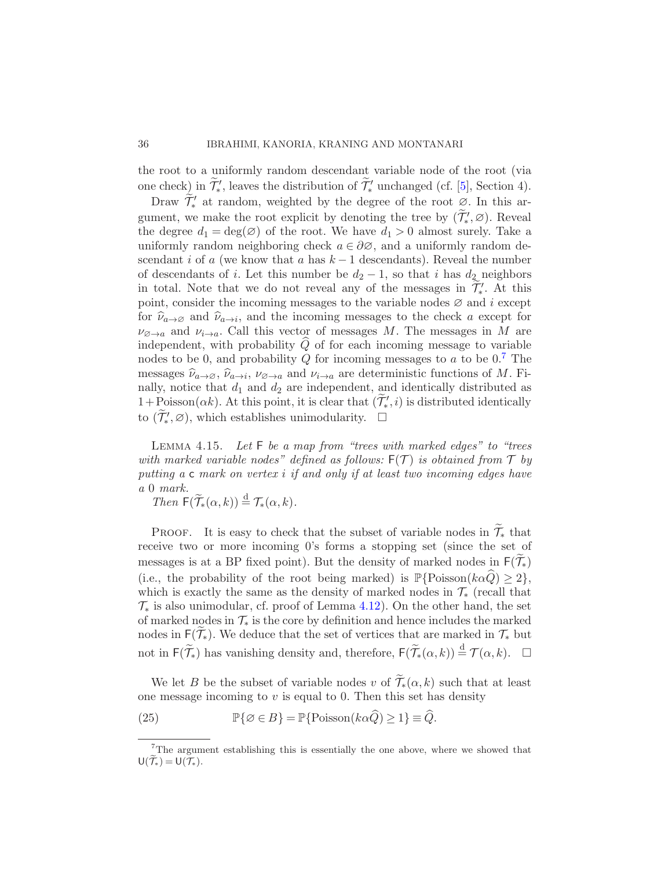the root to a uniformly random descendant variable node of the root (via one check) in  $\widetilde{\mathcal{T}}'$ , leaves the distribution of  $\widetilde{\mathcal{T}}'_{*}$  unchanged (cf. [\[5\]](#page-67-8), Section 4).

Draw  $\widetilde{\mathcal{T}}'_{*}$  at random, weighted by the degree of the root  $\mathcal{Q}$ . In this argument, we make the root explicit by denoting the tree by  $(\widetilde{\mathcal{T}}'_*,\varnothing)$ . Reveal the degree  $d_1 = \deg(\emptyset)$  of the root. We have  $d_1 > 0$  almost surely. Take a uniformly random neighboring check  $a \in \partial \emptyset$ , and a uniformly random descendant i of a (we know that a has  $k-1$  descendants). Reveal the number of descendants of i. Let this number be  $d_2 - 1$ , so that i has  $d_2$  neighbors in total. Note that we do not reveal any of the messages in  $\tilde{\mathcal{T}}'_{*}$ . At this point, consider the incoming messages to the variable nodes  $\varnothing$  and i except for  $\hat{\nu}_{a\to\emptyset}$  and  $\hat{\nu}_{a\to i}$ , and the incoming messages to the check a except for  $\nu_{\varnothing \to a}$  and  $\nu_{i\to a}$ . Call this vector of messages M. The messages in M are independent, with probability  $Q$  of for each incoming message to variable nodes to be 0, and probability Q for incoming messages to a to be  $0.7$  $0.7$  The messages  $\hat{\nu}_{a\to\varnothing}$ ,  $\hat{\nu}_{a\to i}$ ,  $\nu_{\varnothing\to a}$  and  $\nu_{i\to a}$  are deterministic functions of M. Fi-<br>relly notice that deeped decree independent and identically distributed as nally, notice that  $d_1$  and  $d_2$  are independent, and identically distributed as  $1+\text{Poisson}(\alpha k)$ . At this point, it is clear that  $(\mathcal{T}'_*,i)$  is distributed identically to  $(\widetilde{\mathcal{T}}'_*, \varnothing)$ , which establishes unimodularity.  $\square$ 

<span id="page-35-1"></span>LEMMA 4.15. Let F be a map from "trees with marked edges" to "trees with marked variable nodes" defined as follows:  $F(\mathcal{T})$  is obtained from  $\mathcal{T}$  by putting a c mark on vertex i if and only if at least two incoming edges have a 0 mark.

Then  $F(\widetilde{\mathcal{T}}_*(\alpha, k)) \stackrel{d}{=} \mathcal{T}_*(\alpha, k).$ 

PROOF. It is easy to check that the subset of variable nodes in  $\widetilde{\mathcal{T}}_*$  that receive two or more incoming 0's forms a stopping set (since the set of messages is at a BP fixed point). But the density of marked nodes in  $F(\widetilde{\mathcal{T}}_*)$ (i.e., the probability of the root being marked) is  $\mathbb{P}\{\text{Poisson}(k\alpha\hat{Q}) \geq 2\},\$ which is exactly the same as the density of marked nodes in  $\mathcal{T}_{*}$  (recall that  $\mathcal{T}_{*}$  is also unimodular, cf. proof of Lemma [4.12\)](#page-31-1). On the other hand, the set of marked nodes in  $\mathcal{T}_{*}$  is the core by definition and hence includes the marked nodes in  $F(\mathcal{T}_{*})$ . We deduce that the set of vertices that are marked in  $\mathcal{T}_{*}$  but not in  $\mathsf{F}(\widetilde{\mathcal{T}}_{*})$  has vanishing density and, therefore,  $\mathsf{F}(\widetilde{\mathcal{T}}_{*}(\alpha, k)) \stackrel{d}{=} \mathcal{T}(\alpha, k)$ .  $\Box$ 

We let B be the subset of variable nodes v of  $\widetilde{\mathcal{T}}_*(\alpha, k)$  such that at least one message incoming to  $v$  is equal to 0. Then this set has density

(25) 
$$
\mathbb{P}\{\emptyset \in B\} = \mathbb{P}\{\text{Poisson}(k\alpha \hat{Q}) \ge 1\} \equiv \hat{Q}.
$$

<span id="page-35-0"></span><sup>&</sup>lt;sup>7</sup>The argument establishing this is essentially the one above, where we showed that  $U(\mathcal{T}_{*})=U(\mathcal{T}_{*}).$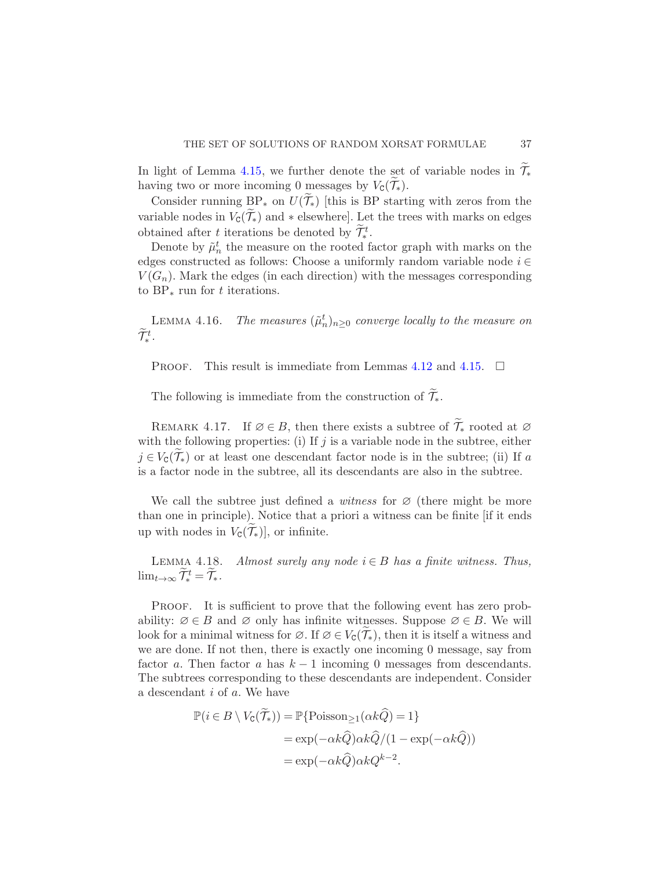In light of Lemma [4.15,](#page-35-1) we further denote the set of variable nodes in  $\mathcal{T}_{*}$ having two or more incoming 0 messages by  $V_{\mathcal{C}}(\mathcal{T}_{*})$ .

Consider running BP<sub>\*</sub> on  $U(T_*)$  [this is BP starting with zeros from the variable nodes in  $V_c(\mathcal{T}_*)$  and  $*$  elsewhere]. Let the trees with marks on edges obtained after t iterations be denoted by  $\widetilde{\mathcal{T}}_*^t$ .

Denote by  $\tilde{\mu}_n^t$  the measure on the rooted factor graph with marks on the edges constructed as follows: Choose a uniformly random variable node  $i \in$  $V(G_n)$ . Mark the edges (in each direction) with the messages corresponding to  $BP_*$  run for t iterations.

<span id="page-36-1"></span>LEMMA 4.16. The measures  $(\tilde{\mu}_n^t)_{n\geq 0}$  converge locally to the measure on  $\widetilde{\mathcal{T}}^t_*$ .

**PROOF.** This result is immediate from Lemmas [4.12](#page-31-1) and [4.15.](#page-35-1)  $\Box$ 

The following is immediate from the construction of  $\widetilde{\mathcal{T}}_*$ .

REMARK 4.17. If  $\emptyset \in B$ , then there exists a subtree of  $\widetilde{\mathcal{T}}_*$  rooted at  $\emptyset$ with the following properties: (i) If  $j$  is a variable node in the subtree, either  $j \in V_{\mathcal{C}}(\mathcal{T}_{*})$  or at least one descendant factor node is in the subtree; (ii) If a is a factor node in the subtree, all its descendants are also in the subtree.

We call the subtree just defined a *witness* for  $\varnothing$  (there might be more than one in principle). Notice that a priori a witness can be finite [if it ends up with nodes in  $V_{\text{C}}(\mathcal{T}_{\ast})$ , or infinite.

<span id="page-36-0"></span>LEMMA 4.18. Almost surely any node  $i \in B$  has a finite witness. Thus,  $\lim_{t\to\infty}\widetilde{\mathcal{T}}^t_*=\widetilde{\mathcal{T}}_*$ .

Proof. It is sufficient to prove that the following event has zero probability:  $\emptyset \in B$  and  $\emptyset$  only has infinite witnesses. Suppose  $\emptyset \in B$ . We will look for a minimal witness for  $\emptyset$ . If  $\emptyset \in V_{\mathbb{C}}(\widetilde{\mathcal{T}}_*)$ , then it is itself a witness and we are done. If not then, there is exactly one incoming 0 message, say from factor a. Then factor a has  $k-1$  incoming 0 messages from descendants. The subtrees corresponding to these descendants are independent. Consider a descendant i of a. We have

$$
\mathbb{P}(i \in B \setminus V_{\mathsf{C}}(\mathcal{T}_{*})) = \mathbb{P}\{\text{Poisson}_{\geq 1}(\alpha k \hat{Q}) = 1\}
$$

$$
= \exp(-\alpha k \hat{Q})\alpha k \hat{Q}/(1 - \exp(-\alpha k \hat{Q}))
$$

$$
= \exp(-\alpha k \hat{Q})\alpha k Q^{k-2}.
$$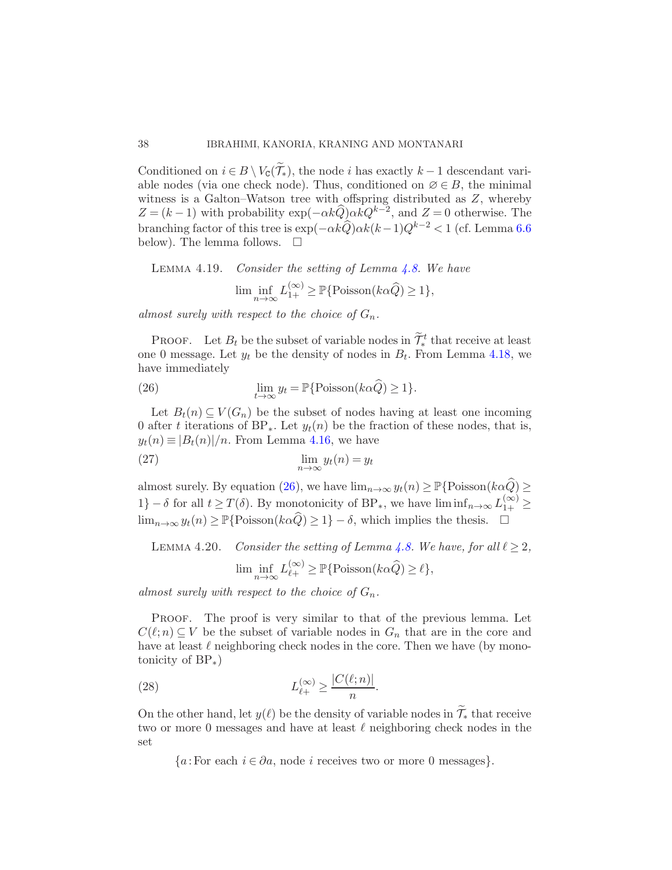Conditioned on  $i \in B \setminus V_{\mathcal{C}}(\widetilde{\mathcal{T}}_*)$ , the node i has exactly  $k-1$  descendant variable nodes (via one check node). Thus, conditioned on  $\varnothing \in B$ , the minimal witness is a Galton–Watson tree with offspring distributed as Z, whereby  $Z = (k-1)$  with probability  $\exp(-\alpha k \widehat{Q}) \alpha k Q^{k-2}$ , and  $Z = 0$  otherwise. The branching factor of this tree is  $\exp(-\alpha k\hat{Q})\alpha k(k-1)Q^{k-2} < 1$  (cf. Lemma [6.6](#page-48-1)) below). The lemma follows.  $\quad \Box$ 

<span id="page-37-2"></span>LEMMA 4.19. Consider the setting of Lemma 4.8. We have  

$$
\liminf_{n \to \infty} L_{1+}^{(\infty)} \geq \mathbb{P} \{ \text{Poisson}(k\alpha \widehat{Q}) \geq 1 \},
$$

almost surely with respect to the choice of  $G_n$ .

**PROOF.** Let  $B_t$  be the subset of variable nodes in  $\widetilde{\mathcal{T}}_*^t$  that receive at least one 0 message. Let  $y_t$  be the density of nodes in  $B_t$ . From Lemma [4.18,](#page-36-0) we have immediately

<span id="page-37-0"></span>(26) 
$$
\lim_{t \to \infty} y_t = \mathbb{P} \{ \text{Poisson}(k\alpha \hat{Q}) \ge 1 \}.
$$

Let  $B_t(n) \subseteq V(G_n)$  be the subset of nodes having at least one incoming 0 after t iterations of BP<sub>\*</sub>. Let  $y_t(n)$  be the fraction of these nodes, that is,  $y_t(n) \equiv |B_t(n)|/n$ . From Lemma [4.16,](#page-36-1) we have

(27) 
$$
\lim_{n \to \infty} y_t(n) = y_t
$$

almost surely. By equation [\(26\)](#page-37-0), we have  $\lim_{n\to\infty} y_t(n) \geq \mathbb{P}\{\text{Poisson}(k\alpha \widehat{Q}) \geq$ 1} –  $\delta$  for all  $t \geq T(\delta)$ . By monotonicity of BP<sub>\*</sub>, we have  $\liminf_{n \to \infty} L_{1+}^{(\infty)} \geq$  $\lim_{n\to\infty} y_t(n) \geq \mathbb{P}\{\text{Poisson}(k\alpha \widehat{Q}) \geq 1\} - \delta$ , which implies the thesis.  $\square$ 

<span id="page-37-3"></span>LEMMA 4.20. Consider the setting of Lemma [4.8.](#page-28-1) We have, for all  $\ell \geq 2$ ,

<span id="page-37-1"></span>
$$
\liminf_{n \to \infty} L_{\ell+}^{(\infty)} \ge \mathbb{P} \{ \text{Poisson}(k\alpha \widehat{Q}) \ge \ell \},
$$

almost surely with respect to the choice of  $G_n$ .

PROOF. The proof is very similar to that of the previous lemma. Let  $C(\ell;n) \subseteq V$  be the subset of variable nodes in  $G_n$  that are in the core and have at least  $\ell$  neighboring check nodes in the core. Then we have (by monotonicity of BP∗)

(28) 
$$
L_{\ell+}^{(\infty)} \ge \frac{|C(\ell;n)|}{n}.
$$

On the other hand, let  $y(\ell)$  be the density of variable nodes in  $\widetilde{\mathcal{T}}_*$  that receive two or more 0 messages and have at least  $\ell$  neighboring check nodes in the set

 ${a:}$  For each  $i \in \partial a$ , node i receives two or more 0 messages}.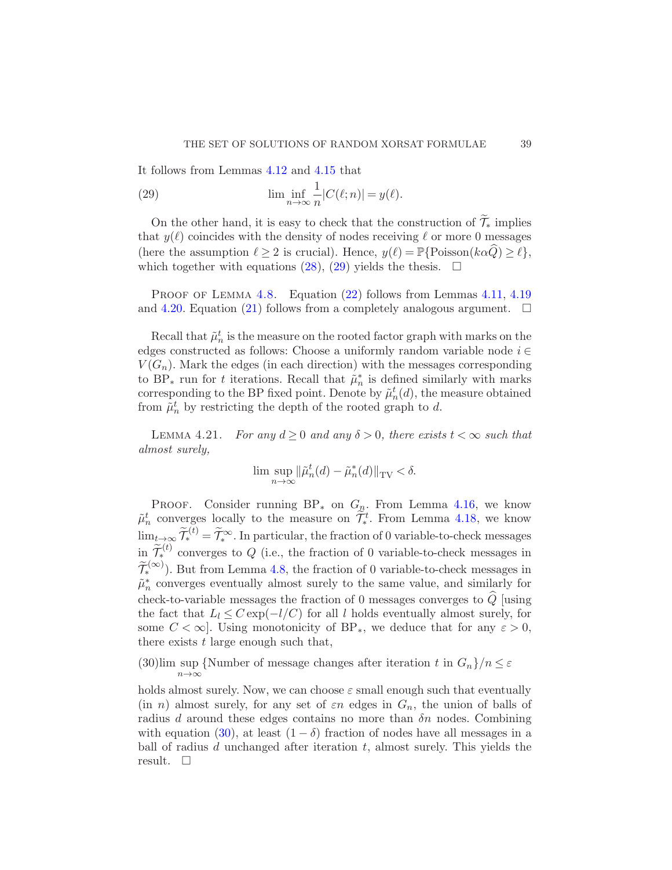It follows from Lemmas [4.12](#page-31-1) and [4.15](#page-35-1) that

<span id="page-38-0"></span>(29) 
$$
\liminf_{n \to \infty} \frac{1}{n} |C(\ell; n)| = y(\ell).
$$

On the other hand, it is easy to check that the construction of  $\widetilde{\mathcal{T}}_*$  implies that  $y(\ell)$  coincides with the density of nodes receiving  $\ell$  or more 0 messages (here the assumption  $\ell \geq 2$  is crucial). Hence,  $y(\ell) = \mathbb{P}\{\text{Poisson}(k\alpha Q) \geq \ell\},\$ which together with equations [\(28\)](#page-37-1), [\(29\)](#page-38-0) yields the thesis.  $\Box$ 

PROOF OF LEMMA [4.8.](#page-28-1) Equation [\(22\)](#page-29-0) follows from Lemmas [4.11,](#page-31-2) [4.19](#page-37-2) and [4.20.](#page-37-3) Equation [\(21\)](#page-29-0) follows from a completely analogous argument.  $\Box$ 

Recall that  $\tilde{\mu}_n^t$  is the measure on the rooted factor graph with marks on the edges constructed as follows: Choose a uniformly random variable node  $i \in$  $V(G_n)$ . Mark the edges (in each direction) with the messages corresponding to BP<sub><sup>\*</sup></sub> run for t iterations. Recall that  $\tilde{\mu}_n^*$  is defined similarly with marks corresponding to the BP fixed point. Denote by  $\tilde{\mu}_n^t(d)$ , the measure obtained from  $\tilde{\mu}_n^t$  by restricting the depth of the rooted graph to d.

<span id="page-38-2"></span>LEMMA 4.21. For any  $d \ge 0$  and any  $\delta > 0$ , there exists  $t < \infty$  such that almost surely,

$$
\lim \sup_{n \to \infty} \|\tilde{\mu}_n^t(d) - \tilde{\mu}_n^*(d)\|_{\text{TV}} < \delta.
$$

PROOF. Consider running  $BP_*$  on  $G_n$ . From Lemma [4.16,](#page-36-1) we know  $\tilde{\mu}_n^t$  converges locally to the measure on  $\tilde{\mathcal{T}}_*^t$ . From Lemma [4.18,](#page-36-0) we know  $\lim_{t\to\infty}\widetilde{\mathcal{T}}_{*}^{(t)}=\widetilde{\mathcal{T}}_{*}^{\infty}$ . In particular, the fraction of 0 variable-to-check messages in  $\widetilde{\mathcal{T}}_{*}^{(t)}$  converges to Q (i.e., the fraction of 0 variable-to-check messages in  $\widetilde{\mathcal{T}}_{*}^{(\infty)}$ ). But from Lemma [4.8,](#page-28-1) the fraction of 0 variable-to-check messages in  $\tilde{\mu}_n^*$  converges eventually almost surely to the same value, and similarly for check-to-variable messages the fraction of 0 messages converges to  $\hat{Q}$  [using the fact that  $L_l \leq C \exp(-l/C)$  for all l holds eventually almost surely, for some  $C < \infty$ . Using monotonicity of BP<sub>\*</sub>, we deduce that for any  $\varepsilon > 0$ , there exists  $t$  large enough such that,

<span id="page-38-1"></span>(30) lim sup {Number of message changes after iteration t in  $G_n$ }/ $n \leq \varepsilon$  $n\rightarrow\infty$ 

holds almost surely. Now, we can choose  $\varepsilon$  small enough such that eventually (in n) almost surely, for any set of  $\varepsilon n$  edges in  $G_n$ , the union of balls of radius d around these edges contains no more than  $\delta n$  nodes. Combining with equation [\(30\)](#page-38-1), at least  $(1 - \delta)$  fraction of nodes have all messages in a ball of radius  $d$  unchanged after iteration  $t$ , almost surely. This yields the result.  $\square$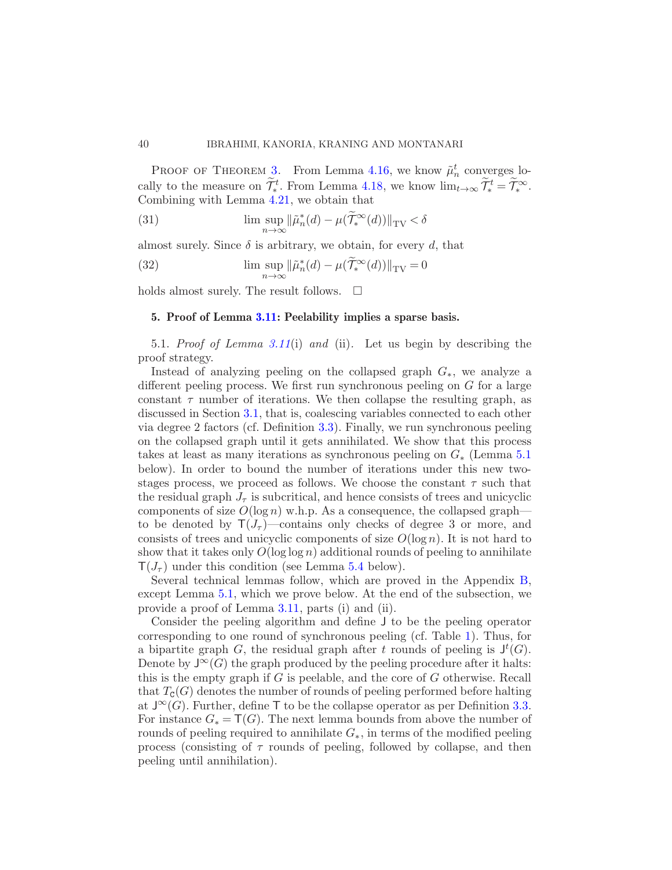PROOF OF THEOREM [3.](#page-10-0) From Lemma [4.16,](#page-36-1) we know  $\tilde{\mu}_n^t$  converges locally to the measure on  $\widetilde{\mathcal{T}}_*^t$ . From Lemma [4.18,](#page-36-0) we know  $\lim_{t\to\infty} \widetilde{\mathcal{T}}_*^t = \widetilde{\mathcal{T}}_*^{\infty}$ . Combining with Lemma [4.21,](#page-38-2) we obtain that

(31) 
$$
\limsup_{n \to \infty} ||\tilde{\mu}_n^*(d) - \mu(\tilde{T}_*^{\infty}(d))||_{TV} < \delta
$$

almost surely. Since  $\delta$  is arbitrary, we obtain, for every d, that

(32) 
$$
\limsup_{n \to \infty} ||\tilde{\mu}_n^*(d) - \mu(\tilde{T}_*^{\infty}(d))||_{TV} = 0
$$

<span id="page-39-0"></span>holds almost surely. The result follows.  $\Box$ 

#### 5. Proof of Lemma [3.11:](#page-22-1) Peelability implies a sparse basis.

<span id="page-39-2"></span>5.1. Proof of Lemma [3.11](#page-22-1)(i) and (ii). Let us begin by describing the proof strategy.

Instead of analyzing peeling on the collapsed graph  $G_*$ , we analyze a different peeling process. We first run synchronous peeling on G for a large constant  $\tau$  number of iterations. We then collapse the resulting graph, as discussed in Section [3.1,](#page-14-2) that is, coalescing variables connected to each other via degree 2 factors (cf. Definition [3.3\)](#page-16-0). Finally, we run synchronous peeling on the collapsed graph until it gets annihilated. We show that this process takes at least as many iterations as synchronous peeling on  $G_*$  (Lemma [5.1](#page-39-1)) below). In order to bound the number of iterations under this new twostages process, we proceed as follows. We choose the constant  $\tau$  such that the residual graph  $J_{\tau}$  is subcritical, and hence consists of trees and unicyclic components of size  $O(\log n)$  w.h.p. As a consequence, the collapsed graph to be denoted by  $T(J_\tau)$ —contains only checks of degree 3 or more, and consists of trees and unicyclic components of size  $O(\log n)$ . It is not hard to show that it takes only  $O(\log \log n)$  additional rounds of peeling to annihilate  $T(J_{\tau})$  under this condition (see Lemma [5.4](#page-41-0) below).

Several technical lemmas follow, which are proved in the Appendix [B,](#page-63-0) except Lemma [5.1,](#page-39-1) which we prove below. At the end of the subsection, we provide a proof of Lemma [3.11,](#page-22-1) parts (i) and (ii).

<span id="page-39-1"></span>Consider the peeling algorithm and define J to be the peeling operator corresponding to one round of synchronous peeling (cf. Table [1\)](#page-14-1). Thus, for a bipartite graph G, the residual graph after t rounds of peeling is  $J^t(G)$ . Denote by  $J^{\infty}(G)$  the graph produced by the peeling procedure after it halts: this is the empty graph if  $G$  is peelable, and the core of  $G$  otherwise. Recall that  $T_{\mathsf{C}}(G)$  denotes the number of rounds of peeling performed before halting at  $J^{\infty}(G)$ . Further, define T to be the collapse operator as per Definition [3.3.](#page-16-0) For instance  $G_* = \mathsf{T}(G)$ . The next lemma bounds from above the number of rounds of peeling required to annihilate  $G_{*}$ , in terms of the modified peeling process (consisting of  $\tau$  rounds of peeling, followed by collapse, and then peeling until annihilation).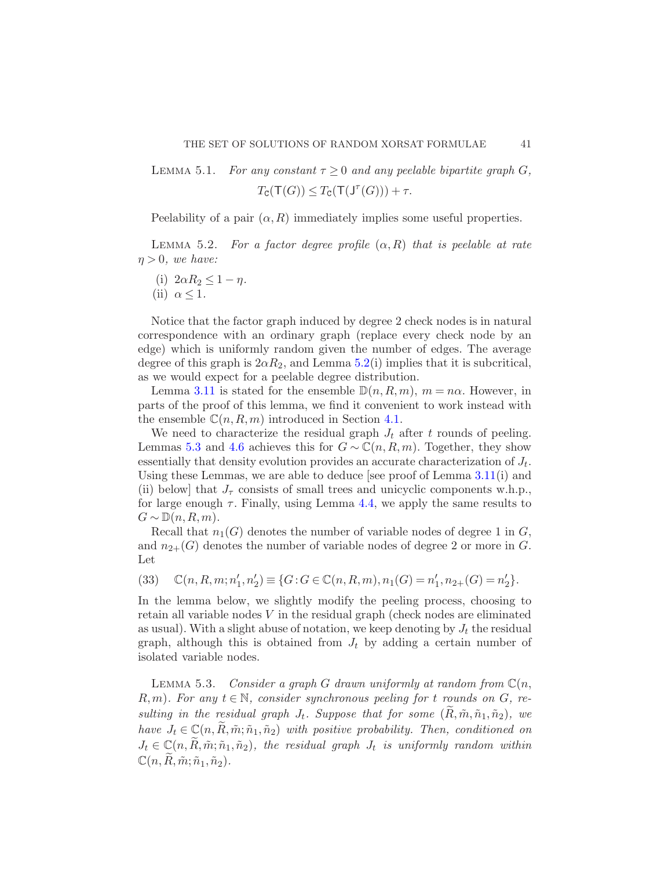LEMMA 5.1. For any constant  $\tau > 0$  and any peelable bipartite graph G,  $T_{\texttt{C}}(\texttt{T}(G)) \leq T_{\texttt{C}}(\texttt{T}(\texttt{J}^{\tau}(G))) + \tau.$ 

<span id="page-40-0"></span>Peelability of a pair  $(\alpha, R)$  immediately implies some useful properties.

LEMMA 5.2. For a factor degree profile  $(\alpha, R)$  that is peelable at rate  $\eta > 0$ , we have:

- (i)  $2\alpha R_2 \leq 1 \eta$ .
- (ii)  $\alpha \leq 1$ .

Notice that the factor graph induced by degree 2 check nodes is in natural correspondence with an ordinary graph (replace every check node by an edge) which is uniformly random given the number of edges. The average degree of this graph is  $2\alpha R_2$ , and Lemma [5.2\(](#page-40-0)i) implies that it is subcritical, as we would expect for a peelable degree distribution.

Lemma [3.11](#page-22-1) is stated for the ensemble  $\mathbb{D}(n, R, m)$ ,  $m = n\alpha$ . However, in parts of the proof of this lemma, we find it convenient to work instead with the ensemble  $\mathbb{C}(n, R, m)$  introduced in Section [4.1.](#page-25-2)

We need to characterize the residual graph  $J_t$  after t rounds of peeling. Lemmas [5.3](#page-40-1) and [4.6](#page-27-1) achieves this for  $G \sim \mathbb{C}(n, R, m)$ . Together, they show essentially that density evolution provides an accurate characterization of  $J_t$ . Using these Lemmas, we are able to deduce [see proof of Lemma [3.11\(](#page-22-1)i) and (ii) below] that  $J_{\tau}$  consists of small trees and unicyclic components w.h.p., for large enough  $\tau$ . Finally, using Lemma [4.4,](#page-26-0) we apply the same results to  $G \sim \mathbb{D}(n, R, m)$ .

Recall that  $n_1(G)$  denotes the number of variable nodes of degree 1 in G, and  $n_{2+}(G)$  denotes the number of variable nodes of degree 2 or more in G. Let

<span id="page-40-2"></span>(33) 
$$
\mathbb{C}(n, R, m; n'_1, n'_2) \equiv \{G : G \in \mathbb{C}(n, R, m), n_1(G) = n'_1, n_{2+}(G) = n'_2\}.
$$

In the lemma below, we slightly modify the peeling process, choosing to retain all variable nodes V in the residual graph (check nodes are eliminated as usual). With a slight abuse of notation, we keep denoting by  $J_t$  the residual graph, although this is obtained from  $J_t$  by adding a certain number of isolated variable nodes.

<span id="page-40-1"></span>LEMMA 5.3. Consider a graph G drawn uniformly at random from  $\mathbb{C}(n,$  $R,m$ ). For any  $t \in \mathbb{N}$ , consider synchronous peeling for t rounds on G, resulting in the residual graph  $J_t$ . Suppose that for some  $(R, \tilde{m}, \tilde{n}_1, \tilde{n}_2)$ , we have  $J_t \in \mathbb{C}(n, R, \tilde{m}; \tilde{n}_1, \tilde{n}_2)$  with positive probability. Then, conditioned on  $J_t \in \mathbb{C}(n, R, \tilde{m}; \tilde{n}_1, \tilde{n}_2)$ , the residual graph  $J_t$  is uniformly random within  $\mathbb{C}(n,\widetilde{R},\widetilde{m};\widetilde{n}_1,\widetilde{n}_2).$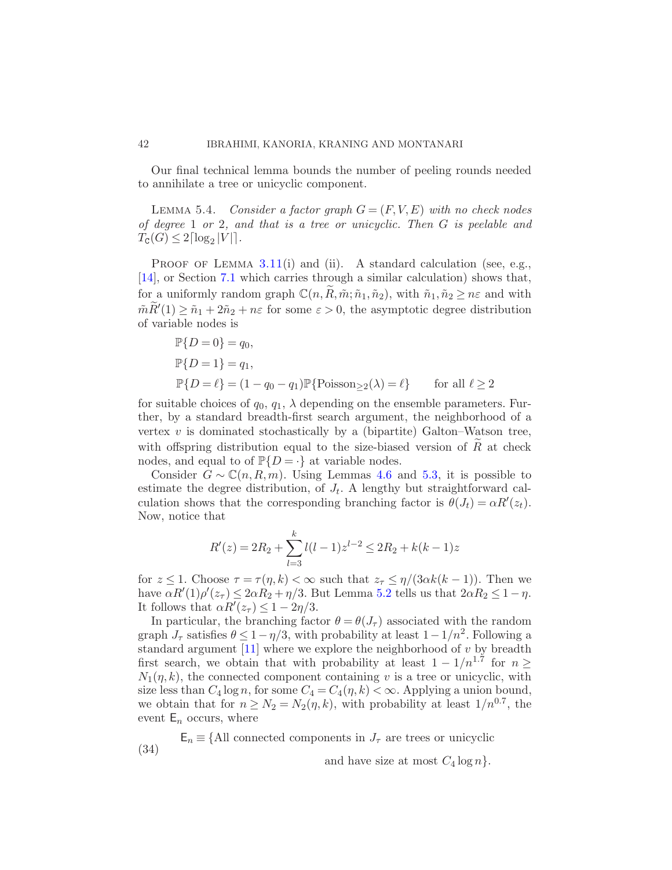<span id="page-41-0"></span>Our final technical lemma bounds the number of peeling rounds needed to annihilate a tree or unicyclic component.

LEMMA 5.4. Consider a factor graph  $G = (F, V, E)$  with no check nodes of degree 1 or 2, and that is a tree or unicyclic. Then G is peelable and  $T_{\texttt{C}}(G) \leq 2\lceil \log_2 |V| \rceil$ .

PROOF OF LEMMA  $3.11(i)$  $3.11(i)$  and (ii). A standard calculation (see, e.g., [\[14\]](#page-67-6), or Section [7.1](#page-51-0) which carries through a similar calculation) shows that, for a uniformly random graph  $\mathbb{C}(n, R, \tilde{m}; \tilde{n}_1, \tilde{n}_2)$ , with  $\tilde{n}_1, \tilde{n}_2 \geq n\varepsilon$  and with  $\tilde{m}\tilde{R}'(1) \geq \tilde{n}_1 + 2\tilde{n}_2 + n\varepsilon$  for some  $\varepsilon > 0$ , the asymptotic degree distribution of variable nodes is

$$
\mathbb{P}{D = 0} = q_0,
$$
  
\n
$$
\mathbb{P}{D = 1} = q_1,
$$
  
\n
$$
\mathbb{P}{D = \ell} = (1 - q_0 - q_1)\mathbb{P}{\text{Poisson}_{\geq 2}(\lambda) = \ell}
$$
 for all  $\ell \geq 2$ 

for suitable choices of  $q_0, q_1, \lambda$  depending on the ensemble parameters. Further, by a standard breadth-first search argument, the neighborhood of a vertex  $v$  is dominated stochastically by a (bipartite) Galton–Watson tree, with offspring distribution equal to the size-biased version of  $R$  at check nodes, and equal to of  $\mathbb{P}{D = \cdot}$  at variable nodes.

Consider  $G \sim \mathbb{C}(n, R, m)$ . Using Lemmas [4.6](#page-27-1) and [5.3,](#page-40-1) it is possible to estimate the degree distribution, of  $J_t$ . A lengthy but straightforward calculation shows that the corresponding branching factor is  $\theta(J_t) = \alpha R'(z_t)$ . Now, notice that

$$
R'(z) = 2R_2 + \sum_{l=3}^{k} l(l-1)z^{l-2} \le 2R_2 + k(k-1)z
$$

for  $z \leq 1$ . Choose  $\tau = \tau(\eta, k) < \infty$  such that  $z_{\tau} \leq \eta/(3\alpha k(k-1))$ . Then we have  $\alpha R'(1)\rho'(z_{\tau}) \leq 2\alpha R_2 + \eta/3$ . But Lemma [5.2](#page-40-0) tells us that  $2\alpha R_2 \leq 1-\eta$ . It follows that  $\alpha R'(z_\tau) \leq 1 - 2\eta/3$ .

In particular, the branching factor  $\theta = \theta(J_\tau)$  associated with the random graph  $J_{\tau}$  satisfies  $\theta \leq 1 - \eta/3$ , with probability at least  $1 - 1/n^2$ . Following a standard argument  $[11]$  where we explore the neighborhood of v by breadth first search, we obtain that with probability at least  $1 - 1/n^{1.7}$  for  $n \ge$  $N_1(\eta, k)$ , the connected component containing v is a tree or unicyclic, with size less than  $C_4 \log n$ , for some  $C_4 = C_4(\eta, k) < \infty$ . Applying a union bound, we obtain that for  $n \geq N_2 = N_2(\eta, k)$ , with probability at least  $1/n^{0.7}$ , the event  $E_n$  occurs, where

 $E_n \equiv \{$ All connected components in  $J_\tau$  are trees or unicyclic (34) and have size at most  $C_4 \log n$ .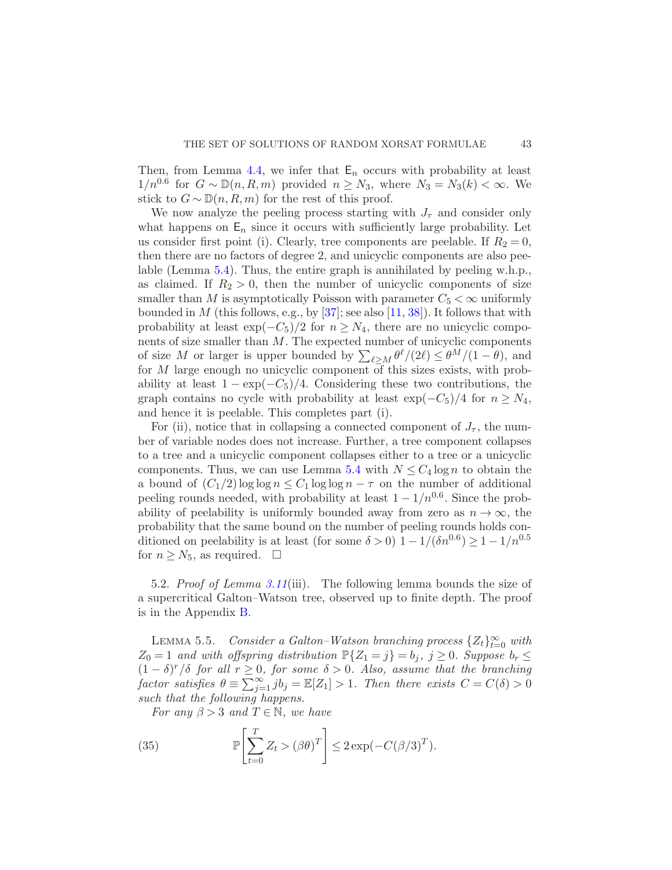Then, from Lemma [4.4,](#page-26-0) we infer that  $E_n$  occurs with probability at least  $1/n^{0.6}$  for  $G \sim \mathbb{D}(n, R, m)$  provided  $n \geq N_3$ , where  $N_3 = N_3(k) < \infty$ . We stick to  $G \sim \mathbb{D}(n, R, m)$  for the rest of this proof.

We now analyze the peeling process starting with  $J_{\tau}$  and consider only what happens on  $E_n$  since it occurs with sufficiently large probability. Let us consider first point (i). Clearly, tree components are peelable. If  $R_2 = 0$ , then there are no factors of degree 2, and unicyclic components are also peelable (Lemma [5.4\)](#page-41-0). Thus, the entire graph is annihilated by peeling w.h.p., as claimed. If  $R_2 > 0$ , then the number of unicyclic components of size smaller than M is asymptotically Poisson with parameter  $C_5 < \infty$  uniformly bounded in M (this follows, e.g., by  $[37]$ ; see also  $[11, 38]$  $[11, 38]$ ). It follows that with probability at least  $\exp(-C_5)/2$  for  $n \geq N_4$ , there are no unicyclic components of size smaller than M. The expected number of unicyclic components of size M or larger is upper bounded by  $\sum_{\ell \geq M} \theta^{\ell}/(2\ell) \leq \theta^M/(1-\theta)$ , and for  $M$  large enough no unicyclic component of this sizes exists, with probability at least  $1 - \exp(-C_5)/4$ . Considering these two contributions, the graph contains no cycle with probability at least  $\exp(-C_5)/4$  for  $n \geq N_4$ , and hence it is peelable. This completes part (i).

For (ii), notice that in collapsing a connected component of  $J_{\tau}$ , the number of variable nodes does not increase. Further, a tree component collapses to a tree and a unicyclic component collapses either to a tree or a unicyclic components. Thus, we can use Lemma [5.4](#page-41-0) with  $N \leq C_4 \log n$  to obtain the a bound of  $(C_1/2) \log \log n \leq C_1 \log \log n - \tau$  on the number of additional peeling rounds needed, with probability at least  $1 - 1/n^{0.6}$ . Since the probability of peelability is uniformly bounded away from zero as  $n \to \infty$ , the probability that the same bound on the number of peeling rounds holds conditioned on peelability is at least (for some  $\delta > 0$ )  $1 - 1/(\delta n^{0.6}) \ge 1 - 1/n^{0.5}$ for  $n \geq N_5$ , as required.  $\Box$ 

<span id="page-42-0"></span>5.2. Proof of Lemma [3.11](#page-22-1)(iii). The following lemma bounds the size of a supercritical Galton–Watson tree, observed up to finite depth. The proof is in the Appendix [B.](#page-63-0)

<span id="page-42-1"></span>LEMMA 5.5. Consider a Galton–Watson branching process  $\{Z_t\}_{t=0}^{\infty}$  with  $Z_0 = 1$  and with offspring distribution  $\mathbb{P}\{Z_1 = j\} = b_j, j \geq 0$ . Suppose  $b_r \leq$  $(1 - \delta)^r / \delta$  for all  $r \geq 0$ , for some  $\delta > 0$ . Also, assume that the branching factor satisfies  $\theta \equiv \sum_{j=1}^{\infty} jb_j = \mathbb{E}[Z_1] > 1$ . Then there exists  $C = C(\delta) > 0$ such that the following happens.

<span id="page-42-2"></span>For any  $\beta > 3$  and  $T \in \mathbb{N}$ , we have

(35) 
$$
\mathbb{P}\left[\sum_{t=0}^{T} Z_t > (\beta \theta)^T\right] \leq 2\exp(-C(\beta/3)^T).
$$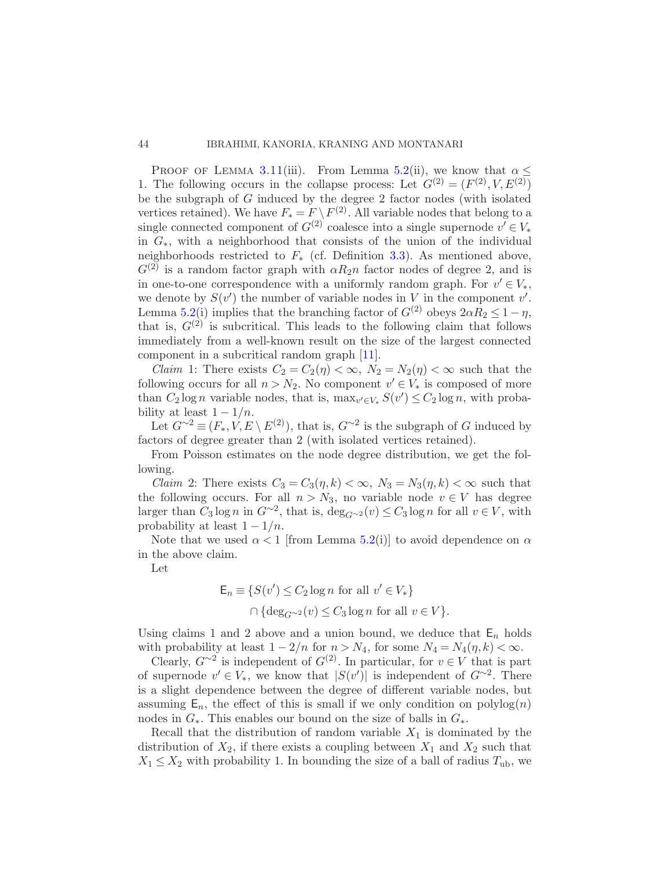PROOF OF LEMMA [3.11](#page-22-1)(iii). From Lemma [5.2\(](#page-40-0)ii), we know that  $\alpha$  < 1. The following occurs in the collapse process: Let  $G^{(2)} = (F^{(2)}, V, E^{(2)})$ be the subgraph of G induced by the degree 2 factor nodes (with isolated vertices retained). We have  $F_* = F \setminus F^{(2)}$ . All variable nodes that belong to a single connected component of  $G^{(2)}$  coalesce into a single supernode  $v' \in V_*$ in  $G<sub>*</sub>$ , with a neighborhood that consists of the union of the individual neighborhoods restricted to  $F_*$  (cf. Definition [3.3\)](#page-16-0). As mentioned above,  $G^{(2)}$  is a random factor graph with  $\alpha R_2 n$  factor nodes of degree 2, and is in one-to-one correspondence with a uniformly random graph. For  $v' \in V_*,$ we denote by  $S(v')$  the number of variable nodes in V in the component  $v'$ . Lemma [5.2\(](#page-40-0)i) implies that the branching factor of  $G^{(2)}$  obeys  $2\alpha R_2 \leq 1 - \eta$ , that is,  $G^{(2)}$  is subcritical. This leads to the following claim that follows immediately from a well-known result on the size of the largest connected component in a subcritical random graph [\[11](#page-67-13)].

*Claim* 1: There exists  $C_2 = C_2(\eta) < \infty$ ,  $N_2 = N_2(\eta) < \infty$  such that the following occurs for all  $n > N_2$ . No component  $v' \in V_*$  is composed of more than  $C_2 \log n$  variable nodes, that is,  $\max_{v' \in V_*} S(v') \leq C_2 \log n$ , with probability at least  $1 - 1/n$ .

Let  $G^{\sim 2} \equiv (F_*, V, E \setminus E^{(2)})$ , that is,  $G^{\sim 2}$  is the subgraph of G induced by factors of degree greater than 2 (with isolated vertices retained).

From Poisson estimates on the node degree distribution, we get the following.

*Claim* 2: There exists  $C_3 = C_3(\eta, k) < \infty$ ,  $N_3 = N_3(\eta, k) < \infty$  such that the following occurs. For all  $n > N_3$ , no variable node  $v \in V$  has degree larger than  $C_3 \log n$  in  $G^{\sim 2}$ , that is,  $\deg_{G^{\sim 2}}(v) \leq C_3 \log n$  for all  $v \in V$ , with probability at least  $1 - 1/n$ .

Note that we used  $\alpha < 1$  [from Lemma [5.2\(](#page-40-0)i)] to avoid dependence on  $\alpha$ in the above claim.

Let

$$
\mathsf{E}_n \equiv \{ S(v') \le C_2 \log n \text{ for all } v' \in V_* \}
$$

$$
\cap \{ \deg_{G^{\sim 2}}(v) \le C_3 \log n \text{ for all } v \in V \}.
$$

Using claims 1 and 2 above and a union bound, we deduce that  $E_n$  holds with probability at least  $1 - 2/n$  for  $n > N_4$ , for some  $N_4 = N_4(\eta, k) < \infty$ .

Clearly,  $G^{\sim 2}$  is independent of  $G^{(2)}$ . In particular, for  $v \in V$  that is part of supernode  $v' \in V_*$ , we know that  $|S(v')|$  is independent of  $G^{\sim 2}$ . There is a slight dependence between the degree of different variable nodes, but assuming  $E_n$ , the effect of this is small if we only condition on polylog $(n)$ nodes in  $G_*$ . This enables our bound on the size of balls in  $G_*$ .

Recall that the distribution of random variable  $X_1$  is dominated by the distribution of  $X_2$ , if there exists a coupling between  $X_1$  and  $X_2$  such that  $X_1 \leq X_2$  with probability 1. In bounding the size of a ball of radius  $T_{ub}$ , we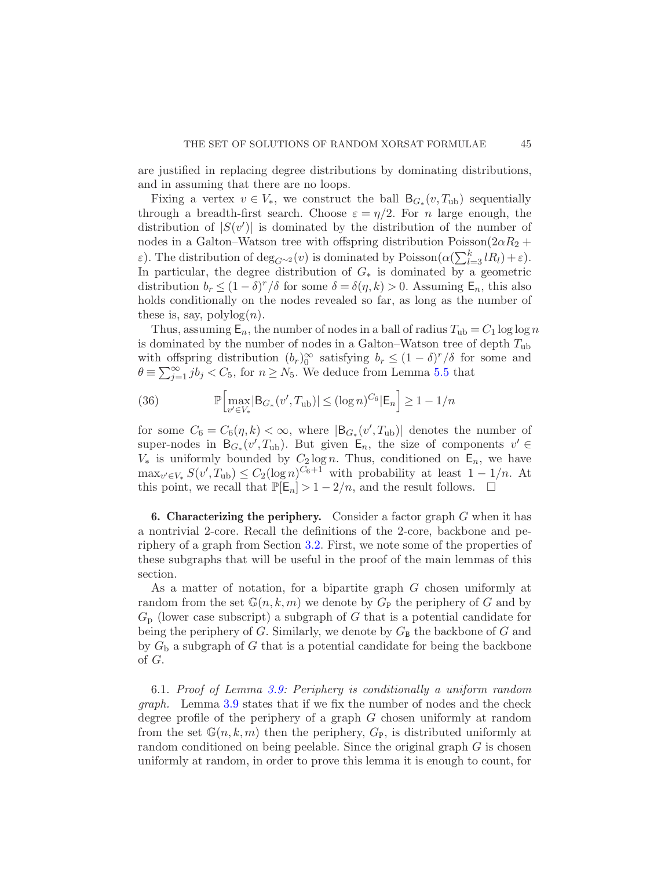are justified in replacing degree distributions by dominating distributions, and in assuming that there are no loops.

Fixing a vertex  $v \in V_*$ , we construct the ball  $B_{G_*}(v, T_{ub})$  sequentially through a breadth-first search. Choose  $\varepsilon = \eta/2$ . For n large enough, the distribution of  $|S(v')|$  is dominated by the distribution of the number of nodes in a Galton–Watson tree with offspring distribution Poisson( $2\alpha R_2$  + ε). The distribution of  $deg_{G^{\sim 2}}(v)$  is dominated by Poisson $(\alpha(\sum_{l=3}^{k} lR_l) + \varepsilon)$ . In particular, the degree distribution of  $G_*$  is dominated by a geometric distribution  $b_r \leq (1 - \delta)^r / \delta$  for some  $\delta = \delta(\eta, k) > 0$ . Assuming  $\mathsf{E}_n$ , this also holds conditionally on the nodes revealed so far, as long as the number of these is, say,  $\text{polylog}(n)$ .

Thus, assuming  $\mathsf{E}_n$ , the number of nodes in a ball of radius  $T_{ub} = C_1 \log \log n$ is dominated by the number of nodes in a Galton–Watson tree of depth  $T_{ub}$ with offspring distribution  $(b_r)_{0}^{\infty}$  satisfying  $b_r \leq (1-\delta)^r/\delta$  for some and  $\theta \equiv \sum_{j=1}^{\infty} i b_j < C_5$ , for  $n \ge N_5$ . We deduce from Lemma [5.5](#page-42-1) that

(36) 
$$
\mathbb{P}\Big[\max_{v' \in V_*} |B_{G_*}(v', T_{ub})| \le (\log n)^{C_6} |\mathsf{E}_n\Big] \ge 1 - 1/n
$$

for some  $C_6 = C_6(\eta, k) < \infty$ , where  $|B_{G_*}(v', T_{ub})|$  denotes the number of super-nodes in  $B_{G_*}(v', T_{ub})$ . But given  $E_n$ , the size of components  $v' \in$  $V_*$  is uniformly bounded by  $C_2 \log n$ . Thus, conditioned on  $E_n$ , we have  $\max_{v' \in V_*} S(v', T_{ub}) \leq C_2(\log n)^{C_6+1}$  with probability at least  $1 - 1/n$ . At this point, we recall that  $\mathbb{P}[\mathsf{E}_n] > 1 - 2/n$ , and the result follows.  $\Box$ 

<span id="page-44-0"></span>**6. Characterizing the periphery.** Consider a factor graph  $G$  when it has a nontrivial 2-core. Recall the definitions of the 2-core, backbone and periphery of a graph from Section [3.2.](#page-17-1) First, we note some of the properties of these subgraphs that will be useful in the proof of the main lemmas of this section.

As a matter of notation, for a bipartite graph G chosen uniformly at random from the set  $\mathbb{G}(n,k,m)$  we denote by  $G_{\mathbb{P}}$  the periphery of G and by  $G_{\rm p}$  (lower case subscript) a subgraph of G that is a potential candidate for being the periphery of  $G$ . Similarly, we denote by  $G_{\text{B}}$  the backbone of  $G$  and by  $G<sub>b</sub>$  a subgraph of G that is a potential candidate for being the backbone of G.

<span id="page-44-1"></span>6.1. Proof of Lemma [3.9:](#page-21-1) Periphery is conditionally a uniform random graph. Lemma [3.9](#page-21-1) states that if we fix the number of nodes and the check degree profile of the periphery of a graph G chosen uniformly at random from the set  $\mathbb{G}(n,k,m)$  then the periphery,  $G_{\mathbb{P}}$ , is distributed uniformly at random conditioned on being peelable. Since the original graph  $G$  is chosen uniformly at random, in order to prove this lemma it is enough to count, for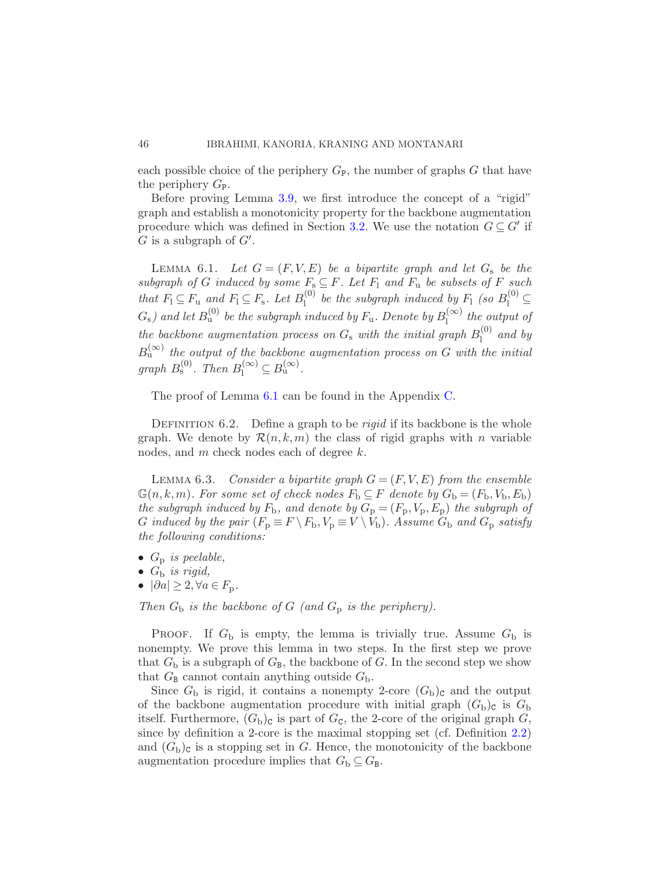each possible choice of the periphery  $G_{\rm P}$ , the number of graphs G that have the periphery  $G_{\rm P}$ .

Before proving Lemma [3.9,](#page-21-1) we first introduce the concept of a "rigid" graph and establish a monotonicity property for the backbone augmentation procedure which was defined in Section [3.2.](#page-17-1) We use the notation  $G \subseteq G'$  if  $G$  is a subgraph of  $G'$ .

<span id="page-45-0"></span>LEMMA 6.1. Let  $G = (F, V, E)$  be a bipartite graph and let  $G_s$  be the subgraph of G induced by some  $F_s \subseteq F$ . Let  $F_1$  and  $F_u$  be subsets of F such that  $F_1 \subseteq F_u$  and  $F_1 \subseteq F_s$ . Let  $B_1^{(0)}$  $\mathcal{L}_1^{(0)}$  be the subgraph induced by  $F_1$  (so  $B_1^{(0)} \subseteq$  $G_{\rm s}$ ) and let  $B_{\rm u}^{(0)}$  be the subgraph induced by  $F_{\rm u}$ . Denote by  $B_{\rm l}^{(\infty)}$  $\int_{1}^{(\infty)}$  the output of the backbone augmentation process on  $G_s$  with the initial graph  $B_1^{(0)}$  $\int_1^{(0)}$  and by  $B_{\rm u}^{(\infty)}$  the output of the backbone augmentation process on G with the initial graph  $B_s^{(0)}$ . Then  $B_l^{(\infty)} \subseteq B_u^{(\infty)}$ .

The proof of Lemma [6.1](#page-45-0) can be found in the Appendix [C.](#page-66-0)

DEFINITION  $6.2$ . Define a graph to be *rigid* if its backbone is the whole graph. We denote by  $\mathcal{R}(n, k, m)$  the class of rigid graphs with n variable nodes, and m check nodes each of degree k.

<span id="page-45-1"></span>LEMMA 6.3. Consider a bipartite graph  $G = (F, V, E)$  from the ensemble  $\mathbb{G}(n, k, m)$ . For some set of check nodes  $F_{\text{b}} \subseteq F$  denote by  $G_{\text{b}} = (F_{\text{b}}, V_{\text{b}}, E_{\text{b}})$ the subgraph induced by  $F_b$ , and denote by  $G_p = (F_p, V_p, E_p)$  the subgraph of G induced by the pair  $(F_p \equiv F \setminus F_b, V_p \equiv V \setminus V_b)$ . Assume  $G_b$  and  $G_p$  satisfy the following conditions:

- $G_p$  is peelable,
- $G_{\rm b}$  is rigid,
- $|\partial a| \geq 2, \forall a \in F_p$ .

Then  $G_b$  is the backbone of G (and  $G_p$  is the periphery).

PROOF. If  $G<sub>b</sub>$  is empty, the lemma is trivially true. Assume  $G<sub>b</sub>$  is nonempty. We prove this lemma in two steps. In the first step we prove that  $G_{\rm b}$  is a subgraph of  $G_{\rm B}$ , the backbone of G. In the second step we show that  $G_{\text{B}}$  cannot contain anything outside  $G_{\text{b}}$ .

Since  $G_{\rm b}$  is rigid, it contains a nonempty 2-core  $(G_{\rm b})$ <sub>c</sub> and the output of the backbone augmentation procedure with initial graph  $(G<sub>b</sub>)<sub>c</sub>$  is  $G<sub>b</sub>$ itself. Furthermore,  $(G_{\text{b}})_{\text{c}}$  is part of  $G_{\text{c}}$ , the 2-core of the original graph  $G$ , since by definition a 2-core is the maximal stopping set (cf. Definition [2.2\)](#page-12-0) and  $(G<sub>b</sub>)<sub>c</sub>$  is a stopping set in G. Hence, the monotonicity of the backbone augmentation procedure implies that  $G_{\text{b}} \subseteq G_{\text{B}}$ .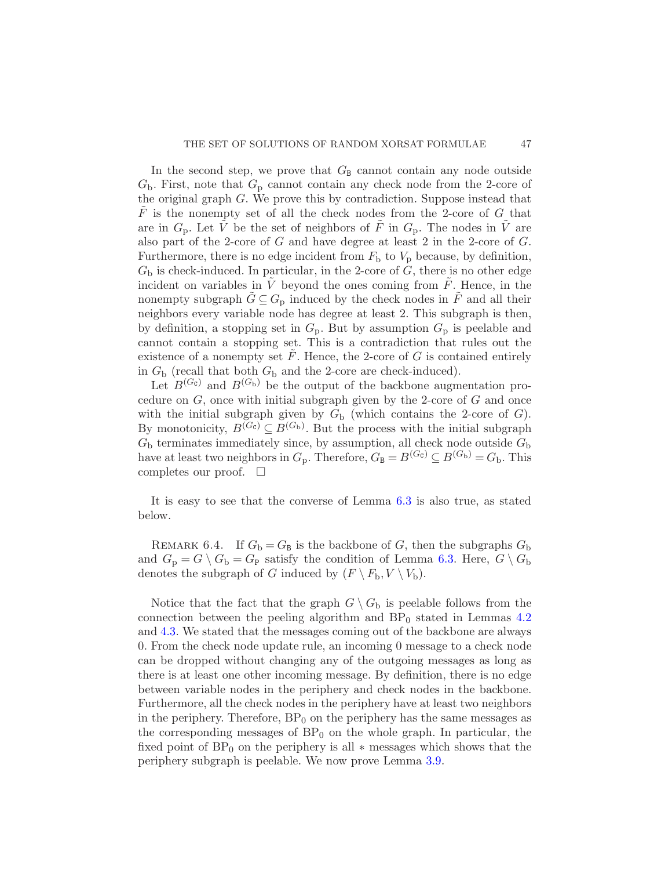In the second step, we prove that  $G_{\text{B}}$  cannot contain any node outside  $G<sub>b</sub>$ . First, note that  $G<sub>p</sub>$  cannot contain any check node from the 2-core of the original graph G. We prove this by contradiction. Suppose instead that  $\tilde{F}$  is the nonempty set of all the check nodes from the 2-core of G that are in  $G_p$ . Let  $\tilde{V}$  be the set of neighbors of  $\tilde{F}$  in  $G_p$ . The nodes in  $\tilde{V}$  are also part of the 2-core of  $G$  and have degree at least 2 in the 2-core of  $G$ . Furthermore, there is no edge incident from  $F<sub>b</sub>$  to  $V<sub>p</sub>$  because, by definition,  $G<sub>b</sub>$  is check-induced. In particular, in the 2-core of  $G$ , there is no other edge incident on variables in  $\tilde{V}$  beyond the ones coming from  $\tilde{F}$ . Hence, in the nonempty subgraph  $\tilde{G} \subseteq G_p$  induced by the check nodes in  $\tilde{F}$  and all their neighbors every variable node has degree at least 2. This subgraph is then, by definition, a stopping set in  $G_p$ . But by assumption  $G_p$  is peelable and cannot contain a stopping set. This is a contradiction that rules out the existence of a nonempty set  $F$ . Hence, the 2-core of  $G$  is contained entirely in  $G<sub>b</sub>$  (recall that both  $G<sub>b</sub>$  and the 2-core are check-induced).

Let  $B^{(G_c)}$  and  $B^{(G_b)}$  be the output of the backbone augmentation procedure on  $G$ , once with initial subgraph given by the 2-core of  $G$  and once with the initial subgraph given by  $G<sub>b</sub>$  (which contains the 2-core of G). By monotonicity,  $B^{(G_c)} \subseteq B^{(G_b)}$ . But the process with the initial subgraph  $G<sub>b</sub>$  terminates immediately since, by assumption, all check node outside  $G<sub>b</sub>$ have at least two neighbors in  $G_p$ . Therefore,  $G_B = B^{(G_c)} \subseteq B^{(G_b)} = G_b$ . This completes our proof.  $\square$ 

It is easy to see that the converse of Lemma [6.3](#page-45-1) is also true, as stated below.

REMARK 6.4. If  $G_{\rm b} = G_{\rm B}$  is the backbone of G, then the subgraphs  $G_{\rm b}$ and  $G_p = G \setminus G_b = G_p$  satisfy the condition of Lemma [6.3.](#page-45-1) Here,  $G \setminus G_b$ denotes the subgraph of G induced by  $(F \setminus F_b, V \setminus V_b)$ .

Notice that the fact that the graph  $G \setminus G_b$  is peelable follows from the connection between the peeling algorithm and  $BP_0$  stated in Lemmas [4.2](#page-25-1) and [4.3.](#page-25-0) We stated that the messages coming out of the backbone are always 0. From the check node update rule, an incoming 0 message to a check node can be dropped without changing any of the outgoing messages as long as there is at least one other incoming message. By definition, there is no edge between variable nodes in the periphery and check nodes in the backbone. Furthermore, all the check nodes in the periphery have at least two neighbors in the periphery. Therefore,  $BP_0$  on the periphery has the same messages as the corresponding messages of  $BP_0$  on the whole graph. In particular, the fixed point of  $BP_0$  on the periphery is all  $*$  messages which shows that the periphery subgraph is peelable. We now prove Lemma [3.9.](#page-21-1)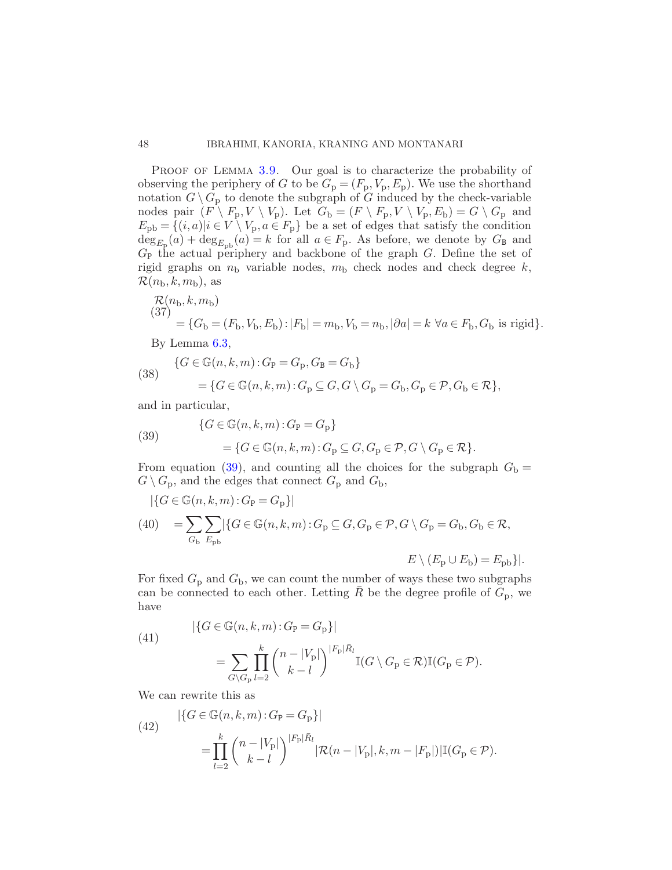PROOF OF LEMMA [3.9.](#page-21-1) Our goal is to characterize the probability of observing the periphery of G to be  $G_p = (F_p, V_p, E_p)$ . We use the shorthand notation  $G \setminus G_p$  to denote the subgraph of G induced by the check-variable nodes pair  $(F \setminus F_p, V \setminus V_p)$ . Let  $G_b = (F \setminus F_p, V \setminus V_p, E_b) = G \setminus G_p$  and  $E_{\rm pb} = \{(i, a)|i \in V \setminus V_{\rm p}, a \in F_{\rm p}\}\$ be a set of edges that satisfy the condition  $\deg_{E_{\mathcal{P}}}(a) + \deg_{E_{\mathcal{P}^{\mathcal{D}}}}(a) = k$  for all  $a \in F_{\mathcal{P}}$ . As before, we denote by  $G_{\mathcal{B}}$  and  $G_{\rm P}$  the actual periphery and backbone of the graph G. Define the set of rigid graphs on  $n_b$  variable nodes,  $m_b$  check nodes and check degree k,  $\mathcal{R}(n_{\rm b}, k, m_{\rm b}),$  as

$$
\mathcal{R}(n_{\rm b}, k, m_{\rm b}) = \{G_{\rm b} = (F_{\rm b}, V_{\rm b}, E_{\rm b}) : |F_{\rm b}| = m_{\rm b}, V_{\rm b} = n_{\rm b}, |\partial a| = k \,\,\forall a \in F_{\rm b}, G_{\rm b} \text{ is rigid}\}.
$$

By Lemma [6.3,](#page-45-1)

(38) 
$$
\begin{aligned} \{G \in \mathbb{G}(n,k,m): G_{\mathbf{P}} = G_{\mathbf{p}}, G_{\mathbf{B}} = G_{\mathbf{b}}\} \\ = \{G \in \mathbb{G}(n,k,m): G_{\mathbf{p}} \subseteq G, G \setminus G_{\mathbf{p}} = G_{\mathbf{b}}, G_{\mathbf{p}} \in \mathcal{P}, G_{\mathbf{b}} \in \mathcal{R}\}, \end{aligned}
$$

and in particular,

<span id="page-47-0"></span>(39) 
$$
\{G \in \mathbb{G}(n,k,m): G_{\mathbf{P}} = G_{\mathbf{P}}\}
$$

$$
= \{G \in \mathbb{G}(n,k,m): G_{\mathbf{P}} \subseteq G, G_{\mathbf{P}} \in \mathcal{P}, G \setminus G_{\mathbf{P}} \in \mathcal{R}\}.
$$

From equation [\(39\)](#page-47-0), and counting all the choices for the subgraph  $G<sub>b</sub> =$  $G \setminus G_p$ , and the edges that connect  $G_p$  and  $G_b$ ,

$$
|\{G \in \mathbb{G}(n,k,m): G_{\mathbf{P}} = G_{\mathbf{P}}\}|
$$
  
(40) = 
$$
\sum_{G_{\mathbf{b}}} \sum_{E_{\mathbf{p}\mathbf{b}}} |\{G \in \mathbb{G}(n,k,m): G_{\mathbf{p}} \subseteq G, G_{\mathbf{p}} \in \mathcal{P}, G \setminus G_{\mathbf{p}} = G_{\mathbf{b}}, G_{\mathbf{b}} \in \mathcal{R},
$$

$$
E \setminus (E_{\rm p} \cup E_{\rm b}) = E_{\rm pb} \} |.
$$

For fixed  $G_p$  and  $G_b$ , we can count the number of ways these two subgraphs can be connected to each other. Letting  $\overline{R}$  be the degree profile of  $G_p$ , we have

(41)  
\n
$$
|\{G \in \mathbb{G}(n,k,m): G_{\mathbf{P}} = G_{\mathbf{P}}\}|
$$
\n
$$
= \sum_{G \backslash G_{\mathbf{P}}} \prod_{l=2}^{k} {n - |V_{\mathbf{P}}| \choose k-l}^{|F_{\mathbf{P}}| \bar{R}_l} \mathbb{I}(G \setminus G_{\mathbf{P}} \in \mathcal{R}) \mathbb{I}(G_{\mathbf{P}} \in \mathcal{P}).
$$

We can rewrite this as

(42) 
$$
|\{G \in \mathbb{G}(n,k,m): G_{\mathbf{P}} = G_{\mathbf{P}}\}|
$$

$$
= \prod_{l=2}^{k} {n-|V_{\mathbf{P}}| \choose k-l}^{|F_{\mathbf{P}}|\bar{R}_l} |\mathcal{R}(n-|V_{\mathbf{P}}|,k,m-|F_{\mathbf{P}}|) | \mathbb{I}(G_{\mathbf{P}} \in \mathcal{P}).
$$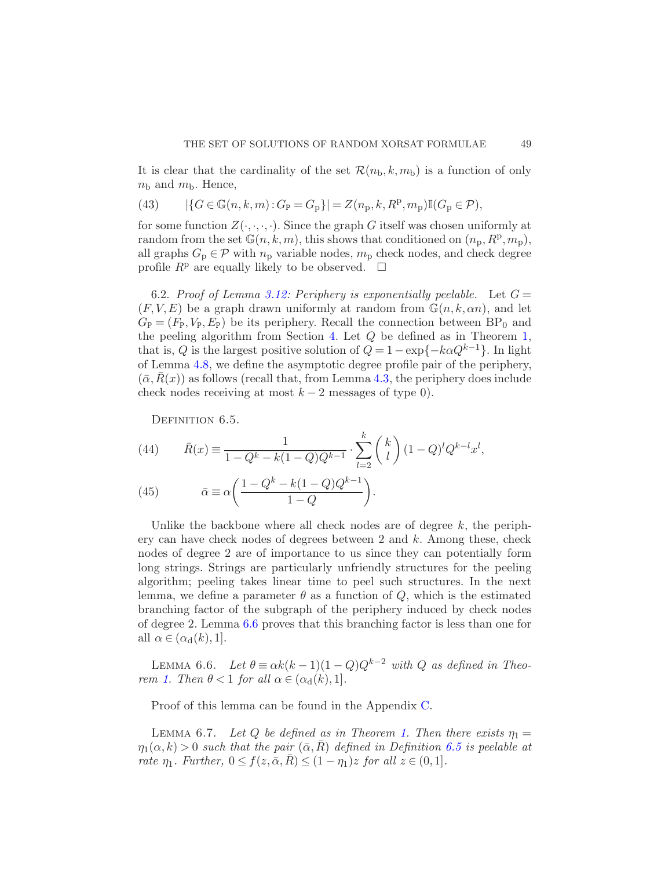It is clear that the cardinality of the set  $\mathcal{R}(n_{\rm b}, k, m_{\rm b})$  is a function of only  $n_{\rm b}$  and  $m_{\rm b}$ . Hence,

(43) 
$$
|\{G \in \mathbb{G}(n,k,m): G_{\mathbf{P}} = G_{\mathbf{P}}\}| = Z(n_{\mathbf{p}},k,R^{\mathbf{p}},m_{\mathbf{P}})\mathbb{I}(G_{\mathbf{P}} \in \mathcal{P}),
$$

for some function  $Z(\cdot, \cdot, \cdot)$ . Since the graph G itself was chosen uniformly at random from the set  $\mathbb{G}(n,k,m)$ , this shows that conditioned on  $(n_p, R^p, m_p)$ , all graphs  $G_p \in \mathcal{P}$  with  $n_p$  variable nodes,  $m_p$  check nodes, and check degree profile  $R^p$  are equally likely to be observed.  $\Box$ 

<span id="page-48-0"></span>6.2. Proof of Lemma [3.12:](#page-22-2) Periphery is exponentially peelable. Let  $G =$  $(F, V, E)$  be a graph drawn uniformly at random from  $\mathbb{G}(n, k, \alpha n)$ , and let  $G_{\rm P} = (F_{\rm P}, V_{\rm P}, E_{\rm P})$  be its periphery. Recall the connection between  $BP_0$  and the peeling algorithm from Section [4.](#page-24-0) Let  $Q$  be defined as in Theorem [1,](#page-5-0) that is, Q is the largest positive solution of  $Q = 1 - \exp\{-k\alpha Q^{k-1}\}\$ . In light of Lemma [4.8,](#page-28-1) we define the asymptotic degree profile pair of the periphery,  $(\bar{\alpha},R(x))$  as follows (recall that, from Lemma [4.3,](#page-25-0) the periphery does include check nodes receiving at most  $k - 2$  messages of type 0).

<span id="page-48-2"></span>DEFINITION 6.5.

(44) 
$$
\bar{R}(x) \equiv \frac{1}{1 - Q^k - k(1 - Q)Q^{k-1}} \cdot \sum_{l=2}^k {k \choose l} (1 - Q)^l Q^{k-l} x^l,
$$

(45) 
$$
\bar{\alpha} \equiv \alpha \bigg( \frac{1 - Q^k - k(1 - Q)Q^{k-1}}{1 - Q} \bigg).
$$

Unlike the backbone where all check nodes are of degree  $k$ , the periphery can have check nodes of degrees between 2 and k. Among these, check nodes of degree 2 are of importance to us since they can potentially form long strings. Strings are particularly unfriendly structures for the peeling algorithm; peeling takes linear time to peel such structures. In the next lemma, we define a parameter  $\theta$  as a function of  $Q$ , which is the estimated branching factor of the subgraph of the periphery induced by check nodes of degree 2. Lemma [6.6](#page-48-1) proves that this branching factor is less than one for all  $\alpha \in (\alpha_d(k), 1]$ .

<span id="page-48-1"></span>LEMMA 6.6. Let  $\theta \equiv \alpha k(k-1)(1-Q)Q^{k-2}$  with Q as defined in Theo-rem [1.](#page-5-0) Then  $\theta < 1$  for all  $\alpha \in (\alpha_{d}(k), 1]$ .

<span id="page-48-3"></span>Proof of this lemma can be found in the Appendix [C.](#page-66-0)

LEMMA 6.7. Let Q be defined as in Theorem [1.](#page-5-0) Then there exists  $\eta_1 =$  $\eta_1(\alpha, k) > 0$  such that the pair  $(\bar{\alpha}, \bar{R})$  defined in Definition [6.5](#page-48-2) is peelable at rate  $\eta_1$ . Further,  $0 \le f(z, \bar{\alpha}, \bar{R}) \le (1 - \eta_1)z$  for all  $z \in (0, 1]$ .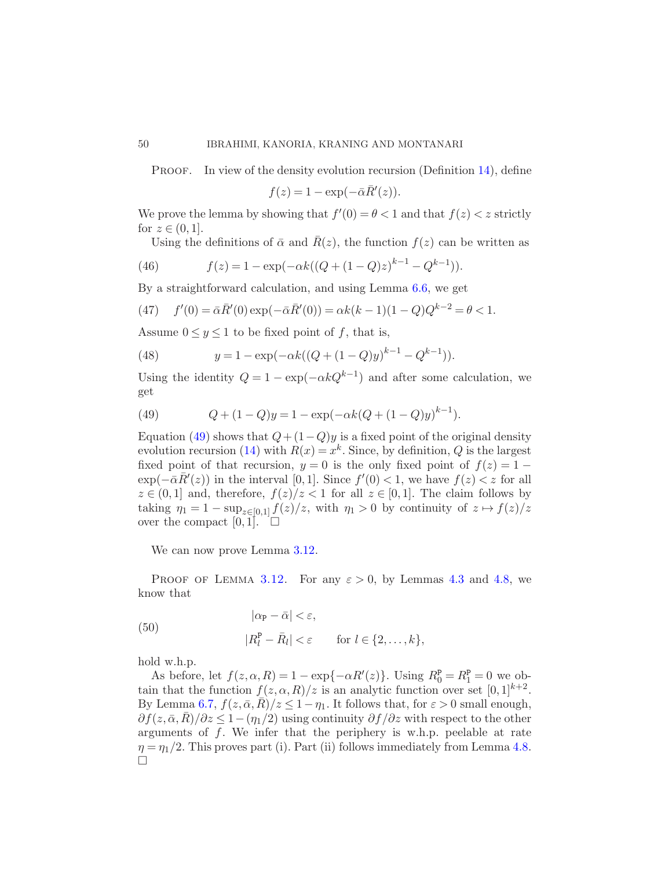PROOF. In view of the density evolution recursion (Definition [14\)](#page-21-0), define

 $f(z) = 1 - \exp(-\bar{\alpha}\bar{R}'(z)).$ 

We prove the lemma by showing that  $f'(0) = \theta < 1$  and that  $f(z) < z$  strictly for  $z \in (0, 1]$ .

Using the definitions of  $\bar{\alpha}$  and  $\bar{R}(z)$ , the function  $f(z)$  can be written as

(46) 
$$
f(z) = 1 - \exp(-\alpha k((Q + (1 - Q)z)^{k-1} - Q^{k-1})).
$$

By a straightforward calculation, and using Lemma [6.6,](#page-48-1) we get

(47) 
$$
f'(0) = \bar{\alpha}\bar{R}'(0) \exp(-\bar{\alpha}\bar{R}'(0)) = \alpha k(k-1)(1-Q)Q^{k-2} = \theta < 1.
$$

Assume  $0 \le y \le 1$  to be fixed point of f, that is,

(48) 
$$
y = 1 - \exp(-\alpha k((Q + (1 - Q)y)^{k-1} - Q^{k-1})).
$$

Using the identity  $Q = 1 - \exp(-\alpha kQ^{k-1})$  and after some calculation, we get

<span id="page-49-0"></span>(49) 
$$
Q + (1 - Q)y = 1 - \exp(-\alpha k(Q + (1 - Q)y)^{k-1}).
$$

Equation [\(49\)](#page-49-0) shows that  $Q + (1 - Q)y$  is a fixed point of the original density evolution recursion [\(14\)](#page-21-0) with  $R(x) = x^k$ . Since, by definition, Q is the largest fixed point of that recursion,  $y = 0$  is the only fixed point of  $f(z) = 1 \exp(-\bar{\alpha}\bar{R}'(z))$  in the interval [0, 1]. Since  $f'(0) < 1$ , we have  $f(z) < z$  for all  $z \in (0,1]$  and, therefore,  $f(z)/z < 1$  for all  $z \in [0,1]$ . The claim follows by taking  $\eta_1 = 1 - \sup_{z \in [0,1]} f(z)/z$ , with  $\eta_1 > 0$  by continuity of  $z \mapsto f(z)/z$ over the compact  $[0, 1]$ .  $\square$ 

We can now prove Lemma  $3.12$ .

PROOF OF LEMMA [3.12.](#page-22-2) For any  $\varepsilon > 0$ , by Lemmas [4.3](#page-25-0) and [4.8,](#page-28-1) we know that

(50) 
$$
|\alpha_{\mathbf{P}} - \bar{\alpha}| < \varepsilon,
$$

$$
|R_l^{\mathbf{P}} - \bar{R}_l| < \varepsilon \quad \text{for } l \in \{2, ..., k\},
$$

hold w.h.p.

As before, let  $f(z, \alpha, R) = 1 - \exp{-\alpha R'(z)}$ . Using  $R_0^P = R_1^P = 0$  we obtain that the function  $f(z, \alpha, R)/z$  is an analytic function over set  $[0, 1]^{k+2}$ . By Lemma [6.7,](#page-48-3)  $f(z, \bar{\alpha}, R)/z \leq 1-\eta_1$ . It follows that, for  $\varepsilon > 0$  small enough,  $\partial f(z,\bar{\alpha},\bar{R})/\partial z \leq 1-(\eta_1/2)$  using continuity  $\partial f/\partial z$  with respect to the other arguments of  $f$ . We infer that the periphery is w.h.p. peelable at rate  $\eta = \eta_1/2$ . This proves part (i). Part (ii) follows immediately from Lemma [4.8.](#page-28-1)  $\Box$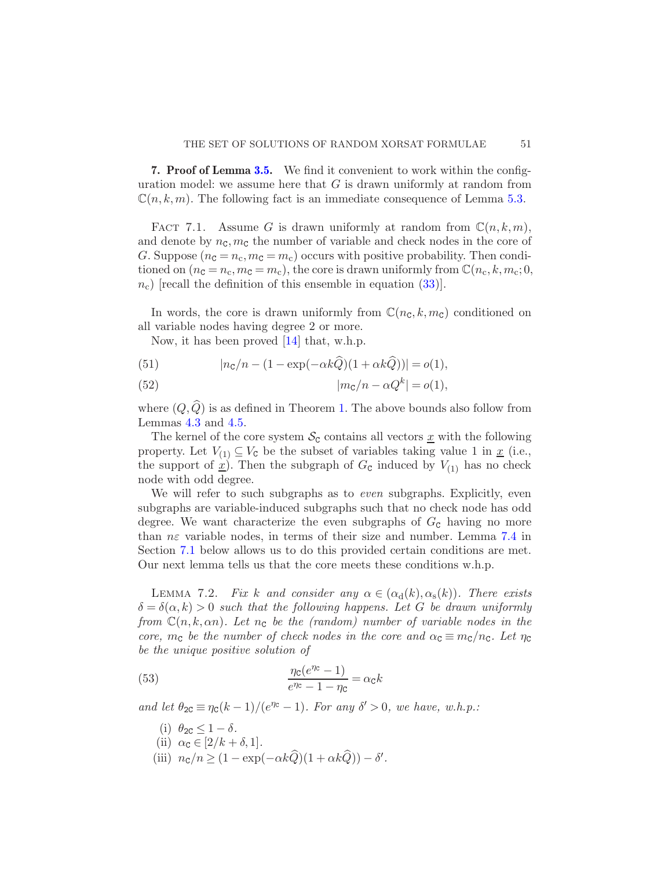<span id="page-50-3"></span><span id="page-50-0"></span>**7. Proof of Lemma [3.5.](#page-18-0)** We find it convenient to work within the configuration model: we assume here that  $G$  is drawn uniformly at random from  $\mathbb{C}(n, k, m)$ . The following fact is an immediate consequence of Lemma [5.3.](#page-40-1)

FACT 7.1. Assume G is drawn uniformly at random from  $\mathbb{C}(n,k,m)$ , and denote by  $n_c, m_c$  the number of variable and check nodes in the core of G. Suppose  $(n_c = n_c, m_c = m_c)$  occurs with positive probability. Then conditioned on  $(n_c = n_c, m_c = m_c)$ , the core is drawn uniformly from  $\mathbb{C}(n_c, k, m_c; 0,$  $n_c$ ) [recall the definition of this ensemble in equation [\(33\)](#page-40-2)].

In words, the core is drawn uniformly from  $\mathbb{C}(n_{\mathsf{C}}, k, m_{\mathsf{C}})$  conditioned on all variable nodes having degree 2 or more.

<span id="page-50-2"></span>Now, it has been proved [\[14](#page-67-6)] that, w.h.p.

(51) 
$$
|n_{\rm C}/n - (1 - \exp(-\alpha k \tilde{Q})(1 + \alpha k \tilde{Q}))| = o(1),
$$

(52) 
$$
|m_{\mathbf{C}}/n - \alpha Q^{k}| = o(1),
$$

where  $(Q,\widehat{Q})$  is as defined in Theorem [1.](#page-5-0) The above bounds also follow from Lemmas [4.3](#page-25-0) and [4.5.](#page-26-1)

The kernel of the core system  $\mathcal{S}_{\mathcal{C}}$  contains all vectors x with the following property. Let  $V_{(1)} \subseteq V_{\mathcal{C}}$  be the subset of variables taking value 1 in  $\underline{x}$  (i.e., the support of  $\hat{x}$ ). Then the subgraph of  $G_c$  induced by  $V_{(1)}$  has no check node with odd degree.

We will refer to such subgraphs as to *even* subgraphs. Explicitly, even subgraphs are variable-induced subgraphs such that no check node has odd degree. We want characterize the even subgraphs of  $G<sub>c</sub>$  having no more than  $n\varepsilon$  variable nodes, in terms of their size and number. Lemma [7.4](#page-52-0) in Section [7.1](#page-51-0) below allows us to do this provided certain conditions are met. Our next lemma tells us that the core meets these conditions w.h.p.

<span id="page-50-1"></span>LEMMA 7.2. Fix k and consider any  $\alpha \in (\alpha_{\rm d}(k), \alpha_{\rm s}(k))$ . There exists  $\delta = \delta(\alpha, k) > 0$  such that the following happens. Let G be drawn uniformly from  $\mathbb{C}(n, k, \alpha n)$ . Let  $n_c$  be the (random) number of variable nodes in the core,  $m_c$  be the number of check nodes in the core and  $\alpha_c \equiv m_c/n_c$ . Let  $\eta_c$ be the unique positive solution of

(53) 
$$
\frac{\eta_{\rm C}(e^{\eta_{\rm C}}-1)}{e^{\eta_{\rm C}}-1-\eta_{\rm C}} = \alpha_{\rm C}k
$$

and let  $\theta_{2C} \equiv \eta_c (k-1)/(e^{\eta c} - 1)$ . For any  $\delta' > 0$ , we have, w.h.p.:

- (i)  $\theta_{2C} \leq 1 \delta$ .
- (ii)  $\alpha_{\mathbf{C}} \in [2/k + \delta, 1].$
- (iii)  $n_{\rm C}/n \geq (1 \exp(-\alpha k \hat{Q})(1 + \alpha k \hat{Q})) \delta'.$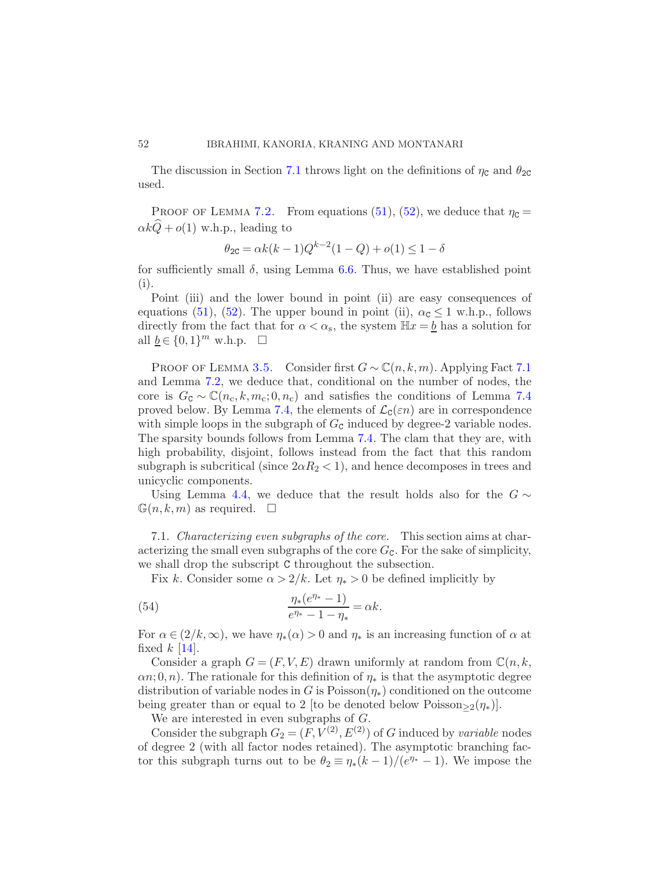The discussion in Section [7.1](#page-51-0) throws light on the definitions of  $\eta_c$  and  $\theta_{2c}$ used.

PROOF OF LEMMA [7.2.](#page-50-1) From equations [\(51\)](#page-50-2), [\(52\)](#page-50-2), we deduce that  $\eta_c =$  $\alpha k\hat{Q} + o(1)$  w.h.p., leading to

$$
\theta_{2C} = \alpha k(k-1)Q^{k-2}(1-Q) + o(1) \le 1 - \delta
$$

for sufficiently small  $\delta$ , using Lemma [6.6.](#page-48-1) Thus, we have established point (i).

Point (iii) and the lower bound in point (ii) are easy consequences of equations [\(51\)](#page-50-2), [\(52\)](#page-50-2). The upper bound in point (ii),  $\alpha_{\rm c} \leq 1$  w.h.p., follows directly from the fact that for  $\alpha < \alpha_s$ , the system  $\mathbb{H}x = \underline{b}$  has a solution for all  $\underline{b} \in \{0,1\}^m$  w.h.p.  $\square$ 

PROOF OF LEMMA [3.5.](#page-18-0) Consider first  $G \sim \mathbb{C}(n, k, m)$ . Applying Fact [7.1](#page-50-3) and Lemma [7.2,](#page-50-1) we deduce that, conditional on the number of nodes, the core is  $G_c \sim \mathbb{C}(n_c, k, m_c; 0, n_c)$  and satisfies the conditions of Lemma [7.4](#page-52-0) proved below. By Lemma [7.4,](#page-52-0) the elements of  $\mathcal{L}_{\mathcal{C}}(\varepsilon n)$  are in correspondence with simple loops in the subgraph of  $G<sub>c</sub>$  induced by degree-2 variable nodes. The sparsity bounds follows from Lemma [7.4.](#page-52-0) The clam that they are, with high probability, disjoint, follows instead from the fact that this random subgraph is subcritical (since  $2\alpha R_2 < 1$ ), and hence decomposes in trees and unicyclic components.

Using Lemma [4.4,](#page-26-0) we deduce that the result holds also for the  $G \sim$  $\mathbb{G}(n, k,m)$  as required.  $\square$ 

<span id="page-51-0"></span>7.1. Characterizing even subgraphs of the core. This section aims at characterizing the small even subgraphs of the core  $G<sub>c</sub>$ . For the sake of simplicity, we shall drop the subscript C throughout the subsection.

<span id="page-51-1"></span>Fix k. Consider some  $\alpha > 2/k$ . Let  $\eta_* > 0$  be defined implicitly by

(54) 
$$
\frac{\eta_*(e^{\eta_*}-1)}{e^{\eta_*}-1-\eta_*}=\alpha k.
$$

For  $\alpha \in (2/k, \infty)$ , we have  $\eta_*(\alpha) > 0$  and  $\eta_*$  is an increasing function of  $\alpha$  at fixed  $k$  [\[14\]](#page-67-6).

Consider a graph  $G = (F, V, E)$  drawn uniformly at random from  $\mathbb{C}(n, k, E)$  $\alpha$ , 0, n). The rationale for this definition of  $\eta_*$  is that the asymptotic degree distribution of variable nodes in G is Poisson $(\eta_*)$  conditioned on the outcome being greater than or equal to 2 [to be denoted below Poisson $>2(\eta_*)$ ].

We are interested in even subgraphs of G.

Consider the subgraph  $G_2 = (F, V^{(2)}, E^{(2)})$  of G induced by variable nodes of degree 2 (with all factor nodes retained). The asymptotic branching factor this subgraph turns out to be  $\theta_2 \equiv \eta_*(k-1)/(e^{\eta_*}-1)$ . We impose the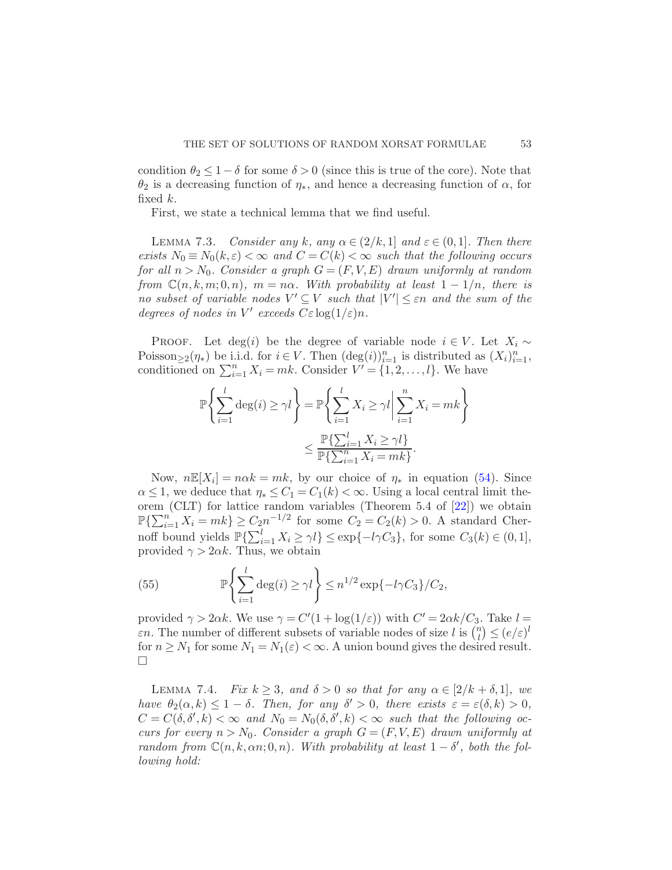condition  $\theta_2 \leq 1 - \delta$  for some  $\delta > 0$  (since this is true of the core). Note that  $\theta_2$  is a decreasing function of  $\eta_*$ , and hence a decreasing function of  $\alpha$ , for fixed k.

<span id="page-52-1"></span>First, we state a technical lemma that we find useful.

LEMMA 7.3. Consider any k, any  $\alpha \in (2/k, 1]$  and  $\varepsilon \in (0, 1]$ . Then there exists  $N_0 \equiv N_0(k,\varepsilon) < \infty$  and  $C = C(k) < \infty$  such that the following occurs for all  $n > N_0$ . Consider a graph  $G = (F, V, E)$  drawn uniformly at random from  $\mathbb{C}(n, k, m; 0, n)$ ,  $m = n\alpha$ . With probability at least  $1 - 1/n$ , there is no subset of variable nodes  $V' \subseteq V$  such that  $|V'| \leq \varepsilon n$  and the sum of the degrees of nodes in  $V'$  exceeds  $C\varepsilon \log(1/\varepsilon)n$ .

PROOF. Let deg(i) be the degree of variable node  $i \in V$ . Let  $X_i \sim$ Poisson<sub>≥2</sub>( $\eta_*$ ) be i.i.d. for  $i \in V$ . Then  $(\deg(i))_{i=1}^n$  is distributed as  $(X_i)_{i=1}^n$ , conditioned on  $\sum_{i=1}^{n} X_i = mk$ . Consider  $V' = \{1, 2, ..., l\}$ . We have

$$
\mathbb{P}\left\{\sum_{i=1}^{l} \deg(i) \ge \gamma l\right\} = \mathbb{P}\left\{\sum_{i=1}^{l} X_i \ge \gamma l \middle| \sum_{i=1}^{n} X_i = mk\right\}
$$

$$
\le \frac{\mathbb{P}\left\{\sum_{i=1}^{l} X_i \ge \gamma l\right\}}{\mathbb{P}\left\{\sum_{i=1}^{n} X_i = mk\right\}}.
$$

Now,  $n\mathbb{E}[X_i] = n\alpha k = mk$ , by our choice of  $\eta_*$  in equation [\(54\)](#page-51-1). Since  $\alpha \leq 1$ , we deduce that  $\eta_* \leq C_1 = C_1(k) < \infty$ . Using a local central limit theorem (CLT) for lattice random variables (Theorem 5.4 of [\[22](#page-68-16)]) we obtain  $\mathbb{P}\left\{\sum_{i=1}^{n} X_i = mk\right\} \geq C_2 n^{-1/2}$  for some  $C_2 = C_2(k) > 0$ . A standard Chernoff bound yields  $\mathbb{P}\{\sum_{i=1}^{l} X_i \geq \gamma l\} \leq \exp\{-l\gamma C_3\}$ , for some  $C_3(k) \in (0, 1]$ , provided  $\gamma > 2\alpha k$ . Thus, we obtain

(55) 
$$
\mathbb{P}\left\{\sum_{i=1}^l \deg(i) \ge \gamma l\right\} \le n^{1/2} \exp\{-l\gamma C_3\}/C_2,
$$

provided  $\gamma > 2\alpha k$ . We use  $\gamma = C'(1 + \log(1/\varepsilon))$  with  $C' = 2\alpha k/C_3$ . Take  $l =$  $\varepsilon$ n. The number of different subsets of variable nodes of size l is  $\binom{n}{l}$  $\binom{n}{l} \leq (e/\varepsilon)^l$ for  $n \geq N_1$  for some  $N_1 = N_1(\varepsilon) < \infty$ . A union bound gives the desired result.  $\Box$ 

<span id="page-52-0"></span>LEMMA 7.4. Fix  $k \geq 3$ , and  $\delta > 0$  so that for any  $\alpha \in [2/k + \delta, 1]$ , we have  $\theta_2(\alpha, k) \leq 1 - \delta$ . Then, for any  $\delta' > 0$ , there exists  $\varepsilon = \varepsilon(\delta, k) > 0$ ,  $C = C(\delta, \delta', k) < \infty$  and  $N_0 = N_0(\delta, \delta', k) < \infty$  such that the following occurs for every  $n > N_0$ . Consider a graph  $G = (F, V, E)$  drawn uniformly at random from  $\mathbb{C}(n, k, \alpha n; 0, n)$ . With probability at least  $1 - \delta'$ , both the following hold: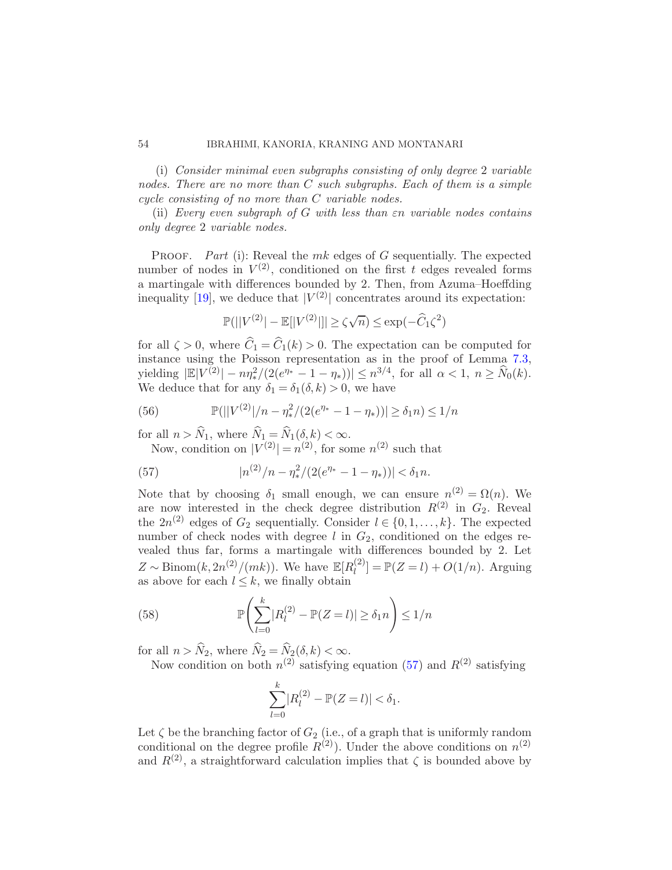(i) Consider minimal even subgraphs consisting of only degree 2 variable nodes. There are no more than  $C$  such subgraphs. Each of them is a simple cycle consisting of no more than C variable nodes.

(ii) Every even subgraph of  $G$  with less than  $\varepsilon$ n variable nodes contains only degree 2 variable nodes.

PROOF. Part (i): Reveal the  $mk$  edges of G sequentially. The expected number of nodes in  $V^{(2)}$ , conditioned on the first t edges revealed forms a martingale with differences bounded by 2. Then, from Azuma–Hoeffding inequality [\[19](#page-68-14)], we deduce that  $|V^{(2)}|$  concentrates around its expectation:

$$
\mathbb{P}(||V^{(2)}|-\mathbb{E}[|V^{(2)}||]\geq \zeta\sqrt{n})\leq \exp(-\widehat{C}_1\zeta^2)
$$

for all  $\zeta > 0$ , where  $\hat{C}_1 = \hat{C}_1(k) > 0$ . The expectation can be computed for instance using the Poisson representation as in the proof of Lemma [7.3,](#page-52-1) yielding  $|\mathbb{E}|V^{(2)}| - n\eta_*^2/(2(e^{\eta_*}-1-\eta_*))| \leq n^{3/4}$ , for all  $\alpha < 1, n \geq \widehat{N}_0(k)$ . We deduce that for any  $\delta_1 = \delta_1(\delta, k) > 0$ , we have

(56) 
$$
\mathbb{P}(|V^{(2)}|/n - \eta_*^2/(2(e^{\eta_*} - 1 - \eta_*))| \ge \delta_1 n) \le 1/n
$$

for all  $n > \widehat{N}_1$ , where  $\widehat{N}_1 = \widehat{N}_1(\delta, k) < \infty$ .

<span id="page-53-0"></span>Now, condition on  $|V^{(2)}| = n^{(2)}$ , for some  $n^{(2)}$  such that

(57) 
$$
|n^{(2)}/n - \eta_*^2/(2(e^{\eta_*} - 1 - \eta_*))| < \delta_1 n.
$$

Note that by choosing  $\delta_1$  small enough, we can ensure  $n^{(2)} = \Omega(n)$ . We are now interested in the check degree distribution  $R^{(2)}$  in  $G_2$ . Reveal the  $2n^{(2)}$  edges of  $G_2$  sequentially. Consider  $l \in \{0, 1, ..., k\}$ . The expected number of check nodes with degree  $l$  in  $G_2$ , conditioned on the edges revealed thus far, forms a martingale with differences bounded by 2. Let  $Z \sim \text{Binom}(k, 2n^{(2)}/(mk)).$  We have  $\mathbb{E}[R_l^{(2)}]$  $\binom{[2]}{l} = \mathbb{P}(Z = l) + O(1/n)$ . Arguing as above for each  $l \leq k$ , we finally obtain

(58) 
$$
\mathbb{P}\left(\sum_{l=0}^{k} |R_l^{(2)} - \mathbb{P}(Z=l)| \ge \delta_1 n\right) \le 1/n
$$

for all  $n > N_2$ , where  $N_2 = N_2(\delta, k) < \infty$ .

Now condition on both  $n^{(2)}$  satisfying equation [\(57\)](#page-53-0) and  $R^{(2)}$  satisfying

$$
\sum_{l=0}^{k} |R_l^{(2)} - \mathbb{P}(Z = l)| < \delta_1.
$$

Let  $\zeta$  be the branching factor of  $G_2$  (i.e., of a graph that is uniformly random conditional on the degree profile  $R^{(2)}$ ). Under the above conditions on  $n^{(2)}$ and  $R^{(2)}$ , a straightforward calculation implies that  $\zeta$  is bounded above by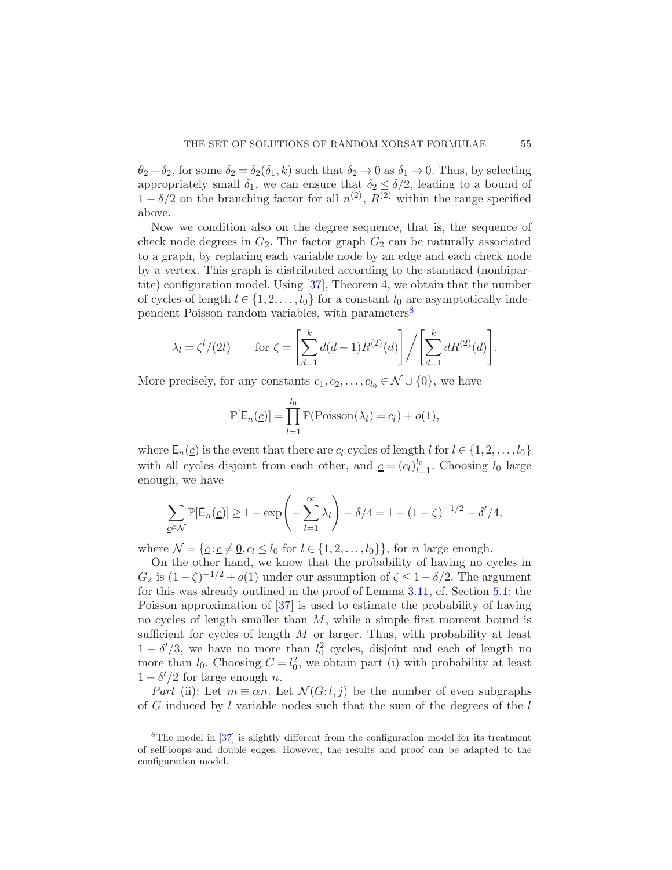$\theta_2 + \delta_2$ , for some  $\delta_2 = \delta_2(\delta_1, k)$  such that  $\delta_2 \to 0$  as  $\delta_1 \to 0$ . Thus, by selecting appropriately small  $\delta_1$ , we can ensure that  $\delta_2 \leq \delta/2$ , leading to a bound of  $1-\delta/2$  on the branching factor for all  $n^{(2)}$ ,  $R^{(2)}$  within the range specified above.

Now we condition also on the degree sequence, that is, the sequence of check node degrees in  $G_2$ . The factor graph  $G_2$  can be naturally associated to a graph, by replacing each variable node by an edge and each check node by a vertex. This graph is distributed according to the standard (nonbipartite) configuration model. Using [\[37](#page-69-3)], Theorem 4, we obtain that the number of cycles of length  $l \in \{1, 2, ..., l_0\}$  for a constant  $l_0$  are asymptotically inde-pendent Poisson random variables, with parameters<sup>[8](#page-54-0)</sup>

$$
\lambda_l = \zeta^l/(2l) \qquad \text{for } \zeta = \left[ \sum_{d=1}^k d(d-1) R^{(2)}(d) \right] / \left[ \sum_{d=1}^k dR^{(2)}(d) \right].
$$

More precisely, for any constants  $c_1, c_2, \ldots, c_{l_0} \in \mathcal{N} \cup \{0\}$ , we have

$$
\mathbb{P}[\mathsf{E}_n(\underline{c})] = \prod_{l=1}^{l_0} \mathbb{P}(\text{Poisson}(\lambda_l) = c_l) + o(1),
$$

where  $\mathsf{E}_n(\underline{c})$  is the event that there are  $c_l$  cycles of length l for  $l \in \{1, 2, \ldots, l_0\}$ with all cycles disjoint from each other, and  $\underline{c} = (c_l)_{l=1}^{l_0}$ . Choosing  $l_0$  large enough, we have

$$
\sum_{\underline{c} \in \mathcal{N}} \mathbb{P}[\mathsf{E}_n(\underline{c})] \ge 1 - \exp\left(-\sum_{l=1}^{\infty} \lambda_l\right) - \delta/4 = 1 - (1 - \zeta)^{-1/2} - \delta'/4,
$$

where  $\mathcal{N} = \{ \underline{c} : \underline{c} \neq \underline{0}, c_l \leq l_0 \text{ for } l \in \{1, 2, \ldots, l_0\} \},$  for n large enough.

On the other hand, we know that the probability of having no cycles in  $G_2$  is  $(1 - \zeta)^{-1/2} + o(1)$  under our assumption of  $\zeta \leq 1 - \delta/2$ . The argument for this was already outlined in the proof of Lemma [3.11,](#page-22-1) cf. Section [5.1:](#page-39-2) the Poisson approximation of [\[37\]](#page-69-3) is used to estimate the probability of having no cycles of length smaller than  $M$ , while a simple first moment bound is sufficient for cycles of length  $M$  or larger. Thus, with probability at least  $1 - \delta'/3$ , we have no more than  $l_0^2$  cycles, disjoint and each of length no more than  $l_0$ . Choosing  $C = l_0^2$ , we obtain part (i) with probability at least  $1 - \delta'/2$  for large enough *n*.

Part (ii): Let  $m \equiv \alpha n$ . Let  $\mathcal{N}(G; l, j)$  be the number of even subgraphs of  $G$  induced by  $l$  variable nodes such that the sum of the degrees of the  $l$ 

<span id="page-54-0"></span><sup>8</sup>The model in [\[37](#page-69-3)] is slightly different from the configuration model for its treatment of self-loops and double edges. However, the results and proof can be adapted to the configuration model.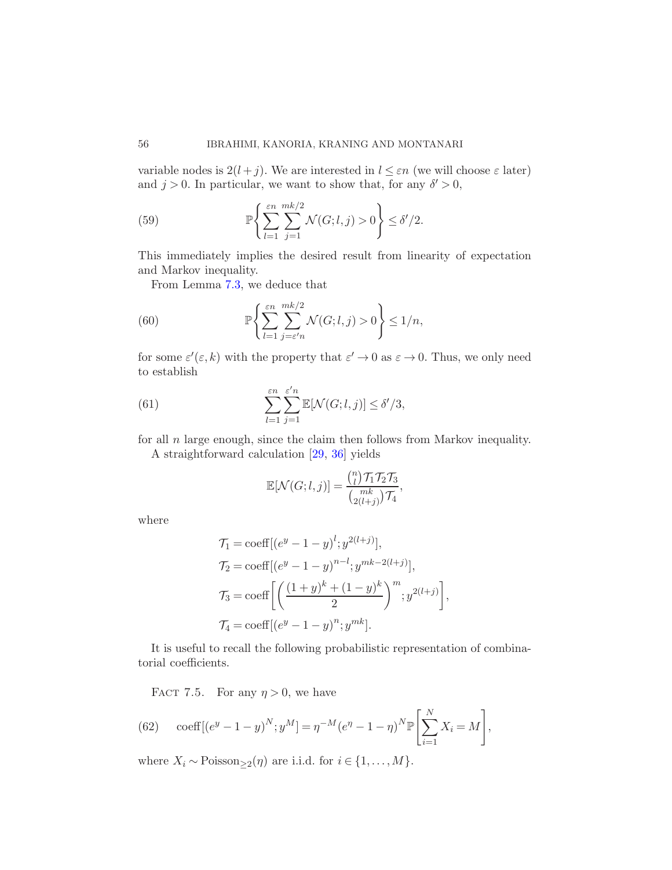variable nodes is  $2(l + j)$ . We are interested in  $l \leq \varepsilon n$  (we will choose  $\varepsilon$  later) and  $j > 0$ . In particular, we want to show that, for any  $\delta' > 0$ ,

(59) 
$$
\mathbb{P}\left\{\sum_{l=1}^{\varepsilon n} \sum_{j=1}^{mk/2} \mathcal{N}(G;l,j) > 0\right\} \le \delta'/2.
$$

This immediately implies the desired result from linearity of expectation and Markov inequality.

From Lemma [7.3,](#page-52-1) we deduce that

(60) 
$$
\mathbb{P}\left\{\sum_{l=1}^{\varepsilon n}\sum_{j=\varepsilon'n}^{mk/2} \mathcal{N}(G;l,j)>0\right\}\leq 1/n,
$$

for some  $\varepsilon'(\varepsilon, k)$  with the property that  $\varepsilon' \to 0$  as  $\varepsilon \to 0$ . Thus, we only need to establish

(61) 
$$
\sum_{l=1}^{\varepsilon n} \sum_{j=1}^{\varepsilon' n} \mathbb{E}[\mathcal{N}(G;l,j)] \le \delta'/3,
$$

for all  $n$  large enough, since the claim then follows from Markov inequality.

A straightforward calculation [\[29](#page-68-5), [36](#page-69-0)] yields

<span id="page-55-1"></span>
$$
\mathbb{E}[\mathcal{N}(G; l, j)] = \frac{{\binom{n}{l}} \mathcal{T}_1 \mathcal{T}_2 \mathcal{T}_3}{{\binom{mk}{2(l+j)}} \mathcal{T}_4},
$$

where

$$
\mathcal{T}_1 = \text{coeff}[(e^y - 1 - y)^l; y^{2(l+j)}],
$$
  
\n
$$
\mathcal{T}_2 = \text{coeff}[(e^y - 1 - y)^{n-l}; y^{mk-2(l+j)}],
$$
  
\n
$$
\mathcal{T}_3 = \text{coeff}\left[\left(\frac{(1+y)^k + (1-y)^k}{2}\right)^m; y^{2(l+j)}\right],
$$
  
\n
$$
\mathcal{T}_4 = \text{coeff}[(e^y - 1 - y)^n; y^{mk}].
$$

<span id="page-55-0"></span>It is useful to recall the following probabilistic representation of combinatorial coefficients.

FACT 7.5. For any  $\eta > 0$ , we have

(62) 
$$
\operatorname{coeff}[(e^y - 1 - y)^N; y^M] = \eta^{-M}(e^{\eta} - 1 - \eta)^N \mathbb{P}\left[\sum_{i=1}^N X_i = M\right],
$$

where  $X_i \sim \text{Poisson}_{\geq 2}(\eta)$  are i.i.d. for  $i \in \{1, ..., M\}$ .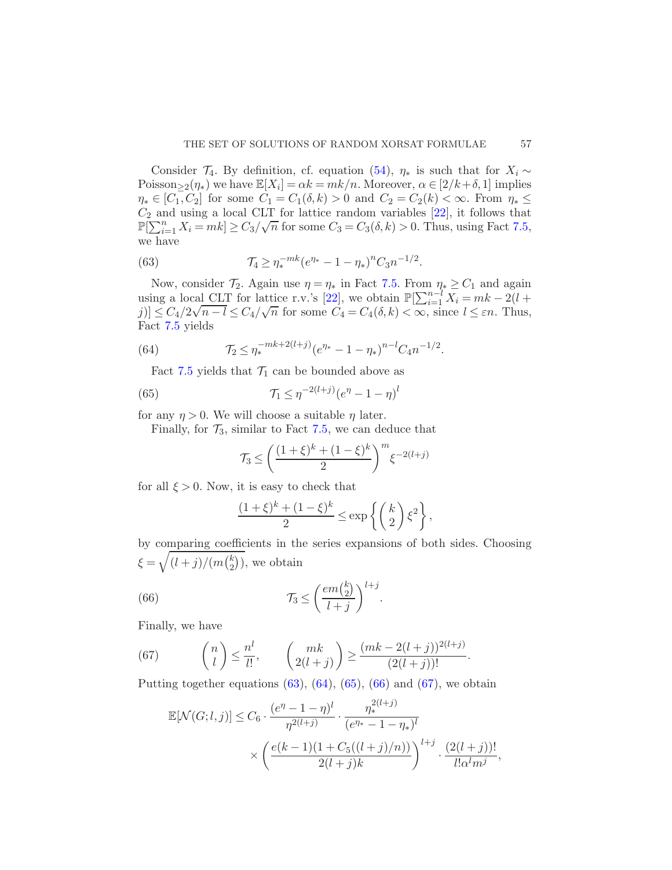Consider  $\mathcal{T}_4$ . By definition, cf. equation [\(54\)](#page-51-1),  $\eta_*$  is such that for  $X_i \sim$ Poisson $\geq 2(\eta_*)$  we have  $\mathbb{E}[X_i] = \alpha k = mk/n$ . Moreover,  $\alpha \in [2/k + \delta, 1]$  implies  $\eta_* \in [C_1, C_2]$  for some  $C_1 = C_1(\delta, k) > 0$  and  $C_2 = C_2(k) < \infty$ . From  $\eta_* \le$  $C_2$  and using a local CLT for lattice random variables  $[22]$ , it follows that  $\mathbb{P}[\sum_{i=1}^{n} X_i = mk] \ge C_3/\sqrt{n}$  for some  $C_3 = C_3(\delta, k) > 0$ . Thus, using Fact [7.5,](#page-55-0) we have

<span id="page-56-0"></span>(63) 
$$
\mathcal{T}_4 \geq \eta_*^{-mk} (e^{\eta_*} - 1 - \eta_*)^n C_3 n^{-1/2}.
$$

Now, consider  $\mathcal{T}_2$ . Again use  $\eta = \eta_*$  in Fact [7.5.](#page-55-0) From  $\eta_* \geq C_1$  and again using a local CLT for lattice r.v.'s [\[22\]](#page-68-16), we obtain  $\mathbb{P}[\sum_{i=1}^{n-l} X_i = mk - 2(l +$  $[j] \leq C_4/2\sqrt{n-l} \leq C_4/\sqrt{n}$  for some  $C_4 = C_4(\delta, k) < \infty$ , since  $l \leq \varepsilon n$ . Thus, Fact [7.5](#page-55-0) yields

(64) 
$$
\mathcal{T}_2 \leq \eta_*^{-mk+2(l+j)} (e^{\eta_*} - 1 - \eta_*)^{n-l} C_4 n^{-1/2}.
$$

<span id="page-56-1"></span>Fact [7.5](#page-55-0) yields that  $\mathcal{T}_1$  can be bounded above as

(65) 
$$
\mathcal{T}_1 \leq \eta^{-2(l+j)} (e^{\eta} - 1 - \eta)^l
$$

for any  $\eta > 0$ . We will choose a suitable  $\eta$  later.

Finally, for  $\mathcal{T}_3$ , similar to Fact [7.5,](#page-55-0) we can deduce that

<span id="page-56-2"></span>
$$
\mathcal{T}_3 \le \left(\frac{(1+\xi)^k + (1-\xi)^k}{2}\right)^m \xi^{-2(l+j)}
$$

for all  $\xi > 0$ . Now, it is easy to check that

<span id="page-56-3"></span>
$$
\frac{(1+\xi)^k + (1-\xi)^k}{2} \le \exp\left\{ \binom{k}{2} \xi^2 \right\},\,
$$

by comparing coefficients in the series expansions of both sides. Choosing  $\xi = \sqrt{\frac{l+j}{(l+j)/(m\binom{k}{2}}}$  $_{2}^{k}$ ), we obtain

(66) 
$$
\mathcal{T}_3 \leq \left(\frac{em\binom{k}{2}}{l+j}\right)^{l+j}.
$$

Finally, we have

(67) 
$$
\binom{n}{l} \leq \frac{n^l}{l!}, \qquad \binom{mk}{2(l+j)} \geq \frac{(mk-2(l+j))^{2(l+j)}}{(2(l+j))!}.
$$

Putting together equations  $(63)$ ,  $(64)$ ,  $(65)$ ,  $(66)$  and  $(67)$ , we obtain

<span id="page-56-4"></span>
$$
\mathbb{E}[\mathcal{N}(G;l,j)] \le C_6 \cdot \frac{(e^{\eta} - 1 - \eta)^l}{\eta^{2(l+j)}} \cdot \frac{\eta_*^{2(l+j)}}{(e^{\eta_*} - 1 - \eta_*)^l} \times \left(\frac{e(k-1)(1 + C_5((l+j)/n))}{2(l+j)k}\right)^{l+j} \cdot \frac{(2(l+j))!}{l!\alpha^l m^j}
$$

,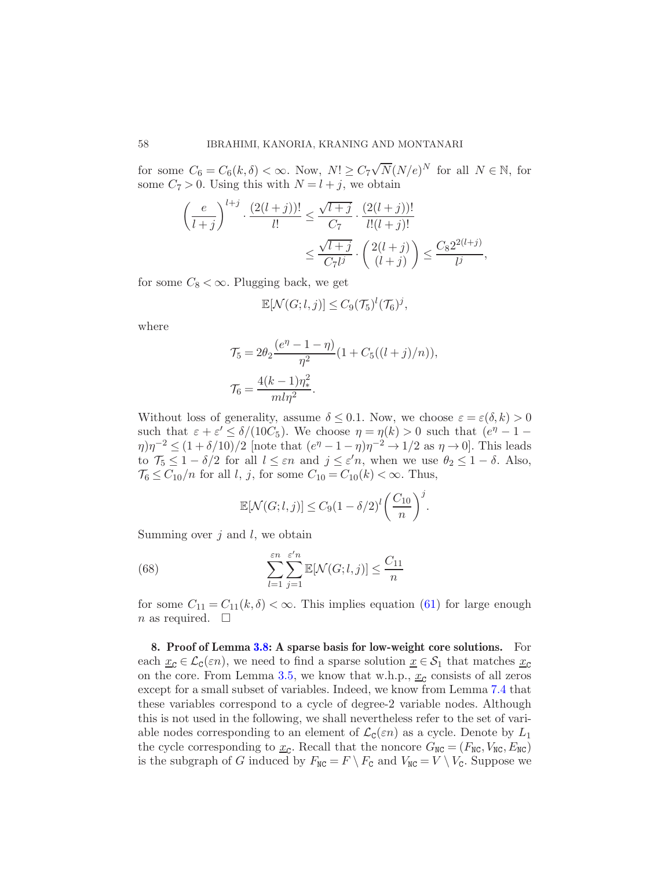for some  $C_6 = C_6(k, \delta) < \infty$ . Now,  $N! \ge C_7 \sqrt{N} (N/e)^N$  for all  $N \in \mathbb{N}$ , for some  $C_7 > 0$ . Using this with  $N = l + j$ , we obtain

$$
\left(\frac{e}{l+j}\right)^{l+j} \cdot \frac{(2(l+j))!}{l!} \le \frac{\sqrt{l+j}}{C_7} \cdot \frac{(2(l+j))!}{l!(l+j)!} \le \frac{\sqrt{l+j}}{C_7l^j} \cdot \binom{2(l+j)}{(l+j)} \le \frac{C_8 2^{2(l+j)}}{l^j},
$$

for some  $C_8 < \infty$ . Plugging back, we get

$$
\mathbb{E}[\mathcal{N}(G; l,j)] \leq C_9(\mathcal{T}_5)^l(\mathcal{T}_6)^j,
$$

where

$$
\mathcal{T}_5 = 2\theta_2 \frac{(e^{\eta} - 1 - \eta)}{\eta^2} (1 + C_5((l+j)/n)),
$$
  

$$
\mathcal{T}_6 = \frac{4(k-1)\eta_*^2}{ml\eta^2}.
$$

Without loss of generality, assume  $\delta \leq 0.1$ . Now, we choose  $\varepsilon = \varepsilon(\delta, k) > 0$ such that  $\varepsilon + \varepsilon' \leq \delta/(10C_5)$ . We choose  $\eta = \eta(k) > 0$  such that  $(e^{\eta} - 1 \eta \eta \eta^{-2} \leq (1 + \delta/10)/2$  [note that  $(e^{\eta} - 1 - \eta)\eta^{-2} \to 1/2$  as  $\eta \to 0$ ]. This leads to  $\mathcal{T}_5 \leq 1 - \delta/2$  for all  $l \leq \varepsilon n$  and  $j \leq \varepsilon' n$ , when we use  $\theta_2 \leq 1 - \delta$ . Also,  $\mathcal{T}_6 \leq C_{10}/n$  for all l, j, for some  $C_{10} = C_{10}(k) < \infty$ . Thus,

$$
\mathbb{E}[\mathcal{N}(G;l,j)] \le C_9(1-\delta/2)^l \left(\frac{C_{10}}{n}\right)^j.
$$

Summing over  $j$  and  $l$ , we obtain

(68) 
$$
\sum_{l=1}^{\varepsilon n} \sum_{j=1}^{\varepsilon' n} \mathbb{E}[\mathcal{N}(G;l,j)] \le \frac{C_{11}}{n}
$$

for some  $C_{11} = C_{11}(k, \delta) < \infty$ . This implies equation [\(61\)](#page-55-1) for large enough n as required.  $\Box$ 

<span id="page-57-0"></span>8. Proof of Lemma [3.8:](#page-20-1) A sparse basis for low-weight core solutions. For each  $\underline{x}_{\mathcal{C}} \in \mathcal{L}_{\mathcal{C}}(\varepsilon n)$ , we need to find a sparse solution  $\underline{x} \in \mathcal{S}_1$  that matches  $\underline{x}_{\mathcal{C}}$ on the core. From Lemma [3.5,](#page-18-0) we know that w.h.p.,  $\underline{x}_{\mathcal{C}}$  consists of all zeros except for a small subset of variables. Indeed, we know from Lemma [7.4](#page-52-0) that these variables correspond to a cycle of degree-2 variable nodes. Although this is not used in the following, we shall nevertheless refer to the set of variable nodes corresponding to an element of  $\mathcal{L}_{\mathcal{C}}(\varepsilon n)$  as a cycle. Denote by  $L_1$ the cycle corresponding to  $\underline{x}_{\text{C}}$ . Recall that the noncore  $G_{\text{NC}} = (F_{\text{NC}}, V_{\text{NC}}, E_{\text{NC}})$ is the subgraph of G induced by  $F_{\text{NC}} = F \setminus F_{\text{C}}$  and  $V_{\text{NC}} = V \setminus V_{\text{C}}$ . Suppose we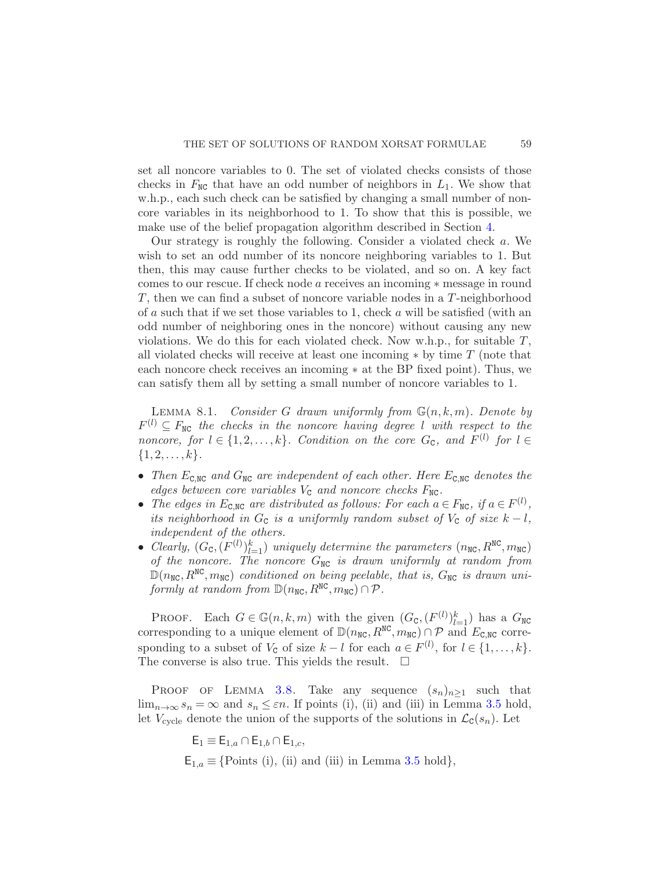set all noncore variables to 0. The set of violated checks consists of those checks in  $F_{\text{NC}}$  that have an odd number of neighbors in  $L_1$ . We show that w.h.p., each such check can be satisfied by changing a small number of noncore variables in its neighborhood to 1. To show that this is possible, we make use of the belief propagation algorithm described in Section [4.](#page-24-0)

Our strategy is roughly the following. Consider a violated check a. We wish to set an odd number of its noncore neighboring variables to 1. But then, this may cause further checks to be violated, and so on. A key fact comes to our rescue. If check node a receives an incoming ∗ message in round T, then we can find a subset of noncore variable nodes in a T-neighborhood of a such that if we set those variables to 1, check a will be satisfied (with an odd number of neighboring ones in the noncore) without causing any new violations. We do this for each violated check. Now w.h.p., for suitable  $T$ , all violated checks will receive at least one incoming  $*$  by time  $T$  (note that each noncore check receives an incoming ∗ at the BP fixed point). Thus, we can satisfy them all by setting a small number of noncore variables to 1.

<span id="page-58-0"></span>LEMMA 8.1. Consider G drawn uniformly from  $\mathbb{G}(n, k, m)$ . Denote by  $F^{(l)} \subseteq F_{\text{NC}}$  the checks in the noncore having degree l with respect to the noncore, for  $l \in \{1, 2, ..., k\}$ . Condition on the core  $G_c$ , and  $F^{(l)}$  for  $l \in$  $\{1, 2, \ldots, k\}.$ 

- Then  $E_{\text{C,NC}}$  and  $G_{\text{NC}}$  are independent of each other. Here  $E_{\text{C,NC}}$  denotes the edges between core variables  $V_c$  and noncore checks  $F_{NC}$ .
- The edges in  $E_{\text{C,NC}}$  are distributed as follows: For each  $a \in F_{\text{NC}}$ , if  $a \in F^{(l)}$ , its neighborhood in  $G_c$  is a uniformly random subset of  $V_c$  of size  $k - l$ , independent of the others.
- Clearly,  $(G_{\text{C}}, (F^{(l)})_{l=1}^k)$  uniquely determine the parameters  $(n_{\text{NC}}, R^{\text{NC}}, m_{\text{NC}})$ of the noncore. The noncore  $G_{NC}$  is drawn uniformly at random from  $\mathbb{D}(n_{\text{NC}},R^{\text{NC}},m_{\text{NC}})$  conditioned on being peelable, that is,  $G_{\text{NC}}$  is drawn uniformly at random from  $\mathbb{D}(n_{\text{NC}}, R^{\text{NC}}, m_{\text{NC}}) \cap \mathcal{P}$ .

PROOF. Each  $G \in \mathbb{G}(n,k,m)$  with the given  $(G_{\mathbb{C}},(F^{(l)})_{l=1}^k)$  has a  $G_{\mathbb{NC}}$ corresponding to a unique element of  $\mathbb{D}(n_{\text{NC}}, R^{\text{NC}}, m_{\text{NC}}) \cap \mathcal{P}$  and  $E_{\text{C,NC}}$  corresponding to a subset of  $V_c$  of size  $k-l$  for each  $a \in F^{(l)}$ , for  $l \in \{1, \ldots, k\}$ . The converse is also true. This yields the result.  $\Box$ 

PROOF OF LEMMA [3.8.](#page-20-1) Take any sequence  $(s_n)_{n\geq 1}$  such that  $\lim_{n\to\infty} s_n = \infty$  and  $s_n \leq \varepsilon n$ . If points (i), (ii) and (iii) in Lemma [3.5](#page-18-0) hold, let  $V_{\text{cycle}}$  denote the union of the supports of the solutions in  $\mathcal{L}_{\text{C}}(s_n)$ . Let

> $E_1 \equiv E_{1,a} \cap E_{1,b} \cap E_{1,c}$  $E_{1,a} \equiv \{\text{Points (i), (ii) and (iii) in Lemma 3.5 hold}\},\$  $E_{1,a} \equiv \{\text{Points (i), (ii) and (iii) in Lemma 3.5 hold}\},\$  $E_{1,a} \equiv \{\text{Points (i), (ii) and (iii) in Lemma 3.5 hold}\},\$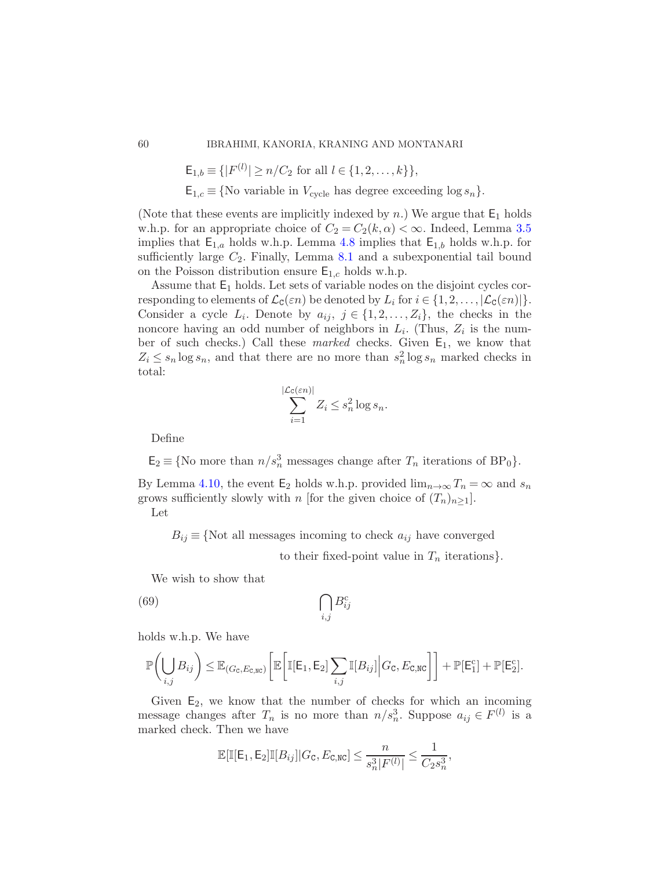$$
\mathsf{E}_{1,b} \equiv \{ |F^{(l)}| \ge n/C_2 \text{ for all } l \in \{1, 2, \dots, k\} \},
$$

 $E_{1,c} \equiv \{\text{No variable in } V_{\text{cycle}} \text{ has degree exceeding } \log s_n\}.$ 

(Note that these events are implicitly indexed by n.) We argue that  $E_1$  holds w.h.p. for an appropriate choice of  $C_2 = C_2(k, \alpha) < \infty$ . Indeed, Lemma [3.5](#page-18-0) implies that  $E_{1,a}$  holds w.h.p. Lemma [4.8](#page-28-1) implies that  $E_{1,b}$  holds w.h.p. for sufficiently large  $C_2$ . Finally, Lemma [8.1](#page-58-0) and a subexponential tail bound on the Poisson distribution ensure  $E_{1,c}$  holds w.h.p.

Assume that  $E_1$  holds. Let sets of variable nodes on the disjoint cycles corresponding to elements of  $\mathcal{L}_{\mathsf{C}}(\varepsilon n)$  be denoted by  $L_i$  for  $i \in \{1, 2, ..., |\mathcal{L}_{\mathsf{C}}(\varepsilon n)|\}.$ Consider a cycle  $L_i$ . Denote by  $a_{ij}, j \in \{1, 2, ..., Z_i\}$ , the checks in the noncore having an odd number of neighbors in  $L_i$ . (Thus,  $Z_i$  is the number of such checks.) Call these marked checks. Given  $E_1$ , we know that  $Z_i \leq s_n \log s_n$ , and that there are no more than  $s_n^2 \log s_n$  marked checks in total:

$$
\sum_{i=1}^{\mathcal{L}_{\mathbb{C}}(\varepsilon n)|} Z_i \le s_n^2 \log s_n.
$$

|L

Define

 $\mathsf{E}_2 \equiv \{ \text{No more than } n/s_n^3 \text{ messages change after } T_n \text{ iterations of } BP_0 \}.$ 

By Lemma [4.10,](#page-30-0) the event E<sub>2</sub> holds w.h.p. provided  $\lim_{n\to\infty}T_n=\infty$  and  $s_n$ grows sufficiently slowly with n [for the given choice of  $(T_n)_{n>1}$ ].

Let

 $B_{ij} \equiv \{ \text{Not all messages incoming to check } a_{ij} \text{ have converged } \}$ 

<span id="page-59-0"></span>to their fixed-point value in  $T_n$  iterations.

We wish to show that

$$
(69)\qquad \qquad \bigcap_{i,j} B^c_{ij}
$$

holds w.h.p. We have

$$
\mathbb{P}\bigg(\bigcup_{i,j}B_{ij}\bigg) \leq \mathbb{E}_{(G_{\texttt{C}},E_{\texttt{C},\texttt{NC}})}\bigg[\mathbb{E}\bigg[\mathbb{I}[\mathsf{E}_1,\mathsf{E}_2]\sum_{i,j}\mathbb{I}[B_{ij}]\bigg|G_{\texttt{C}},E_{\texttt{C},\texttt{NC}}\bigg]\bigg] + \mathbb{P}[\mathsf{E}_1^c] + \mathbb{P}[\mathsf{E}_2^c].
$$

Given  $E_2$ , we know that the number of checks for which an incoming message changes after  $T_n$  is no more than  $n/s_n^3$ . Suppose  $a_{ij} \in F^{(l)}$  is a marked check. Then we have

$$
\mathbb{E}[\mathbb{I}[{\sf E}_1, {\sf E}_2]\mathbb{I}[B_{ij}]|G_{\sf C}, E_{\sf C, NC}] \leq \frac{n}{s_n^3|F^{(l)}|} \leq \frac{1}{C_2 s_n^3},
$$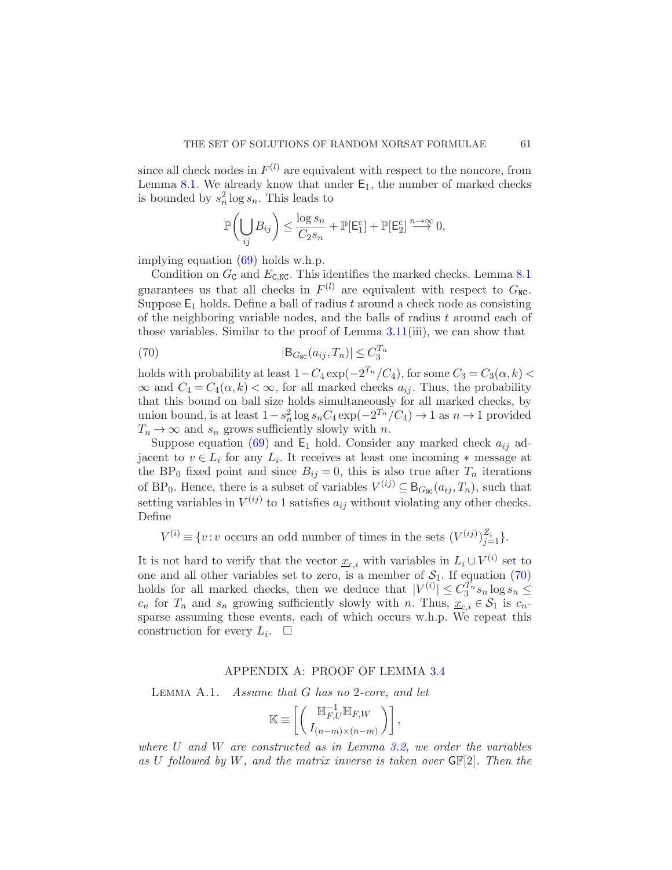since all check nodes in  $F^{(l)}$  are equivalent with respect to the noncore, from Lemma [8.1.](#page-58-0) We already know that under  $E_1$ , the number of marked checks is bounded by  $s_n^2 \log s_n$ . This leads to

$$
\mathbb{P}\biggl(\bigcup_{ij}B_{ij}\biggr)\leq \frac{\log s_n}{C_2s_n}+\mathbb{P}[\mathsf{E}_1^{\mathrm{c}}]+\mathbb{P}[\mathsf{E}_2^{\mathrm{c}}]\overset{n\to\infty}{\longrightarrow}0,
$$

implying equation [\(69\)](#page-59-0) holds w.h.p.

Condition on  $G_c$  and  $E_{c,NC}$ . This identifies the marked checks. Lemma [8.1](#page-58-0) guarantees us that all checks in  $F^{(l)}$  are equivalent with respect to  $G_{\text{NC}}$ . Suppose  $E_1$  holds. Define a ball of radius t around a check node as consisting of the neighboring variable nodes, and the balls of radius  $t$  around each of those variables. Similar to the proof of Lemma [3.11\(](#page-22-1)iii), we can show that

<span id="page-60-0"></span>
$$
|\mathsf{B}_{G_{\text{NC}}}(a_{ij},T_n)| \le C_3^{T_n}
$$

holds with probability at least  $1 - C_4 \exp(-2^{T_n}/C_4)$ , for some  $C_3 = C_3(\alpha, k)$  $\infty$  and  $C_4 = C_4(\alpha, k) < \infty$ , for all marked checks  $a_{ij}$ . Thus, the probability that this bound on ball size holds simultaneously for all marked checks, by union bound, is at least  $1 - s_n^2 \log s_n C_4 \exp(-2^{T_n}/C_4) \to 1$  as  $n \to 1$  provided  $T_n \to \infty$  and  $s_n$  grows sufficiently slowly with n.

Suppose equation [\(69\)](#page-59-0) and  $E_1$  hold. Consider any marked check  $a_{ij}$  adjacent to  $v \in L_i$  for any  $L_i$ . It receives at least one incoming  $*$  message at the BP<sub>0</sub> fixed point and since  $B_{ij} = 0$ , this is also true after  $T_n$  iterations of BP<sub>0</sub>. Hence, there is a subset of variables  $V^{(ij)} \subseteq B_{G_{\text{NC}}}(a_{ij}, T_n)$ , such that setting variables in  $V^{(ij)}$  to 1 satisfies  $a_{ij}$  without violating any other checks. Define

 $V^{(i)} \equiv \{v : v \text{ occurs an odd number of times in the sets } (V^{(ij)})_{j=1}^{Z_i}\}.$ 

It is not hard to verify that the vector  $\underline{x}_{c,i}$  with variables in  $L_i \cup V^{(i)}$  set to one and all other variables set to zero, is a member of  $S_1$ . If equation [\(70\)](#page-60-0) holds for all marked checks, then we deduce that  $|V^{(i)}| \leq C_3^{T_n} s_n \log s_n \leq$  $c_n$  for  $T_n$  and  $s_n$  growing sufficiently slowly with n. Thus,  $\underline{x}_{c,i} \in \mathcal{S}_1$  is  $c_n$ sparse assuming these events, each of which occurs w.h.p. We repeat this construction for every  $L_i$ .  $\Box$ 

### APPENDIX A: PROOF OF LEMMA [3.4](#page-17-0)

<span id="page-60-2"></span><span id="page-60-1"></span>LEMMA A.1. *Assume that G has no 2-core, and let* 

$$
\mathbb{K} \equiv \left[ \left( \frac{\mathbb{H}_{F,U}^{-1} \mathbb{H}_{F,W}}{I_{(n-m)\times(n-m)}} \right) \right],
$$

where U and W are constructed as in Lemma [3.2,](#page-15-1) we order the variables as U followed by W, and the matrix inverse is taken over  $\mathsf{GF}[2]$ . Then the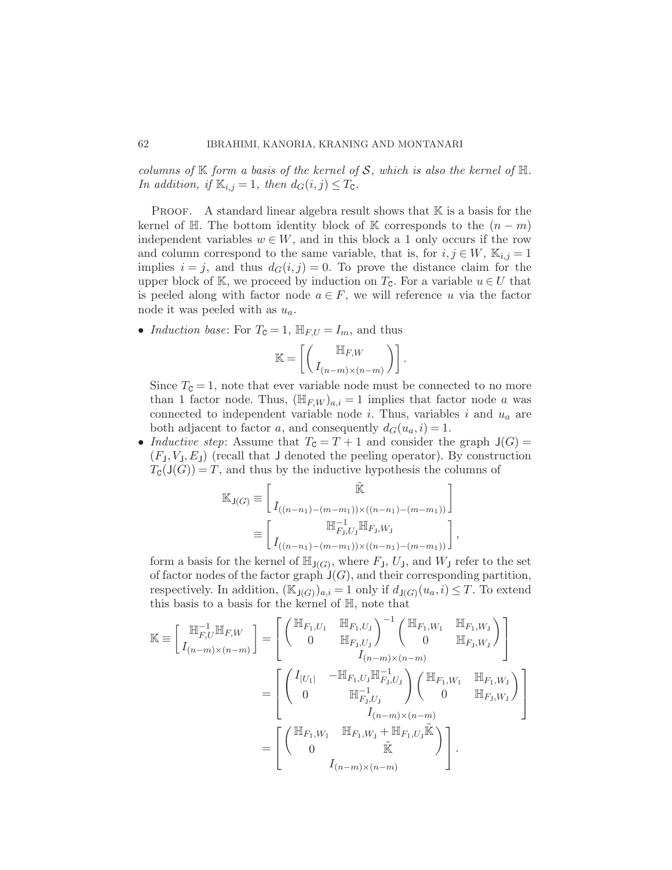columns of  $\mathbb K$  form a basis of the kernel of S, which is also the kernel of  $\mathbb H$ . In addition, if  $\mathbb{K}_{i,j} = 1$ , then  $d_G(i,j) \leq T_{\mathbb{C}}$ .

**PROOF.** A standard linear algebra result shows that  $K$  is a basis for the kernel of H. The bottom identity block of K corresponds to the  $(n-m)$ independent variables  $w \in W$ , and in this block a 1 only occurs if the row and column correspond to the same variable, that is, for  $i, j \in W$ ,  $\mathbb{K}_{i,j} = 1$ implies  $i = j$ , and thus  $d_G(i, j) = 0$ . To prove the distance claim for the upper block of K, we proceed by induction on  $T_c$ . For a variable  $u \in U$  that is peeled along with factor node  $a \in F$ , we will reference u via the factor node it was peeled with as  $u_a$ .

• Induction base: For  $T_c = 1$ ,  $\mathbb{H}_{F,U} = I_m$ , and thus

$$
\mathbb{K} = \left[ \left( \begin{array}{c} \mathbb{H}_{F,W} \\ I_{(n-m)\times (n-m)} \end{array} \right) \right].
$$

Since  $T_c = 1$ , note that ever variable node must be connected to no more than 1 factor node. Thus,  $(\mathbb{H}_{F,W})_{a,i} = 1$  implies that factor node a was connected to independent variable node i. Thus, variables i and  $u_a$  are both adjacent to factor a, and consequently  $d_G(u_a, i) = 1$ .

• Inductive step: Assume that  $T_c = T + 1$  and consider the graph  $J(G) =$  $(F<sub>J</sub>, V<sub>J</sub>, E<sub>J</sub>)$  (recall that J denoted the peeling operator). By construction  $T_{\mathcal{C}}(\mathsf{J}(G)) = T$ , and thus by the inductive hypothesis the columns of

$$
\mathbb{K}_{\mathsf{J}(G)} \equiv \begin{bmatrix} \mathbb{\tilde{K}} \\ I_{((n-n_1)-(m-m_1))\times((n-n_1)-(m-m_1))} \\ \equiv \begin{bmatrix} \mathbb{H}_{F_{\mathsf{J}},U_{\mathsf{J}}}^{-1} \mathbb{H}_{F_{\mathsf{J}},W_{\mathsf{J}}} \\ I_{((n-n_1)-(m-m_1))\times((n-n_1)-(m-m_1))} \end{bmatrix},
$$

form a basis for the kernel of  $\mathbb{H}_{\mathsf{J}(G)}$ , where  $F_{\mathsf{J}}, U_{\mathsf{J}},$  and  $W_{\mathsf{J}}$  refer to the set of factor nodes of the factor graph  $J(G)$ , and their corresponding partition, respectively. In addition,  $(\mathbb{K}_{\mathsf{J}(G)})_{a,i} = 1$  only if  $d_{\mathsf{J}(G)}(u_a, i) \leq T$ . To extend this basis to a basis for the kernel of H, note that

$$
\mathbb{K} \equiv \begin{bmatrix} \mathbb{H}_{F,U}^{-1} \mathbb{H}_{F,W} \\ I_{(n-m)\times(n-m)} \end{bmatrix} = \begin{bmatrix} \begin{pmatrix} \mathbb{H}_{F_1,U_1} & \mathbb{H}_{F_1,U_J} \end{pmatrix}^{-1} \begin{pmatrix} \mathbb{H}_{F_1,W_1} & \mathbb{H}_{F_1,W_J} \end{pmatrix} \\ 0 & \mathbb{H}_{F_J,W_J} \end{bmatrix} \\ = \begin{bmatrix} \begin{pmatrix} I_{|U_1|} & -\mathbb{H}_{F_1,U_J} \mathbb{H}_{F_1,U_J}^{-1} \\ 0 & \mathbb{H}_{F_J,U_J}^{-1} \end{pmatrix} \begin{pmatrix} \mathbb{H}_{F_1,W_1} & \mathbb{H}_{F_1,W_J} \\ 0 & \mathbb{H}_{F_J,W_J} \end{pmatrix} \\ I_{(n-m)\times(n-m)} \\ I_{(n-m)\times(n-m)} \\ 0 & \tilde{\mathbb{K}} \end{bmatrix} \\ = \begin{bmatrix} \begin{pmatrix} \mathbb{H}_{F_1,W_1} & \mathbb{H}_{F_1,W_J} + \mathbb{H}_{F_1,U_J} \tilde{\mathbb{K}} \\ 0 & \tilde{\mathbb{K}} \end{pmatrix} \\ I_{(n-m)\times(n-m)} \end{bmatrix}.
$$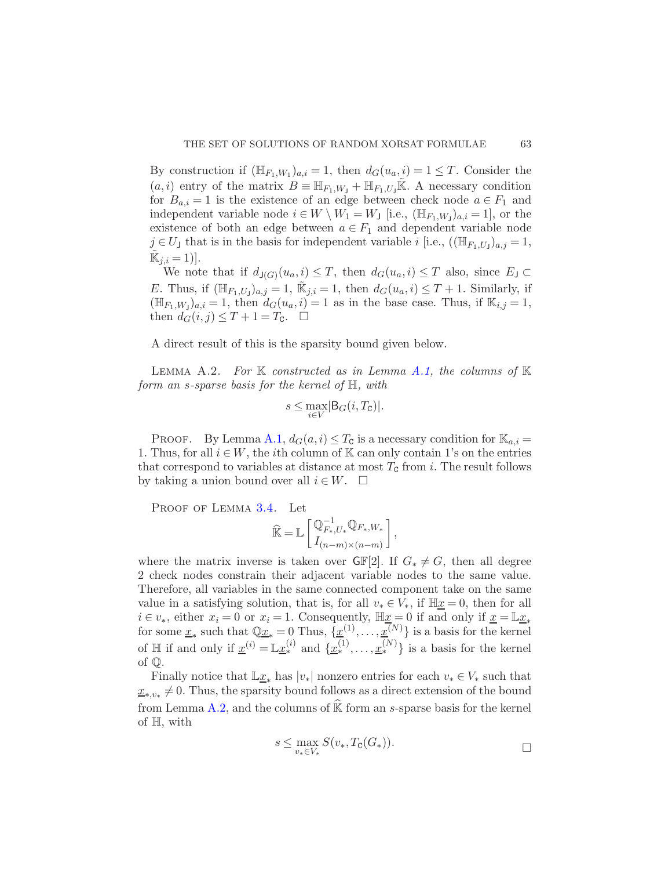By construction if  $(\mathbb{H}_{F_1,W_1})_{a,i} = 1$ , then  $d_G(u_a, i) = 1 \leq T$ . Consider the  $(a, i)$  entry of the matrix  $B \equiv \mathbb{H}_{F_1,W_1} + \mathbb{H}_{F_1,U_1} \mathbb{K}$ . A necessary condition for  $B_{a,i} = 1$  is the existence of an edge between check node  $a \in F_1$  and independent variable node  $i \in W \setminus W_1 = W_J$  [i.e.,  $(\mathbb{H}_{F_1,W_j})_{a,i} = 1$ ], or the existence of both an edge between  $a \in F_1$  and dependent variable node  $j \in U$  that is in the basis for independent variable i [i.e.,  $((\mathbb{H}_{F_1,U_1})_{a,j}=1,$  $\tilde{\mathbb{K}}_{j,i}=1$ ].

We note that if  $d_{\mathsf{J}(G)}(u_a, i) \leq T$ , then  $d_G(u_a, i) \leq T$  also, since  $E_{\mathsf{J}} \subset$ E. Thus, if  $(\mathbb{H}_{F_1,U_1})_{a,j}=1$ ,  $\mathbb{K}_{j,i}=1$ , then  $d_G(u_a,i)\leq T+1$ . Similarly, if  $(\mathbb{H}_{F_1,W_j})_{a,i} = 1$ , then  $d_G(u_a, i) = 1$  as in the base case. Thus, if  $\mathbb{K}_{i,j} = 1$ , then  $d_G(i, j) \leq T + 1 = T_c$ .  $\Box$ 

<span id="page-62-0"></span>A direct result of this is the sparsity bound given below.

LEMMA A.2. For K constructed as in Lemma [A.1,](#page-60-2) the columns of K form an s-sparse basis for the kernel of  $H$ , with

$$
s\leq \max_{i\in V}|\mathsf{B}_G(i,T_\mathsf{C})|.
$$

PROOF. By Lemma [A.1,](#page-60-2)  $d_G(a, i) \leq T_c$  is a necessary condition for  $\mathbb{K}_{a,i}$ 1. Thus, for all  $i \in W$ , the *i*<sup>th</sup> column of K can only contain 1's on the entries that correspond to variables at distance at most  $T_c$  from i. The result follows by taking a union bound over all  $i \in W$ .  $\Box$ 

PROOF OF LEMMA [3.4.](#page-17-0) Let

$$
\widehat{\mathbb{K}} = \mathbb{L}\left[\frac{\mathbb{Q}_{F_*,U_*}^{-1}\mathbb{Q}_{F_*,W_*}}{I_{(n-m)\times(n-m)}}\right],
$$

where the matrix inverse is taken over  $\mathsf{GF}[2]$ . If  $G_* \neq G$ , then all degree 2 check nodes constrain their adjacent variable nodes to the same value. Therefore, all variables in the same connected component take on the same value in a satisfying solution, that is, for all  $v_* \in V_*$ , if  $\mathbb{H} \underline{x} = 0$ , then for all  $i \in v_*,$  either  $x_i = 0$  or  $x_i = 1$ . Consequently,  $\mathbb{H} \underline{x} = 0$  if and only if  $\underline{x} = \mathbb{L} \underline{x}_*$ for some  $\underline{x}_*$  such that  $\mathbb{Q}\underline{x}_* = 0$  Thus,  $\{\underline{x}^{(1)}, \dots, \underline{x}^{(N)}\}$  is a basis for the kernel of  $\mathbb{H}$  if and only if  $\underline{x}^{(i)} = \mathbb{L} \underline{x}^{(i)}_*$  and  $\{\underline{x}^{(1)}_*, \dots, \underline{x}^{(N)}_*\}$  is a basis for the kernel of Q.

Finally notice that  $\mathbb{L}x_*$  has  $|v_*|$  nonzero entries for each  $v_* \in V_*$  such that  $x_{*,v_*} \neq 0$ . Thus, the sparsity bound follows as a direct extension of the bound from Lemma [A.2,](#page-62-0) and the columns of  $\widehat{K}$  form an s-sparse basis for the kernel of H, with

$$
s \leq \max_{v_* \in V_*} S(v_*, T_{\mathbf{C}}(G_*)).
$$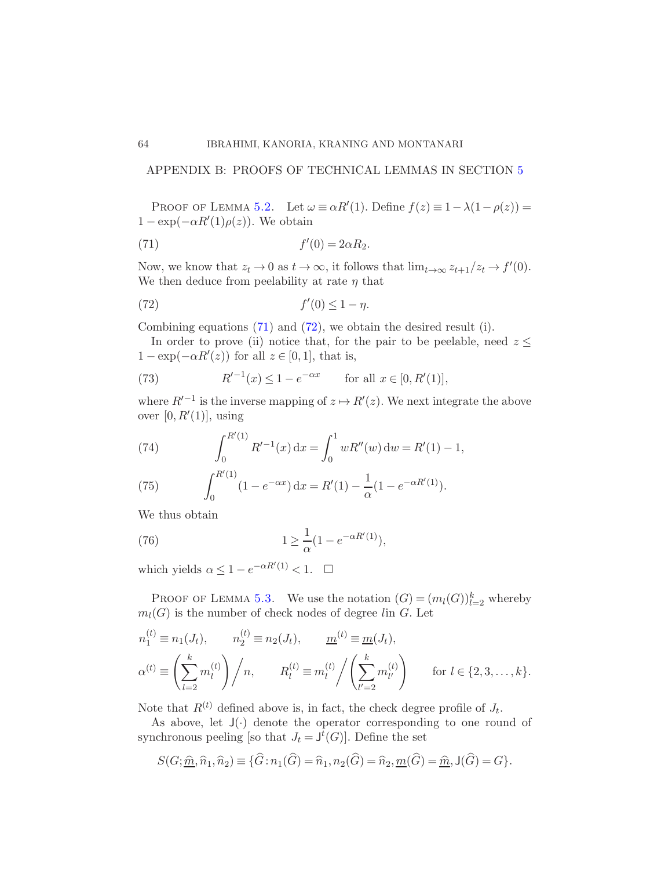## APPENDIX B: PROOFS OF TECHNICAL LEMMAS IN SECTION [5](#page-39-0)

PROOF OF LEMMA [5.2.](#page-40-0) Let  $\omega \equiv \alpha R'(1)$ . Define  $f(z) \equiv 1 - \lambda(1 - \rho(z)) =$  $1 - \exp(-\alpha R'(1)\rho(z))$ . We obtain

<span id="page-63-1"></span>
$$
(71) \t\t f'(0) = 2\alpha R_2.
$$

Now, we know that  $z_t \to 0$  as  $t \to \infty$ , it follows that  $\lim_{t \to \infty} z_{t+1}/z_t \to f'(0)$ . We then deduce from peelability at rate  $\eta$  that

<span id="page-63-2"></span>
$$
(72) \t\t f'(0) \le 1 - \eta.
$$

Combining equations [\(71\)](#page-63-1) and [\(72\)](#page-63-2), we obtain the desired result (i).

In order to prove (ii) notice that, for the pair to be peelable, need  $z \leq$  $1 - \exp(-\alpha R'(z))$  for all  $z \in [0, 1]$ , that is,

(73) 
$$
R'^{-1}(x) \le 1 - e^{-\alpha x}
$$
 for all  $x \in [0, R'(1)],$ 

where  $R'^{-1}$  is the inverse mapping of  $z \mapsto R'(z)$ . We next integrate the above over  $[0, R'(1)]$ , using

(74) 
$$
\int_0^{R'(1)} R'^{-1}(x) dx = \int_0^1 wR''(w) dw = R'(1) - 1,
$$

(75) 
$$
\int_0^{R'(1)} (1 - e^{-\alpha x}) dx = R'(1) - \frac{1}{\alpha} (1 - e^{-\alpha R'(1)}).
$$

We thus obtain

(76) 
$$
1 \geq \frac{1}{\alpha} (1 - e^{-\alpha R'(1)}),
$$

which yields  $\alpha \leq 1 - e^{-\alpha R'(1)} < 1.$   $\Box$ 

PROOF OF LEMMA [5.3.](#page-40-1) We use the notation  $(G) = (m_l(G))_{l=2}^k$  whereby  $m_l(G)$  is the number of check nodes of degree lin G. Let

$$
n_1^{(t)} \equiv n_1(J_t), \qquad n_2^{(t)} \equiv n_2(J_t), \qquad \underline{m}^{(t)} \equiv \underline{m}(J_t),
$$
  
\n
$$
\alpha^{(t)} \equiv \left(\sum_{l=2}^k m_l^{(t)}\right) / n, \qquad R_l^{(t)} \equiv m_l^{(t)} / \left(\sum_{l'=2}^k m_{l'}^{(t)}\right) \qquad \text{for } l \in \{2, 3, \dots, k\}.
$$

Note that  $R^{(t)}$  defined above is, in fact, the check degree profile of  $J_t$ .

As above, let  $J(\cdot)$  denote the operator corresponding to one round of synchronous peeling [so that  $J_t = J^t(G)$ ]. Define the set

$$
S(G; \hat{\underline{m}}, \hat{n}_1, \hat{n}_2) \equiv \{ \hat{G} : n_1(\hat{G}) = \hat{n}_1, n_2(\hat{G}) = \hat{n}_2, \underline{m}(\hat{G}) = \underline{\hat{m}}, \mathsf{J}(\hat{G}) = G \}.
$$

<span id="page-63-0"></span>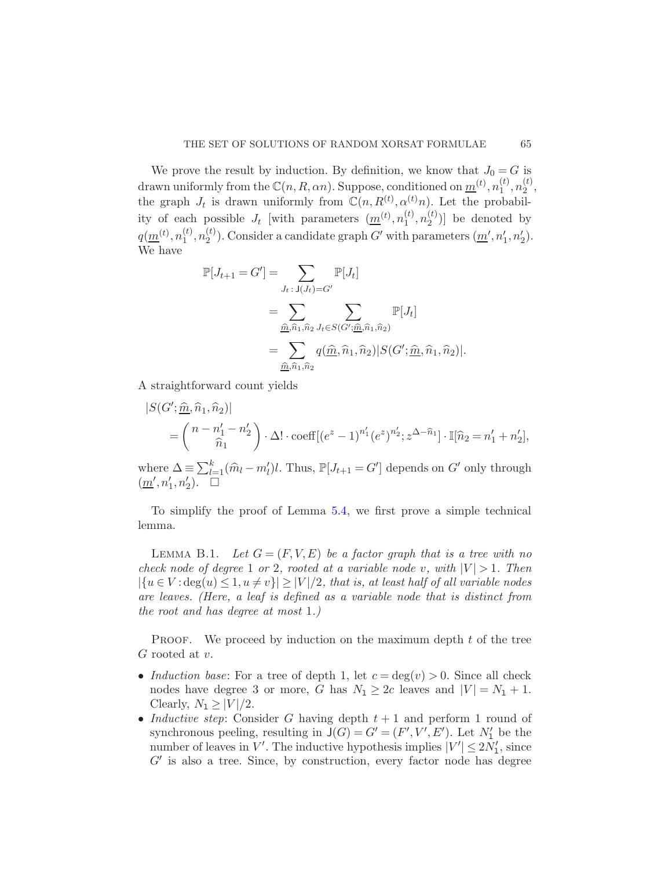We prove the result by induction. By definition, we know that  $J_0 = G$  is drawn uniformly from the  $\mathbb{C}(n, R, \alpha n)$ . Suppose, conditioned on  $\underline{m}^{(t)}$ ,  $n_1^{(t)}$  $\binom{t}{1}, n_2^{(t)}$  $\frac{\mu}{2}$ , the graph  $J_t$  is drawn uniformly from  $\mathbb{C}(n, R^{(t)}, \alpha^{(t)}n)$ . Let the probability of each possible  $J_t$  [with parameters  $(\underline{m}^{(t)}, n_1^{(t)})$  $\binom{t}{1}, n_2^{(t)}$  $\binom{v}{2}$  be denoted by  $q(\underline{m}^{(t)},n_1^{(t)})$  $\binom{t}{1}, n_2^{(t)}$ <sup>(t)</sup>). Consider a candidate graph G' with parameters  $(\underline{m}', n'_1, n'_2)$ . We have

$$
\mathbb{P}[J_{t+1} = G'] = \sum_{J_t \,:\, J(J_t) = G'} \mathbb{P}[J_t]
$$

$$
= \sum_{\substack{\hat{m}, \hat{n}_1, \hat{n}_2}} \sum_{J_t \in S(G'; \hat{m}, \hat{n}_1, \hat{n}_2)} \mathbb{P}[J_t]
$$

$$
= \sum_{\substack{\hat{m}, \hat{n}_1, \hat{n}_2}} q(\hat{m}, \hat{n}_1, \hat{n}_2) |S(G'; \hat{m}, \hat{n}_1, \hat{n}_2)|.
$$

A straightforward count yields

$$
|S(G'; \underline{\hat{m}}, \hat{n}_1, \hat{n}_2)|
$$
  
=  $\binom{n - n'_1 - n'_2}{\hat{n}_1} \cdot \Delta! \cdot \text{coeff}[(e^z - 1)^{n'_1} (e^z)^{n'_2}; z^{\Delta - \hat{n}_1}] \cdot \mathbb{I}[\hat{n}_2 = n'_1 + n'_2],$ 

where  $\Delta = \sum_{l=1}^{k} (\hat{m}_l - m'_l)l$ . Thus,  $\mathbb{P}[J_{t+1} = G']$  depends on  $G'$  only through  $\left(\underline{m}',n'_1,n'_2\right)$ .

<span id="page-64-0"></span>To simplify the proof of Lemma [5.4,](#page-41-0) we first prove a simple technical lemma.

LEMMA B.1. Let  $G = (F, V, E)$  be a factor graph that is a tree with no check node of degree 1 or 2, rooted at a variable node v, with  $|V| > 1$ . Then  $|\{u \in V : \deg(u) \leq 1, u \neq v\}| \geq |V|/2$ , that is, at least half of all variable nodes are leaves. (Here, a leaf is defined as a variable node that is distinct from the root and has degree at most 1.)

**PROOF.** We proceed by induction on the maximum depth  $t$  of the tree G rooted at v.

- Induction base: For a tree of depth 1, let  $c = deg(v) > 0$ . Since all check nodes have degree 3 or more, G has  $N_1 \geq 2c$  leaves and  $|V| = N_1 + 1$ . Clearly,  $N_1 \geq |V|/2$ .
- Inductive step: Consider G having depth  $t + 1$  and perform 1 round of synchronous peeling, resulting in  $J(G) = G' = (F', V', E')$ . Let  $N'_1$  be the number of leaves in  $V'$ . The inductive hypothesis implies  $|V'| \leq 2N'_1$ , since  $G'$  is also a tree. Since, by construction, every factor node has degree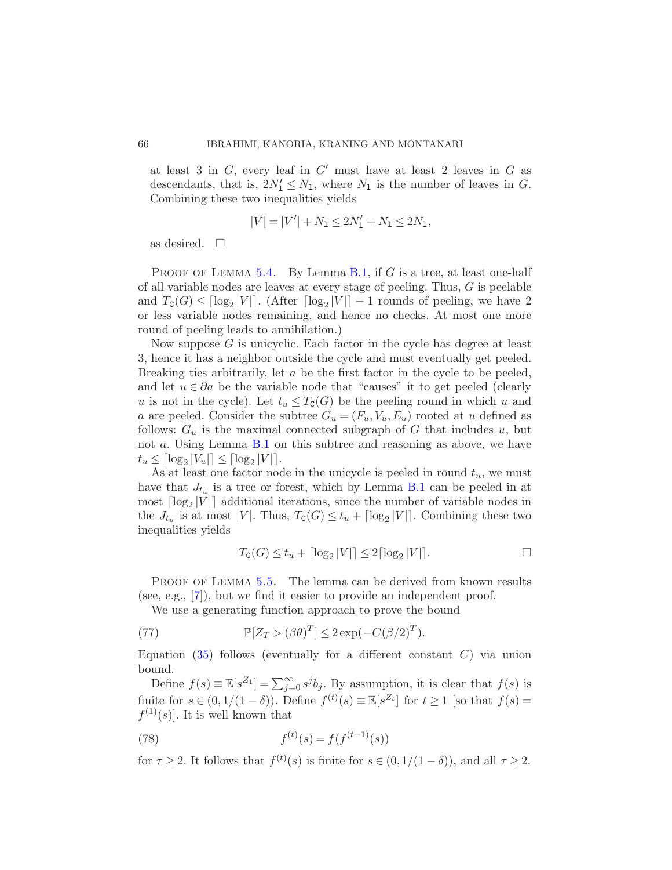at least 3 in  $G$ , every leaf in  $G'$  must have at least 2 leaves in  $G$  as descendants, that is,  $2N'_1 \leq N_1$ , where  $N_1$  is the number of leaves in G. Combining these two inequalities yields

$$
|V| = |V'| + N_1 \le 2N'_1 + N_1 \le 2N_1,
$$

as desired.  $\square$ 

PROOF OF LEMMA [5.4.](#page-41-0) By Lemma [B.1,](#page-64-0) if  $G$  is a tree, at least one-half of all variable nodes are leaves at every stage of peeling. Thus, G is peelable and  $T_{\mathcal{C}}(G) \leq \lceil \log_2 |V| \rceil$ . (After  $\lceil \log_2 |V| \rceil - 1$  rounds of peeling, we have 2 or less variable nodes remaining, and hence no checks. At most one more round of peeling leads to annihilation.)

Now suppose  $G$  is unicyclic. Each factor in the cycle has degree at least 3, hence it has a neighbor outside the cycle and must eventually get peeled. Breaking ties arbitrarily, let a be the first factor in the cycle to be peeled, and let  $u \in \partial a$  be the variable node that "causes" it to get peeled (clearly u is not in the cycle). Let  $t_u \leq T_c(G)$  be the peeling round in which u and a are peeled. Consider the subtree  $G_u = (F_u, V_u, E_u)$  rooted at u defined as follows:  $G_u$  is the maximal connected subgraph of G that includes u, but not a. Using Lemma [B.1](#page-64-0) on this subtree and reasoning as above, we have  $t_u \leq \lceil \log_2 |V_u| \rceil \leq \lceil \log_2 |V| \rceil.$ 

As at least one factor node in the unicycle is peeled in round  $t<sub>u</sub>$ , we must have that  $J_{t_u}$  is a tree or forest, which by Lemma [B.1](#page-64-0) can be peeled in at most  $\lceil \log_2 |V| \rceil$  additional iterations, since the number of variable nodes in the  $J_{t_u}$  is at most |V|. Thus,  $T_c(G) \le t_u + \lceil \log_2 |V| \rceil$ . Combining these two inequalities yields

$$
T_{\mathcal{C}}(G) \le t_u + \lceil \log_2 |V| \rceil \le 2 \lceil \log_2 |V| \rceil.
$$

PROOF OF LEMMA [5.5.](#page-42-1) The lemma can be derived from known results (see, e.g., [\[7](#page-67-14)]), but we find it easier to provide an independent proof.

We use a generating function approach to prove the bound

(77) 
$$
\mathbb{P}[Z_T > (\beta \theta)^T] \leq 2 \exp(-C(\beta/2)^T).
$$

Equation  $(35)$  follows (eventually for a different constant C) via union bound.

Define  $f(s) \equiv \mathbb{E}[s^{Z_1}] = \sum_{j=0}^{\infty} s^j b_j$ . By assumption, it is clear that  $f(s)$  is finite for  $s \in (0, 1/(1-\delta))$ . Define  $f^{(t)}(s) \equiv \mathbb{E}[s^{Z_t}]$  for  $t \ge 1$  [so that  $f(s) =$  $f^{(1)}(s)$ . It is well known that

<span id="page-65-0"></span>(78) 
$$
f^{(t)}(s) = f(f^{(t-1)}(s))
$$

for  $\tau \geq 2$ . It follows that  $f^{(t)}(s)$  is finite for  $s \in (0, 1/(1-\delta))$ , and all  $\tau \geq 2$ .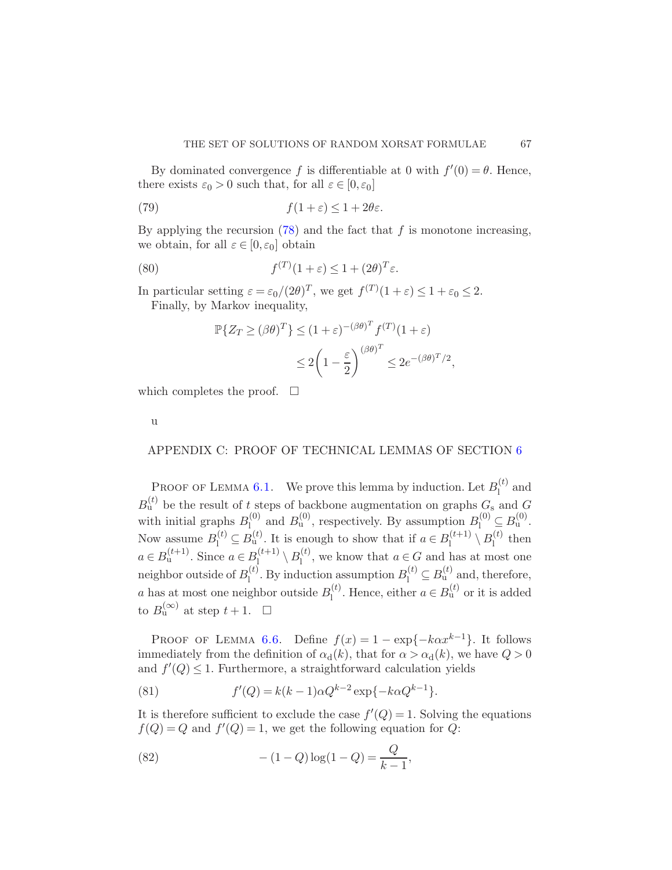By dominated convergence f is differentiable at 0 with  $f'(0) = \theta$ . Hence, there exists  $\varepsilon_0 > 0$  such that, for all  $\varepsilon \in [0, \varepsilon_0]$ 

(79) 
$$
f(1+\varepsilon) \leq 1 + 2\theta\varepsilon.
$$

By applying the recursion  $(78)$  and the fact that f is monotone increasing, we obtain, for all  $\varepsilon \in [0, \varepsilon_0]$  obtain

(80) 
$$
f^{(T)}(1+\varepsilon) \le 1 + (2\theta)^T \varepsilon.
$$

In particular setting  $\varepsilon = \varepsilon_0/(2\theta)^T$ , we get  $f^{(T)}(1+\varepsilon) \le 1 + \varepsilon_0 \le 2$ .

Finally, by Markov inequality,

$$
\mathbb{P}\{Z_T \ge (\beta \theta)^T\} \le (1+\varepsilon)^{-(\beta \theta)^T} f^{(T)}(1+\varepsilon)
$$
  

$$
\le 2\left(1-\frac{\varepsilon}{2}\right)^{(\beta \theta)^T} \le 2e^{-(\beta \theta)^T/2},
$$

which completes the proof.  $\square$ 

<span id="page-66-0"></span>u

## APPENDIX C: PROOF OF TECHNICAL LEMMAS OF SECTION [6](#page-44-0)

PROOF OF LEMMA [6.1.](#page-45-0) We prove this lemma by induction. Let  $B_1^{(t)}$  $\int_1^{(\iota)}$  and  $B_{\rm u}^{(t)}$  be the result of t steps of backbone augmentation on graphs  $G_{\rm s}$  and  $G$ with initial graphs  $B_1^{(0)}$  $\mathcal{B}_1^{(0)}$  and  $\mathcal{B}_u^{(0)}$ , respectively. By assumption  $\mathcal{B}_1^{(0)} \subseteq \mathcal{B}_u^{(0)}$ . Now assume  $B_1^{(t)} \subseteq B_u^{(t)}$ . It is enough to show that if  $a \in B_1^{(t+1)}$  $\mathcal{B}_\mathrm{l}^{(t+1)} \setminus B_\mathrm{l}^{(t)}$  $\int_1^{(\iota)}$  then  $a \in B_{u}^{(t+1)}$ . Since  $a \in B_{u}^{(t+1)}$  $\mathcal{B}_l^{(t+1)} \setminus B_l^{(t)}$  $\mu_1^{(t)}$ , we know that  $a \in G$  and has at most one neighbor outside of  $B_1^{(t)}$ <sup>(t)</sup>. By induction assumption  $B_1^{(t)} \subseteq B_u^{(t)}$  and, therefore, a has at most one neighbor outside  $B_1^{(t)}$  $\mathbf{I}_{\mathbf{I}}^{(t)}$ . Hence, either  $a \in B_{\mathbf{u}}^{(t)}$  or it is added to  $B_{\mathrm{u}}^{(\infty)}$  at step  $t+1$ .  $\Box$ 

PROOF OF LEMMA [6.6.](#page-48-1) Define  $f(x) = 1 - \exp\{-k\alpha x^{k-1}\}\$ . It follows immediately from the definition of  $\alpha_d(k)$ , that for  $\alpha > \alpha_d(k)$ , we have  $Q > 0$ and  $f'(Q) \leq 1$ . Furthermore, a straightforward calculation yields

(81) 
$$
f'(Q) = k(k-1)\alpha Q^{k-2} \exp\{-k\alpha Q^{k-1}\}.
$$

It is therefore sufficient to exclude the case  $f'(Q) = 1$ . Solving the equations  $f(Q) = Q$  and  $f'(Q) = 1$ , we get the following equation for Q:

(82) 
$$
-(1-Q)\log(1-Q) = \frac{Q}{k-1},
$$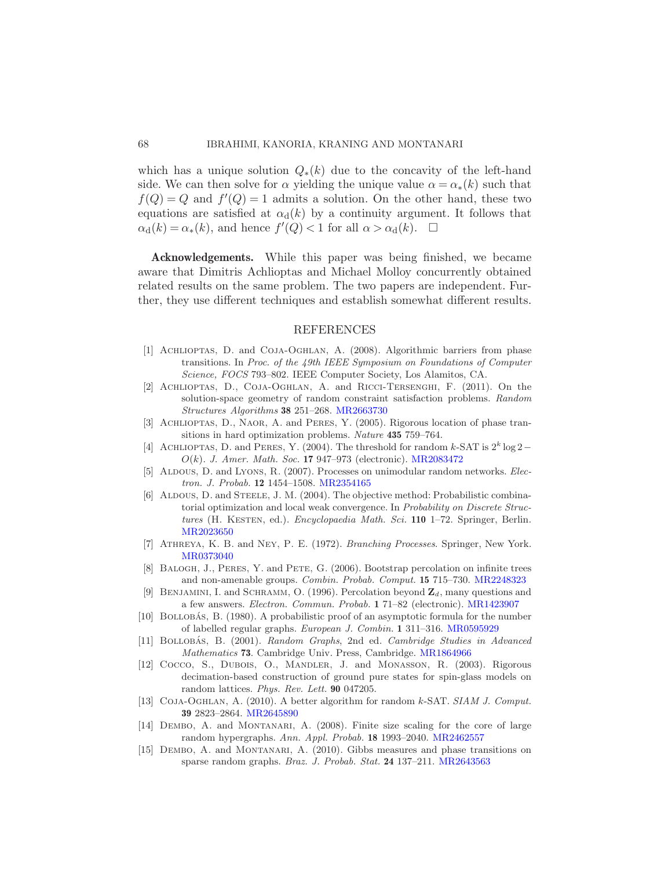which has a unique solution  $Q_*(k)$  due to the concavity of the left-hand side. We can then solve for  $\alpha$  yielding the unique value  $\alpha = \alpha_*(k)$  such that  $f(Q) = Q$  and  $f'(Q) = 1$  admits a solution. On the other hand, these two equations are satisfied at  $\alpha_d(k)$  by a continuity argument. It follows that  $\alpha_{\rm d}(k) = \alpha_*(k)$ , and hence  $f'(Q) < 1$  for all  $\alpha > \alpha_{\rm d}(k)$ .  $\Box$ 

Acknowledgements. While this paper was being finished, we became aware that Dimitris Achlioptas and Michael Molloy concurrently obtained related results on the same problem. The two papers are independent. Further, they use different techniques and establish somewhat different results.

#### REFERENCES

- <span id="page-67-0"></span>[1] Achlioptas, D. and Coja-Oghlan, A. (2008). Algorithmic barriers from phase transitions. In Proc. of the 49th IEEE Symposium on Foundations of Computer Science, FOCS 793–802. IEEE Computer Society, Los Alamitos, CA.
- <span id="page-67-3"></span>[2] Achlioptas, D., Coja-Oghlan, A. and Ricci-Tersenghi, F. (2011). On the solution-space geometry of random constraint satisfaction problems. Random Structures Algorithms 38 251–268. [MR2663730](http://www.ams.org/mathscinet-getitem?mr=2663730)
- <span id="page-67-1"></span>[3] Achlioptas, D., Naor, A. and Peres, Y. (2005). Rigorous location of phase transitions in hard optimization problems. Nature 435 759–764.
- <span id="page-67-2"></span>[4] ACHLIOPTAS, D. and PERES, Y. (2004). The threshold for random k-SAT is  $2^k \log 2$  – O(k). J. Amer. Math. Soc. 17 947–973 (electronic). [MR2083472](http://www.ams.org/mathscinet-getitem?mr=2083472)
- <span id="page-67-8"></span>[5] ALDOUS, D. and Lyons, R. (2007). Processes on unimodular random networks. Electron. J. Probab. 12 1454–1508. [MR2354165](http://www.ams.org/mathscinet-getitem?mr=2354165)
- <span id="page-67-9"></span>[6] ALDOUS, D. and STEELE, J. M. (2004). The objective method: Probabilistic combinatorial optimization and local weak convergence. In Probability on Discrete Structures (H. KESTEN, ed.). Encyclopaedia Math. Sci. 110 1-72. Springer, Berlin. [MR2023650](http://www.ams.org/mathscinet-getitem?mr=2023650)
- <span id="page-67-14"></span>[7] Athreya, K. B. and Ney, P. E. (1972). Branching Processes. Springer, New York. [MR0373040](http://www.ams.org/mathscinet-getitem?mr=0373040)
- <span id="page-67-12"></span>[8] Balogh, J., Peres, Y. and Pete, G. (2006). Bootstrap percolation on infinite trees and non-amenable groups. Combin. Probab. Comput. 15 715–730. [MR2248323](http://www.ams.org/mathscinet-getitem?mr=2248323)
- <span id="page-67-10"></span>[9] BENJAMINI, I. and SCHRAMM, O. (1996). Percolation beyond  $\mathbb{Z}_d$ , many questions and a few answers. Electron. Commun. Probab. 1 71–82 (electronic). [MR1423907](http://www.ams.org/mathscinet-getitem?mr=1423907)
- <span id="page-67-11"></span>[10] BOLLOBÁS, B. (1980). A probabilistic proof of an asymptotic formula for the number of labelled regular graphs. European J. Combin. 1 311–316. [MR0595929](http://www.ams.org/mathscinet-getitem?mr=0595929)
- <span id="page-67-13"></span>[11] BOLLOBÁS, B. (2001). Random Graphs, 2nd ed. Cambridge Studies in Advanced Mathematics 73. Cambridge Univ. Press, Cambridge. [MR1864966](http://www.ams.org/mathscinet-getitem?mr=1864966)
- <span id="page-67-5"></span>[12] Cocco, S., Dubois, O., MANDLER, J. and MONASSON, R. (2003). Rigorous decimation-based construction of ground pure states for spin-glass models on random lattices. Phys. Rev. Lett. 90 047205.
- <span id="page-67-4"></span>[13] Coja-Oghlan, A. (2010). A better algorithm for random k-SAT. SIAM J. Comput. 39 2823–2864. [MR2645890](http://www.ams.org/mathscinet-getitem?mr=2645890)
- <span id="page-67-6"></span>[14] DEMBO, A. and MONTANARI, A. (2008). Finite size scaling for the core of large random hypergraphs. Ann. Appl. Probab. 18 1993–2040. [MR2462557](http://www.ams.org/mathscinet-getitem?mr=2462557)
- <span id="page-67-7"></span>[15] DEMBO, A. and MONTANARI, A. (2010). Gibbs measures and phase transitions on sparse random graphs. Braz. J. Probab. Stat. 24 137–211. [MR2643563](http://www.ams.org/mathscinet-getitem?mr=2643563)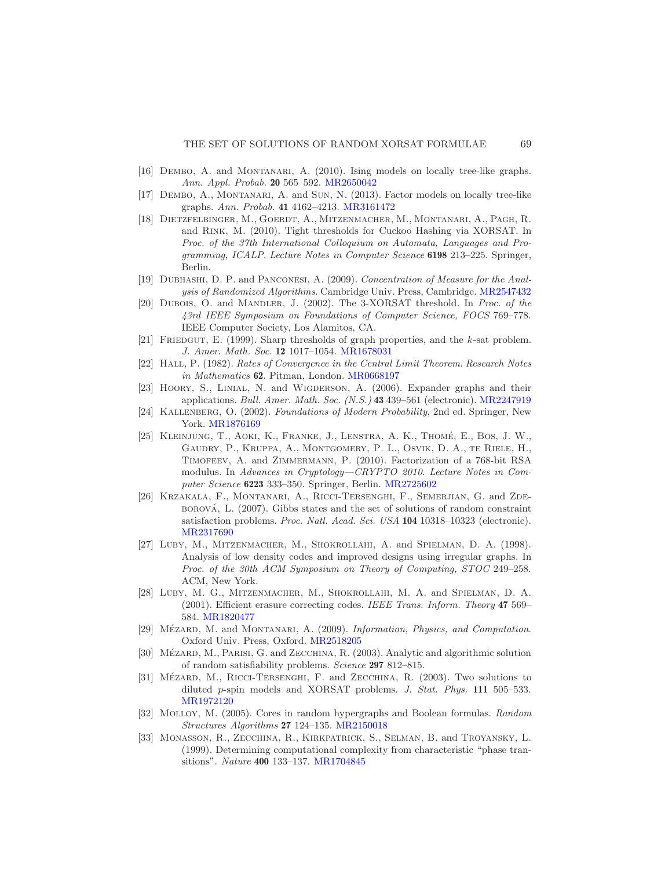- [16] Dembo, A. and Montanari, A. (2010). Ising models on locally tree-like graphs. Ann. Appl. Probab. 20 565–592. [MR2650042](http://www.ams.org/mathscinet-getitem?mr=2650042)
- <span id="page-68-13"></span>[17] Dembo, A., Montanari, A. and Sun, N. (2013). Factor models on locally tree-like graphs. Ann. Probab. 41 4162–4213. [MR3161472](http://www.ams.org/mathscinet-getitem?mr=3161472)
- <span id="page-68-0"></span>[18] Dietzfelbinger, M., Goerdt, A., Mitzenmacher, M., Montanari, A., Pagh, R. and Rink, M. (2010). Tight thresholds for Cuckoo Hashing via XORSAT. In Proc. of the 37th International Colloquium on Automata, Languages and Programming, ICALP. Lecture Notes in Computer Science 6198 213–225. Springer, Berlin.
- <span id="page-68-14"></span>[19] Dubhashi, D. P. and Panconesi, A. (2009). Concentration of Measure for the Analysis of Randomized Algorithms. Cambridge Univ. Press, Cambridge. [MR2547432](http://www.ams.org/mathscinet-getitem?mr=2547432)
- <span id="page-68-9"></span>[20] DUBOIS, O. and MANDLER, J. (2002). The 3-XORSAT threshold. In Proc. of the 43rd IEEE Symposium on Foundations of Computer Science, FOCS 769–778. IEEE Computer Society, Los Alamitos, CA.
- <span id="page-68-8"></span>[21] Friedgut, E. (1999). Sharp thresholds of graph properties, and the k-sat problem. J. Amer. Math. Soc. 12 1017–1054. [MR1678031](http://www.ams.org/mathscinet-getitem?mr=1678031)
- <span id="page-68-16"></span>[22] Hall, P. (1982). Rates of Convergence in the Central Limit Theorem. Research Notes in Mathematics 62. Pitman, London. [MR0668197](http://www.ams.org/mathscinet-getitem?mr=0668197)
- <span id="page-68-11"></span>[23] Hoory, S., Linial, N. and Wigderson, A. (2006). Expander graphs and their applications. Bull. Amer. Math. Soc. (N.S.) 43 439–561 (electronic). [MR2247919](http://www.ams.org/mathscinet-getitem?mr=2247919)
- <span id="page-68-15"></span>[24] KALLENBERG, O. (2002). Foundations of Modern Probability, 2nd ed. Springer, New York. [MR1876169](http://www.ams.org/mathscinet-getitem?mr=1876169)
- <span id="page-68-3"></span>[25] KLEINJUNG, T., AOKI, K., FRANKE, J., LENSTRA, A. K., THOMÉ, E., BOS, J. W., Gaudry, P., Kruppa, A., Montgomery, P. L., Osvik, D. A., te Riele, H., Timofeev, A. and Zimmermann, P. (2010). Factorization of a 768-bit RSA modulus. In Advances in Cryptology—CRYPTO 2010. Lecture Notes in Computer Science 6223 333–350. Springer, Berlin. [MR2725602](http://www.ams.org/mathscinet-getitem?mr=2725602)
- <span id="page-68-4"></span>[26] KRZAKALA, F., MONTANARI, A., RICCI-TERSENGHI, F., SEMERJIAN, G. and ZDE- $BOROVA$ , L.  $(2007)$ . Gibbs states and the set of solutions of random constraint satisfaction problems. Proc. Natl. Acad. Sci. USA 104 10318–10323 (electronic). [MR2317690](http://www.ams.org/mathscinet-getitem?mr=2317690)
- <span id="page-68-1"></span>[27] Luby, M., Mitzenmacher, M., Shokrollahi, A. and Spielman, D. A. (1998). Analysis of low density codes and improved designs using irregular graphs. In Proc. of the 30th ACM Symposium on Theory of Computing, STOC 249–258. ACM, New York.
- <span id="page-68-2"></span>[28] Luby, M. G., Mitzenmacher, M., Shokrollahi, M. A. and Spielman, D. A. (2001). Efficient erasure correcting codes. IEEE Trans. Inform. Theory 47 569– 584. [MR1820477](http://www.ams.org/mathscinet-getitem?mr=1820477)
- <span id="page-68-5"></span>[29] MÉZARD, M. and MONTANARI, A. (2009). Information, Physics, and Computation. Oxford Univ. Press, Oxford. [MR2518205](http://www.ams.org/mathscinet-getitem?mr=2518205)
- <span id="page-68-6"></span>[30] MÉZARD, M., PARISI, G. and ZECCHINA, R. (2003). Analytic and algorithmic solution of random satisfiability problems. Science 297 812–815.
- <span id="page-68-10"></span>[31] MÉZARD, M., RICCI-TERSENGHI, F. and ZECCHINA, R. (2003). Two solutions to diluted p-spin models and XORSAT problems. J. Stat. Phys. 111 505-533. [MR1972120](http://www.ams.org/mathscinet-getitem?mr=1972120)
- <span id="page-68-12"></span>[32] MOLLOY, M. (2005). Cores in random hypergraphs and Boolean formulas. Random Structures Algorithms 27 124–135. [MR2150018](http://www.ams.org/mathscinet-getitem?mr=2150018)
- <span id="page-68-7"></span>[33] Monasson, R., Zecchina, R., Kirkpatrick, S., Selman, B. and Troyansky, L. (1999). Determining computational complexity from characteristic "phase transitions". Nature 400 133–137. [MR1704845](http://www.ams.org/mathscinet-getitem?mr=1704845)